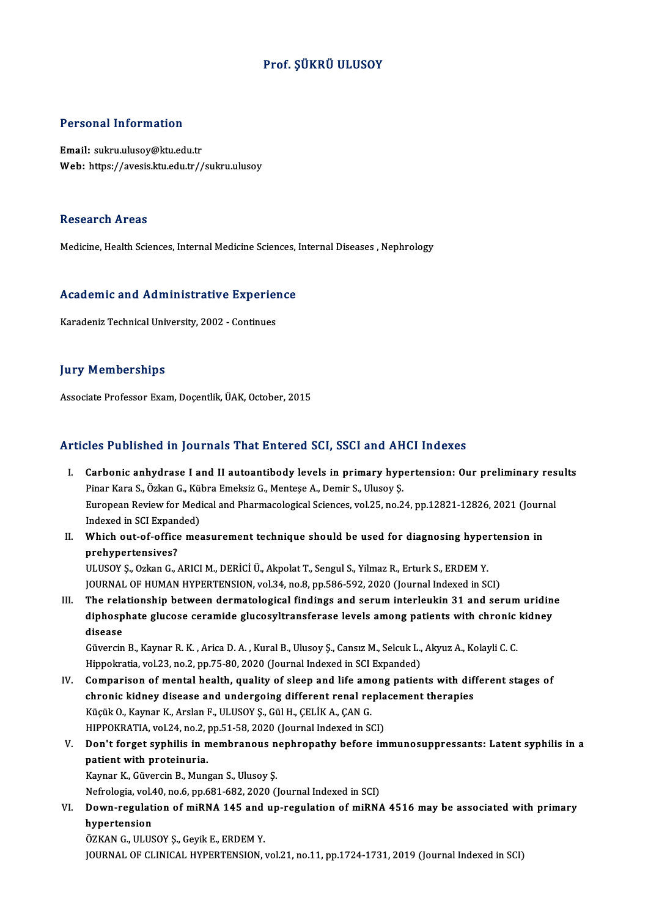### Prof. ŞÜKRÜ ULUSOY

#### Personal Information

Email: sukru.ulusoy@ktu.edu.tr Web: https://avesis.ktu.edu.tr//sukru.ulusoy

#### Research Areas

Medicine, Health Sciences, Internal Medicine Sciences, Internal Diseases, Nephrology

## Medicine, riealth Sciences, internal Medicine Sciences,<br>Academic and Administrative Experience A<mark>cademic and Administrative Experie</mark><br>Karadeniz Technical University, 2002 - Continues

Karadeniz Technical University, 2002 - Continues<br>Jury Memberships

Associate Professor Exam, Doçentlik, ÜAK, October, 2015

#### Articles Published in Journals That Entered SCI, SSCI and AHCI Indexes

- rticles Published in Journals That Entered SCI, SSCI and AHCI Indexes<br>I. Carbonic anhydrase I and II autoantibody levels in primary hypertension: Our preliminary results<br>Riner Kara S. Özkar C. Kübre Emeksiz C. Mentese A. D Pies I desistica III your naise That Enter on 631, 5561 and The<br>Carbonic anhydrase I and II autoantibody levels in primary hyp<br>Pinar Kara S., Özkan G., Kübra Emeksiz G., Menteşe A., Demir S., Ulusoy Ş. Carbonic anhydrase I and II autoantibody levels in primary hypertension: Our preliminary res<br>Pinar Kara S., Özkan G., Kübra Emeksiz G., Menteşe A., Demir S., Ulusoy Ş.<br>European Review for Medical and Pharmacological Scienc Pinar Kara S., Özkan G., Kü<br>European Review for Med<br>Indexed in SCI Expanded)<br>Whish out of office mea European Review for Medical and Pharmacological Sciences, vol.25, no.24, pp.12821-12826, 2021 (Journ<br>Indexed in SCI Expanded)<br>II. Which out-of-office measurement technique should be used for diagnosing hypertension in<br>nneh
- Indexed in SCI Expane<br>Which out-of-office<br>prehypertensives?<br>!!! !!SOV S. Orkan C Which out-of-office measurement technique should be used for diagnosing hyper<br>prehypertensives?<br>ULUSOY Ş., Ozkan G., ARICI M., DERİCİ Ü., Akpolat T., Sengul S., Yilmaz R., Erturk S., ERDEM Y.<br>JOUPMAL OF HUMAN HYPEPTENSION,

prehypertensives?<br>ULUSOY Ş., Ozkan G., ARICI M., DERİCİ Ü., Akpolat T., Sengul S., Yilmaz R., Erturk S., ERDEM Y.<br>JOURNAL OF HUMAN HYPERTENSION, vol.34, no.8, pp.586-592, 2020 (Journal Indexed in SCI)

ULUSOY Ș., Ozkan G., ARICI M., DERİCİ Ü., Akpolat T., Sengul S., Yilmaz R., Erturk S., ERDEM Y.<br>JOURNAL OF HUMAN HYPERTENSION, vol.34, no.8, pp.586-592, 2020 (Journal Indexed in SCI)<br>III. The relationship between dermatolo JOURNAL OF HUMAN HYPERTENSION, vol.34, no.8, pp.586-592, 2020 (Journal Indexed in SCI)<br>The relationship between dermatological findings and serum interleukin 31 and serum uridin<br>diphosphate glucose ceramide glucosyltransfe The rela<br>diphosp<br>disease<br>Gïversin diphosphate glucose ceramide glucosyltransferase levels among patients with chronic<br>disease<br>Güvercin B., Kaynar R. K. , Arica D. A. , Kural B., Ulusoy Ş., Cansız M., Selcuk L., Akyuz A., Kolayli C. C.<br>Hinnelmetia vol 33, n

disease<br>Güvercin B., Kaynar R. K. , Arica D. A. , Kural B., Ulusoy Ş., Cansız M., Selcuk L.,<br>Hippokratia, vol.23, no.2, pp.75-80, 2020 (Journal Indexed in SCI Expanded)<br>Comparison of montal boalth, quality of sloop and lif

- Hippokratia, vol.23, no.2, pp.75-80, 2020 (Journal Indexed in SCI Expanded)<br>IV. Comparison of mental health, quality of sleep and life among patients with different stages of Hippokratia, vol.23, no.2, pp.75-80, 2020 (Journal Indexed in SCI Expanded)<br>Comparison of mental health, quality of sleep and life among patients with differentic kidney disease and undergoing different renal replacement t Comparison of mental health, quality of sleep and life americanic kidney disease and undergoing different renal re<br>Küçük O., Kaynar K., Arslan F., ULUSOY Ş., Gül H., ÇELİK A., ÇAN G.<br>HIPPOKRATIA vol 24 no 2 nn 51 52 2020 ( chronic kidney disease and undergoing different renal repla<br>Küçük O., Kaynar K., Arslan F., ULUSOY Ş., Gül H., ÇELİK A., ÇAN G.<br>HIPPOKRATIA, vol.24, no.2, pp.51-58, 2020 (Journal Indexed in SCI)<br>Pen't ferget sunbilis in me Küçük O., Kaynar K., Arslan F., ULUSOY Ş., Gül H., ÇELİK A., ÇAN G.<br>HIPPOKRATIA, vol.24, no.2, pp.51-58, 2020 (Journal Indexed in SCI)<br>V. Don't forget syphilis in membranous nephropathy before immunosuppressants: Laten
- HIPPOKRATIA, vol.24, no.2, p<br>Don't forget syphilis in n<br>patient with proteinuria.<br>Kaypar K. Güyargin B. Mun Don't forget syphilis in membranous n<br>patient with proteinuria.<br>Kaynar K., Güvercin B., Mungan S., Ulusoy Ş.<br>Nefrelegia vel 40 ne 6 nn 691 692 2020 (1 patient with proteinuria.<br>Kaynar K., Güvercin B., Mungan S., Ulusoy Ş.<br>Nefrologia, vol.40, no.6, pp.681-682, 2020 (Journal Indexed in SCI)<br>Down regulation of miPNA 145 and un regulation of miPNA

## Kaynar K., Güvercin B., Mungan S., Ulusoy Ş.<br>Nefrologia, vol.40, no.6, pp.681-682, 2020 (Journal Indexed in SCI)<br>VI. Down-regulation of miRNA 145 and up-regulation of miRNA 4516 may be associated with primary<br>hypertension Nefrologia, vol.4<br><mark>Down-regulat</mark><br>hypertension<br>ÖZKAN C. HUUS

ÖZKAN G., ULUSOY Ş., Geyik E., ERDEM Y. JOURNAL OF CLINICAL HYPERTENSION, vol.21, no.11, pp.1724-1731, 2019 (Journal Indexed in SCI)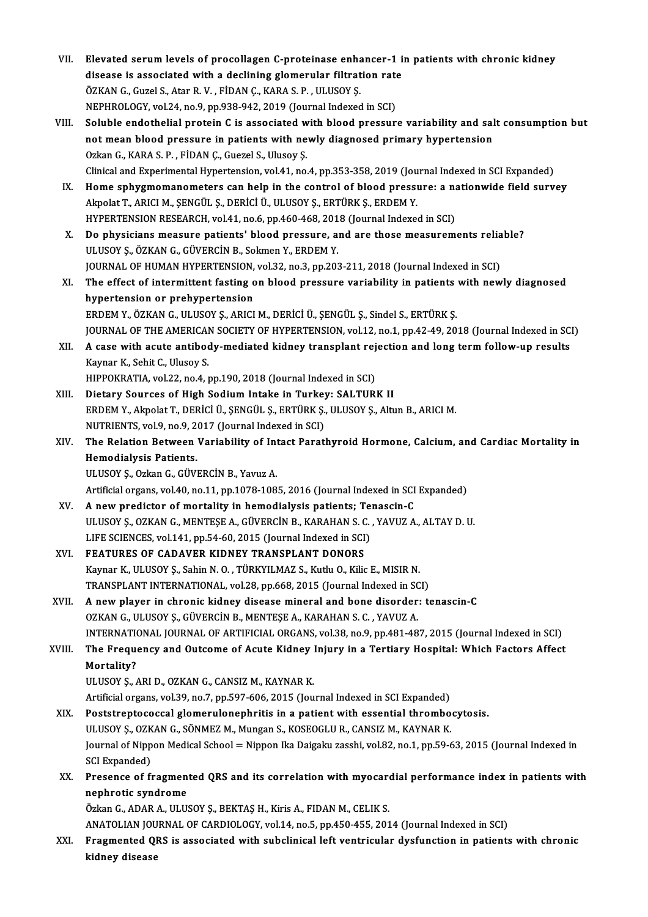| VII.   | Elevated serum levels of procollagen C-proteinase enhancer-1 in patients with chronic kidney                   |
|--------|----------------------------------------------------------------------------------------------------------------|
|        | disease is associated with a declining glomerular filtration rate                                              |
|        | ÖZKAN G., Guzel S., Atar R. V., FİDAN Ç., KARA S. P., ULUSOY Ş.                                                |
|        | NEPHROLOGY, vol.24, no.9, pp.938-942, 2019 (Journal Indexed in SCI)                                            |
| VIII.  | Soluble endothelial protein C is associated with blood pressure variability and salt consumption but           |
|        | not mean blood pressure in patients with newly diagnosed primary hypertension                                  |
|        | Ozkan G., KARA S. P., FİDAN Ç., Guezel S., Ulusoy Ş.                                                           |
|        | Clinical and Experimental Hypertension, vol.41, no.4, pp.353-358, 2019 (Journal Indexed in SCI Expanded)       |
| IX.    | Home sphygmomanometers can help in the control of blood pressure: a nationwide field survey                    |
|        | Akpolat T., ARICI M., ŞENGÜL Ş., DERİCİ Ü., ULUSOY Ş., ERTÜRK Ş., ERDEM Y.                                     |
|        | HYPERTENSION RESEARCH, vol.41, no.6, pp.460-468, 2018 (Journal Indexed in SCI)                                 |
| X.     | Do physicians measure patients' blood pressure, and are those measurements reliable?                           |
|        | ULUSOY Ş., ÖZKAN G., GÜVERCİN B., Sokmen Y., ERDEM Y.                                                          |
|        | JOURNAL OF HUMAN HYPERTENSION, vol.32, no.3, pp.203-211, 2018 (Journal Indexed in SCI)                         |
| XI.    | The effect of intermittent fasting on blood pressure variability in patients with newly diagnosed              |
|        | hypertension or prehypertension                                                                                |
|        | ERDEM Y., ÖZKAN G., ULUSOY Ş., ARICI M., DERİCİ Ü., ŞENGÜL Ş., Sindel S., ERTÜRK Ş.                            |
|        | JOURNAL OF THE AMERICAN SOCIETY OF HYPERTENSION, vol.12, no.1, pp.42-49, 2018 (Journal Indexed in SCI)         |
| XII.   | A case with acute antibody-mediated kidney transplant rejection and long term follow-up results                |
|        | Kaynar K., Sehit C., Ulusoy S.                                                                                 |
|        | HIPPOKRATIA, vol.22, no.4, pp.190, 2018 (Journal Indexed in SCI)                                               |
| XIII.  | Dietary Sources of High Sodium Intake in Turkey: SALTURK II                                                    |
|        | ERDEM Y., Akpolat T., DERİCİ Ü., ŞENGÜL Ş., ERTÜRK Ş., ULUSOY Ş., Altun B., ARICI M.                           |
|        | NUTRIENTS, vol 9, no 9, 2017 (Journal Indexed in SCI)                                                          |
| XIV.   | The Relation Between Variability of Intact Parathyroid Hormone, Calcium, and Cardiac Mortality in              |
|        | <b>Hemodialysis Patients.</b>                                                                                  |
|        | ULUSOY Ş., Ozkan G., GÜVERCİN B., Yavuz A.                                                                     |
|        | Artificial organs, vol.40, no.11, pp.1078-1085, 2016 (Journal Indexed in SCI Expanded)                         |
| XV.    | A new predictor of mortality in hemodialysis patients; Tenascin-C                                              |
|        | ULUSOY S., OZKAN G., MENTESE A., GÜVERCİN B., KARAHAN S. C., YAVUZ A., ALTAY D. U.                             |
|        | LIFE SCIENCES, vol.141, pp.54-60, 2015 (Journal Indexed in SCI)                                                |
| XVI.   | FEATURES OF CADAVER KIDNEY TRANSPLANT DONORS                                                                   |
|        | Kaynar K., ULUSOY Ş., Sahin N. O., TÜRKYILMAZ S., Kutlu O., Kilic E., MISIR N.                                 |
|        | TRANSPLANT INTERNATIONAL, vol.28, pp.668, 2015 (Journal Indexed in SCI)                                        |
| XVII.  | A new player in chronic kidney disease mineral and bone disorder: tenascin-C                                   |
|        | OZKAN G., ULUSOY Ş., GÜVERCİN B., MENTEŞE A., KARAHAN S. C., YAVUZ A.                                          |
|        | INTERNATIONAL JOURNAL OF ARTIFICIAL ORGANS, vol.38, no.9, pp.481-487, 2015 (Journal Indexed in SCI)            |
| XVIII. | The Frequency and Outcome of Acute Kidney Injury in a Tertiary Hospital: Which Factors Affect                  |
|        | Mortality?                                                                                                     |
|        | ULUSOY Ş., ARI D., OZKAN G., CANSIZ M., KAYNAR K.                                                              |
|        | Artificial organs, vol.39, no.7, pp.597-606, 2015 (Journal Indexed in SCI Expanded)                            |
| XIX.   | Poststreptococcal glomerulonephritis in a patient with essential thrombocytosis.                               |
|        | ULUSOY Ş., OZKAN G., SÖNMEZ M., Mungan S., KOSEOGLU R., CANSIZ M., KAYNAR K.                                   |
|        | Journal of Nippon Medical School = Nippon Ika Daigaku zasshi, vol.82, no.1, pp.59-63, 2015 (Journal Indexed in |
|        | <b>SCI Expanded)</b>                                                                                           |
| XX.    | Presence of fragmented QRS and its correlation with myocardial performance index in patients with              |
|        | nephrotic syndrome                                                                                             |
|        | Özkan G., ADAR A., ULUSOY Ş., BEKTAŞ H., Kiris A., FIDAN M., CELIK S.                                          |
|        | ANATOLIAN JOURNAL OF CARDIOLOGY, vol.14, no.5, pp.450-455, 2014 (Journal Indexed in SCI)                       |
| XXI.   | Fragmented QRS is associated with subclinical left ventricular dysfunction in patients with chronic            |
|        | kidney disease                                                                                                 |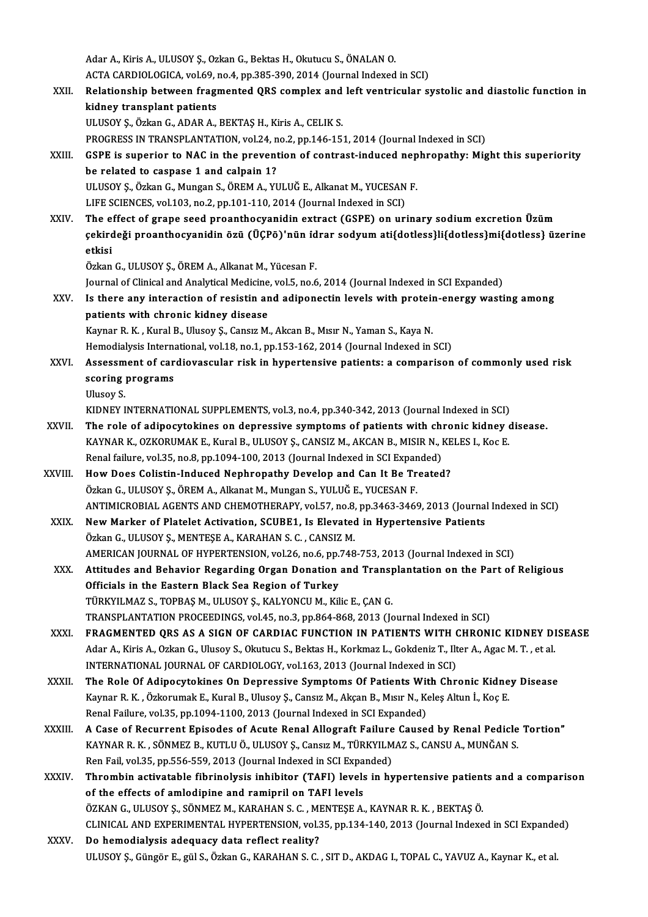AdarA.,KirisA.,ULUSOYŞ.,OzkanG.,BektasH.,Okutucu S.,ÖNALANO. Adar A., Kiris A., ULUSOY Ş., Ozkan G., Bektas H., Okutucu S., ÖNALAN O.<br>ACTA CARDIOLOGICA, vol.69, no.4, pp.385-390, 2014 (Journal Indexed in SCI)<br>Pelationship between freemented OBS sempley and left ventrieulen s Adar A., Kiris A., ULUSOY Ş., Ozkan G., Bektas H., Okutucu S., ÖNALAN O.<br>ACTA CARDIOLOGICA, vol.69, no.4, pp.385-390, 2014 (Journal Indexed in SCI)<br>XXII. Relationship between fragmented QRS complex and left ventricular ACTA CARDIOLOGICA, vol.69, i<br>Relationship between fragi<br>kidney transplant patients Relationship between fragmented QRS complex and<br>kidney transplant patients<br>ULUSOY Ş., Özkan G., ADAR A., BEKTAŞ H., Kiris A., CELIK S.<br>PROCRESS IN TRANSPLANTATION, vol 24, no 2, nn 146, 15: kidney transplant patients<br>ULUSOY Ș., Özkan G., ADAR A., BEKTAŞ H., Kiris A., CELIK S.<br>PROGRESS IN TRANSPLANTATION, vol.24, no.2, pp.146-151, 2014 (Journal Indexed in SCI)<br>CSPE is superier to NAC in the prevention of sentr ULUSOY Ș., Özkan G., ADAR A., BEKTAȘ H., Kiris A., CELIK S.<br>PROGRESS IN TRANSPLANTATION, vol.24, no.2, pp.146-151, 2014 (Journal Indexed in SCI)<br>XXIII. GSPE is superior to NAC in the prevention of contrast-induced nephropa PROGRESS IN TRANSPLANTATION, vol.24, n<br>GSPE is superior to NAC in the prevent<br>be related to caspase 1 and calpain 1?<br>ULUSOV S. Örkan C. Mungan S. ÖREM A. VI GSPE is superior to NAC in the prevention of contrast-induced nep<br>be related to caspase 1 and calpain 1?<br>ULUSOY \$., Özkan G., Mungan S., ÖREM A., YULUĞ E., Alkanat M., YUCESAN F.<br>UEE SCIENCES vel 103 no 3 nn 101 110 2014 ( be related to caspase 1 and calpain 1?<br>ULUSOY Ş., Özkan G., Mungan S., ÖREM A., YULUĞ E., Alkanat M., YUCESAN F.<br>LIFE SCIENCES, vol.103, no.2, pp.101-110, 2014 (Journal Indexed in SCI) ULUSOY Ş., Özkan G., Mungan S., ÖREM A., YULUĞ E., Alkanat M., YUCESAN F.<br>LIFE SCIENCES, vol.103, no.2, pp.101-110, 2014 (Journal Indexed in SCI)<br>XXIV. The effect of grape seed proanthocyanidin extract (GSPE) on urinary so çekirdeǧi proanthocyanidin özü (ÜÇPö)'nün i̇drar sodyumati{dotless}li{dotless}mi{dotless} üzerine The e<br>çekird<br>ëtkisi ÖzkanG.,ULUSOYŞ.,ÖREMA.,AlkanatM.,YücesanF. etkisi<br>Özkan G., ULUSOY Ş., ÖREM A., Alkanat M., Yücesan F.<br>Journal of Clinical and Analytical Medicine, vol.5, no.6, 2014 (Journal Indexed in SCI Expanded)<br>Is there any interestion of resistin and adinonestin levels with Özkan G., ULUSOY Ş., ÖREM A., Alkanat M., Yücesan F.<br>Journal of Clinical and Analytical Medicine, vol.5, no.6, 2014 (Journal Indexed in SCI Expanded)<br>XXV. Is there any interaction of resistin and adiponectin levels with pr Journal of Clinical and Analytical Medicine<br>Is there any interaction of resistin are<br>patients with chronic kidney disease<br>Kaypan B. K., Kural B. Hlugay S. Cangra M Is there any interaction of resistin and adiponectin levels with protein<br>patients with chronic kidney disease<br>Kaynar R. K. , Kural B., Ulusoy Ş., Cansız M., Akcan B., Mısır N., Yaman S., Kaya N.<br>Hamedialyais International patients with chronic kidney disease<br>Kaynar R. K. , Kural B., Ulusoy Ş., Cansız M., Akcan B., Mısır N., Yaman S., Kaya N.<br>Hemodialysis International, vol.18, no.1, pp.153-162, 2014 (Journal Indexed in SCI)<br>Assessment of ca Kaynar R. K. , Kural B., Ulusoy Ş., Cansız M., Akcan B., Mısır N., Yaman S., Kaya N.<br>Hemodialysis International, vol.18, no.1, pp.153-162, 2014 (Journal Indexed in SCI)<br>XXVI. Assessment of cardiovascular risk in hypertensi Hemodialysis Interna<br>Assessment of car<br>scoring programs<br><sup>Illucov S</sup> Asses<mark>sm</mark><br>scoring<br>Ulusoy S.<br>KIDNEY I scoring programs<br>Ulusoy S.<br>KIDNEY INTERNATIONAL SUPPLEMENTS, vol.3, no.4, pp.340-342, 2013 (Journal Indexed in SCI)<br>The role of adinosytekines on denressive symptoms of patients with shronis kidney d Ulusoy S.<br>KIDNEY INTERNATIONAL SUPPLEMENTS, vol.3, no.4, pp.340-342, 2013 (Journal Indexed in SCI)<br>XXVII. The role of adipocytokines on depressive symptoms of patients with chronic kidney disease.<br>KAYNAR K. OZKORUMAK E. Ku KIDNEY INTERNATIONAL SUPPLEMENTS, vol.3, no.4, pp.340-342, 2013 (Journal Indexed in SCI)<br>The role of adipocytokines on depressive symptoms of patients with chronic kidney of<br>KAYNAR K., OZKORUMAK E., Kural B., ULUSOY Ş., CA The role of adipocytokines on depressive symptoms of patients with ch<br>KAYNAR K., OZKORUMAK E., Kural B., ULUSOY Ş., CANSIZ M., AKCAN B., MISIR N., I<br>Renal failure, vol.35, no.8, pp.1094-100, 2013 (Journal Indexed in SCI Ex KAYNAR K., OZKORUMAK E., Kural B., ULUSOY Ş., CANSIZ M., AKCAN B., MISIR N., KELES I., Koc E.<br>Renal failure, vol.35, no.8, pp.1094-100, 2013 (Journal Indexed in SCI Expanded)<br>XXVIII. How Does Colistin-Induced Nephropathy D Renal failure, vol.35, no.8, pp.1094-100, 2013 (Journal Indexed in SCI Expanded) How Does Colistin-Induced Nephropathy Develop and Can It Be Treated?<br>Özkan G., ULUSOY Ş., ÖREM A., Alkanat M., Mungan S., YULUĞ E., YUCESAN F.<br>ANTIMICROBIAL AGENTS AND CHEMOTHERAPY, vol.57, no.8, pp.3463-3469, 2013 (Journa Özkan G., ULUSOY Ş., ÖREM A., Alkanat M., Mungan S., YULUĞ E., YUCESAN F.<br>ANTIMICROBIAL AGENTS AND CHEMOTHERAPY, vol.57, no.8, pp.3463-3469, 2013 (Journal<br>XXIX. New Marker of Platelet Activation, SCUBE1, Is Elevated in Hyp ANTIMICROBIAL AGENTS AND CHEMOTHERAPY, vol.57, no.8,<br>New Marker of Platelet Activation, SCUBE1, Is Elevated<br>Özkan G., ULUSOY Ş., MENTEŞE A., KARAHAN S. C. , CANSIZ M.<br>AMERICAN JOURNAL OF HYBERTENSION, vol.36, no.6, np.748 New Marker of Platelet Activation, SCUBE1, Is Elevated in Hypertensive Patients<br>Özkan G., ULUSOY Ş., MENTEŞE A., KARAHAN S. C. , CANSIZ M.<br>AMERICAN JOURNAL OF HYPERTENSION, vol.26, no.6, pp.748-753, 2013 (Journal Indexed i Özkan G., ULUSOY Ş., MENTEŞE A., KARAHAN S. C. , CANSIZ M.<br>AMERICAN JOURNAL OF HYPERTENSION, vol.26, no.6, pp.748-753, 2013 (Journal Indexed in SCI)<br>XXX. Attitudes and Behavior Regarding Organ Donation and Transplantat AMERICAN JOURNAL OF HYPERTENSION, vol.26, no.6, pp.<br>Attitudes and Behavior Regarding Organ Donation<br>Officials in the Eastern Black Sea Region of Turkey<br>T<sup>UREVULMAZS</sub> TOPPASM ULUSOVS FALVONCUM FU</sup> TÜRKYILMAZ S., TOPBAŞ M., ULUSOY Ş., KALYONCU M., Kilic E., ÇAN G. TRANSPLANTATIONPROCEEDINGS,vol.45,no.3,pp.864-868,2013 (Journal Indexed inSCI) TÜRKYILMAZ S., TOPBAŞ M., ULUSOY Ş., KALYONCU M., Kilic E., ÇAN G.<br>TRANSPLANTATION PROCEEDINGS, vol.45, no.3, pp.864-868, 2013 (Journal Indexed in SCI)<br>XXXI. FRAGMENTED QRS AS A SIGN OF CARDIAC FUNCTION IN PATIENTS WITH CH TRANSPLANTATION PROCEEDINGS, vol.45, no.3, pp.864-868, 2013 (Journal Indexed in SCI)<br>FRAGMENTED QRS AS A SIGN OF CARDIAC FUNCTION IN PATIENTS WITH CHRONIC KIDNEY DI<br>Adar A., Kiris A., Ozkan G., Ulusoy S., Okutucu S., Bekta FRAGMENTED QRS AS A SIGN OF CARDIAC FUNCTION IN PATIENTS WITH (<br>Adar A., Kiris A., Ozkan G., Ulusoy S., Okutucu S., Bektas H., Korkmaz L., Gokdeniz T., Ilt<br>INTERNATIONAL JOURNAL OF CARDIOLOGY, vol.163, 2013 (Journal Indexe Adar A., Kiris A., Ozkan G., Ulusoy S., Okutucu S., Bektas H., Korkmaz L., Gokdeniz T., Ilter A., Agac M. T. , et al.<br>INTERNATIONAL JOURNAL OF CARDIOLOGY, vol.163, 2013 (Journal Indexed in SCI)<br>XXXII. The Role Of Adipo INTERNATIONAL JOURNAL OF CARDIOLOGY, vol.163, 2013 (Journal Indexed in SCI)<br>The Role Of Adipocytokines On Depressive Symptoms Of Patients With Chronic Kidne<br>Kaynar R. K. , Özkorumak E., Kural B., Ulusoy Ş., Cansız M., Akça The Role Of Adipocytokines On Depressive Symptoms Of Patients Wit<br>Kaynar R. K. , Özkorumak E., Kural B., Ulusoy Ş., Cansız M., Akçan B., Mısır N., Ko<br>Renal Failure, vol.35, pp.1094-1100, 2013 (Journal Indexed in SCI Expand Kaynar R. K. , Özkorumak E., Kural B., Ulusoy Ş., Cansız M., Akçan B., Mısır N., Keleş Altun İ., Koç E.<br>Renal Failure, vol.35, pp.1094-1100, 2013 (Journal Indexed in SCI Expanded)<br>XXXIII. A Case of Recurrent Episodes o Renal Failure, vol.35, pp.1094-1100, 2013 (Journal Indexed in SCI Expanded)<br>A Case of Recurrent Episodes of Acute Renal Allograft Failure Caused by Renal Pedicle<br>KAYNAR R. K. , SÖNMEZ B., KUTLU Ö., ULUSOY Ş., Cansız M., TÜ A Case of Recurrent Episodes of Acute Renal Allograft Failure<br>KAYNAR R. K. , SÖNMEZ B., KUTLU Ö., ULUSOY Ş., Cansız M., TÜRKYILM<br>Ren Fail, vol.35, pp.556-559, 2013 (Journal Indexed in SCI Expanded)<br>Thrombin estivateble fib KAYNAR R. K. , SÖNMEZ B., KUTLU Ö., ULUSOY Ş., Cansız M., TÜRKYILMAZ S., CANSU A., MUNĞAN S.<br>Ren Fail, vol.35, pp.556-559, 2013 (Journal Indexed in SCI Expanded)<br>XXXIV. Thrombin activatable fibrinolysis inhibitor (TAFI of the effects of amlodipine and ramipril on TAFI levels Thrombin activatable fibrinolysis inhibitor (TAFI) levels in hypertensive patient<br>of the effects of amlodipine and ramipril on TAFI levels<br>ÖZKAN G., ULUSOY Ş., SÖNMEZ M., KARAHAN S. C. , MENTEŞE A., KAYNAR R. K. , BEKTAŞ Ö CLINICAL AND EXPERIMENTAL HYPERTENSION, vol.35, pp.134-140, 2013 (Journal Indexed in SCI Expanded)<br>Do hemodialysis adequacy data reflect reality? ÖZKAN G., ULUSOY Ş., SÖNMEZ M., KARAHAN S. C. , MI<br>CLINICAL AND EXPERIMENTAL HYPERTENSION, vol.<br>XXXV. Do hemodialysis adequacy data reflect reality? ULUSOY Ş., Güngör E., gül S., Özkan G., KARAHAN S. C., SIT D., AKDAG I., TOPAL C., YAVUZ A., Kaynar K., et al.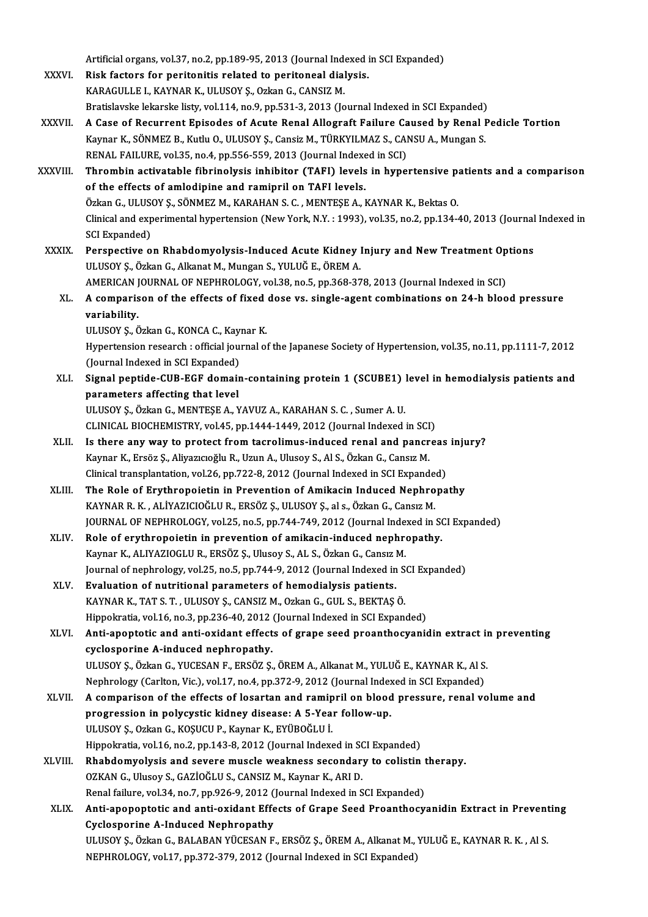Artificial organs, vol.37, no.2, pp.189-95, 2013 (Journal Indexed in SCI Expanded) Artificial organs, vol.37, no.2, pp.189-95, 2013 (Journal Indexed i<br>XXXVI. Risk factors for peritonitis related to peritoneal dialysis.<br>KARACULLEL KAVNAR K. ULUSOV S. Orkan G. GANSIZ M Artificial organs, vol.37, no.2, pp.189-95, 2013 (Journal Index)<br>Risk factors for peritonitis related to peritoneal dial<br>KARAGULLE I., KAYNAR K., ULUSOY Ş., Ozkan G., CANSIZ M.<br>Pratislavska lakanska listy, vol.114, no.9, n KARAGULLE I., KAYNAR K., ULUSOY Ş., Ozkan G., CANSIZ M.<br>Bratislavske lekarske listy, vol.114, no.9, pp.531-3, 2013 (Journal Indexed in SCI Expanded) XXXVII. A Case of Recurrent Episodes of Acute Renal Allograft Failure Caused by Renal Pedicle Tortion Bratislavske lekarske listy, vol.114, no.9, pp.531-3, 2013 (Journal Indexed in SCI Expanded)<br>A Case of Recurrent Episodes of Acute Renal Allograft Failure Caused by Renal I<br>Kaynar K., SÖNMEZ B., Kutlu O., ULUSOY Ş., Cansiz A Case of Recurrent Episodes of Acute Renal Allograft Failure Ca<br>Kaynar K., SÖNMEZ B., Kutlu O., ULUSOY Ş., Cansiz M., TÜRKYILMAZ S., CAI<br>RENAL FAILURE, vol.35, no.4, pp.556-559, 2013 (Journal Indexed in SCI)<br>Thrombin asti XXXVIII. Thrombin activatable fibrinolysis inhibitor (TAFI) levels in hypertensive patients and a comparison<br>of the effects of amlodipine and ramipril on TAFI levels. RENAL FAILURE, vol.35, no.4, pp.556-559, 2013 (Journal Indexed in SCI) Thrombin activatable fibrinolysis inhibitor (TAFI) levels in hypertensive particle of the effects of amlodipine and ramipril on TAFI levels.<br>Özkan G., ULUSOY Ş., SÖNMEZ M., KARAHAN S. C. , MENTEŞE A., KAYNAR K., Bektas O.<br> Clinical and experimental hypertension (New York, N.Y. : 1993), vol.35, no.2, pp.134-40, 2013 (Journal Indexed in SCI Expanded) Özkan G., ULUS<br>Clinical and exp<br>SCI Expanded)<br>Perspective e XXXIX. Perspective on Rhabdomyolysis-Induced Acute Kidney Injury and NewTreatment Options ULUSOYŞ.,ÖzkanG.,AlkanatM.,MunganS.,YULUĞE.,ÖREMA. Perspective on Rhabdomyolysis-Induced Acute Kidney Injury and New Treatment Op<br>ULUSOY Ş., Özkan G., Alkanat M., Mungan S., YULUĞ E., ÖREM A.<br>AMERICAN JOURNAL OF NEPHROLOGY, vol.38, no.5, pp.368-378, 2013 (Journal Indexed i ULUSOY Ș., Özkan G., Alkanat M., Mungan S., YULUĞ E., ÖREM A.<br>AMERICAN JOURNAL OF NEPHROLOGY, vol.38, no.5, pp.368-378, 2013 (Journal Indexed in SCI)<br>XL. A comparison of the effects of fixed dose vs. single-agent combi **AMERICAN**<br>**A comparis<br>variability.**<br>ULUSOV S. Ö A comparison of the effects of fixed<br>variability.<br>ULUSOY Ş., Özkan G., KONCA C., Kaynar K.<br>Hunartanaian ressansh : official jayrnal of **variability.**<br>ULUSOY Ş., Özkan G., KONCA C., Kaynar K.<br>Hypertension research : official journal of the Japanese Society of Hypertension, vol.35, no.11, pp.1111-7, 2012<br>(Journal Indeved in SCL Eupended) ULUSOY Ş., Özkan G., KONCA C., Kay<br>Hypertension research : official jou:<br>(Journal Indexed in SCI Expanded)<br>Signal pantide GUB ECE demoi: Hypertension research : official journal of the Japanese Society of Hypertension, vol.35, no.11, pp.1111-7, 2012<br>(Journal Indexed in SCI Expanded)<br>XLI. Signal peptide-CUB-EGF domain-containing protein 1 (SCUBE1) level in h (Journal Indexed in SCI Expanded)<br>XLI. Signal peptide-CUB-EGF domain-containing protein 1 (SCUBE1) level in hemodialysis patients and<br>parameters affecting that level ULUSOY Ş., Özkan G., MENTEŞE A., YAVUZ A., KARAHAN S. C., Sumer A. U. parameters affecting that level<br>ULUSOY \$., Özkan G., MENTE\$E A., YAVUZ A., KARAHAN S. C. , Sumer A. U.<br>CLINICAL BIOCHEMISTRY, vol.45, pp.1444-1449, 2012 (Journal Indexed in SCI)<br>Is there any way to protect from togralimus XLII. Is there any way to protect from tacrolimus-induced renal and pancreas injury? CLINICAL BIOCHEMISTRY, vol.45, pp.1444-1449, 2012 (Journal Indexed in SCI<br>Is there any way to protect from tacrolimus-induced renal and pancr<br>Kaynar K., Ersöz Ş., Aliyazıcıoğlu R., Uzun A., Ulusoy S., Al S., Özkan G., Cans Kaynar K., Ersöz Ș., Aliyazıcıoğlu R., Uzun A., Ulusoy S., Al S., Özkan G., Cansız M.<br>Clinical transplantation, vol.26, pp.722-8, 2012 (Journal Indexed in SCI Expanded) XLIII. The Role of Erythropoietin in Prevention of Amikacin Induced Nephropathy Clinical transplantation, vol.26, pp.722-8, 2012 (Journal Indexed in SCI Expande<br>The Role of Erythropoietin in Prevention of Amikacin Induced Nephro<br>KAYNAR R. K. , ALİYAZICIOĞLU R., ERSÖZ Ş., ULUSOY Ş., al s., Özkan G., Ca JOURNAL OF NEPHROLOGY, vol.25, no.5, pp.744-749, 2012 (Journal Indexed in SCI Expanded)<br>Role of erythropoietin in prevention of amikacin-induced nephropathy. KAYNAR R. K., ALİYAZICIOĞLU R., ERSÖZ Ş., ULUSOY Ş., al s., Özkan G., Cansız M.<br>JOURNAL OF NEPHROLOGY, vol.25, no.5, pp.744-749, 2012 (Journal Indexed in Statistic Alexandric Nephropathy.<br>Kayman K. Al IYAZIOCU ILB. ERSÖZ S JOURNAL OF NEPHROLOGY, vol.25, no.5, pp.744-749, 2012 (Journal Index<br>Role of erythropoietin in prevention of amikacin-induced nephro<br>Kaynar K., ALIYAZIOGLU R., ERSÖZ Ş., Ulusoy S., AL S., Özkan G., Cansız M.<br>Journal of per Journal of nephrology, vol.25, no.5, pp.744-9, 2012 (Journal Indexed in SCI Expanded)<br>Evaluation of nutritional parameters of hemodialysis patients. Kaynar K., ALIYAZIOGLU R., ERSÖZ Ş., Ulusoy S., AL S., Özkan G., Cansız ]<br>Journal of nephrology, vol.25, no.5, pp.744-9, 2012 (Journal Indexed in XLV. Evaluation of nutritional parameters of hemodialysis patients.<br>KAYNAR K Journal of nephrology, vol.25, no.5, pp.744-9, 2012 (Journal Indexed in S<br>Evaluation of nutritional parameters of hemodialysis patients.<br>KAYNAR K., TAT S. T. , ULUSOY Ş., CANSIZ M., Ozkan G., GUL S., BEKTAŞ Ö.<br>Hinnelmatia Evaluation of nutritional parameters of hemodialysis patients.<br>KAYNAR K., TAT S. T. , ULUSOY Ş., CANSIZ M., Ozkan G., GUL S., BEKTAŞ Ö.<br>Hippokratia, vol.16, no.3, pp.236-40, 2012 (Journal Indexed in SCI Expanded)<br>Anti-apon XLVI. Anti-apoptotic and anti-oxidant effects of grape seed proanthocyanidin extract in preventing cyclosporine A-induced nephropathy. Anti-apoptotic and anti-oxidant effects of grape seed proanthocyanidin extract in<br>cyclosporine A-induced nephropathy.<br>ULUSOY Ş., Özkan G., YUCESAN F., ERSÖZ Ş., ÖREM A., Alkanat M., YULUĞ E., KAYNAR K., Al S.<br>Nephrology (C cyclosporine A-induced nephropathy.<br>ULUSOY Ș., Özkan G., YUCESAN F., ERSÖZ Ș., ÖREM A., Alkanat M., YULUĞ E., KAYNAR K., Al S.<br>Nephrology (Carlton, Vic.), vol.17, no.4, pp.372-9, 2012 (Journal Indexed in SCI Expanded)<br>A co ULUSOY Ș., Özkan G., YUCESAN F., ERSÖZ Ș., ÖREM A., Alkanat M., YULUĞ E., KAYNAR K., Al S.<br>Nephrology (Carlton, Vic.), vol.17, no.4, pp.372-9, 2012 (Journal Indexed in SCI Expanded)<br>XLVII. A comparison of the effects of lo Nephrology (Carlton, Vic.), vol.17, no.4, pp.372-9, 2012 (Journal Index<br>A comparison of the effects of losartan and ramipril on blood<br>progression in polycystic kidney disease: A 5-Year follow-up.<br>HUROVS, Orkan G, KOSUCU B, A comparison of the effects of losartan and ramip<br>progression in polycystic kidney disease: A 5-Yea:<br>ULUSOY Ş., Ozkan G., KOŞUCU P., Kaynar K., EYÜBOĞLU İ.<br>Hinnelmatia vel 16 ne 2 nn 142 8 2012 (Jaurnal Indexa progression in polycystic kidney disease: A 5-Year follow-up.<br>ULUSOY \$., Ozkan G., KO\$UCU P., Kaynar K., EYÜBOĞLU İ.<br>Hippokratia, vol.16, no.2, pp.143-8, 2012 (Journal Indexed in SCI Expanded)<br>Phabdomyolysis and seyore mus ULUSOY Ş., Ozkan G., KOŞUCU P., Kaynar K., EYÜBOĞLU İ.<br>Hippokratia, vol.16, no.2, pp.143-8, 2012 (Journal Indexed in SCI Expanded)<br>XLVIII. Rhabdomyolysis and severe muscle weakness secondary to colistin therapy.<br>OZKAN G., Hippokratia, vol.16, no.2, pp.143-8, 2012 (Journal Indexed in SC)<br>Rhabdomyolysis and severe muscle weakness secondary<br>OZKAN G., Ulusoy S., GAZİOĞLU S., CANSIZ M., Kaynar K., ARI D.<br>Penal failure vol.34, no.3, np.926, 9, 20 Renal failure, vol.34, no.7, pp.926-9, 2012 (Journal Indexed in SCI Expanded) OZKAN G., Ulusoy S., GAZİOĞLU S., CANSIZ M., Kaynar K., ARI D.<br>Renal failure, vol.34, no.7, pp.926-9, 2012 (Journal Indexed in SCI Expanded)<br>XLIX. Anti-apopoptotic and anti-oxidant Effects of Grape Seed Proanthocyanidin Ex Renal failure, vol.34, no.7, pp.926-9, 2012 (<br>Anti-apopoptotic and anti-oxidant Effe<br>Cyclosporine A-Induced Nephropathy<br>III USOV S. Özkan G. BALABAN VÜCESAN E Anti-apopoptotic and anti-oxidant Effects of Grape Seed Proanthocyanidin Extract in Prevent<br>Cyclosporine A-Induced Nephropathy<br>ULUSOY Ş., Özkan G., BALABAN YÜCESAN F., ERSÖZ Ş., ÖREM A., Alkanat M., YULUĞ E., KAYNAR R. K. Cyclosporine A-Induced Nephropathy<br>ULUSOY Ș., Özkan G., BALABAN YÜCESAN F., ERSÖZ Ș., ÖREM A., Alkanat M., YULUĞ E., KAYNAR R. K. , Al S.<br>NEPHROLOGY, vol.17, pp.372-379, 2012 (Journal Indexed in SCI Expanded)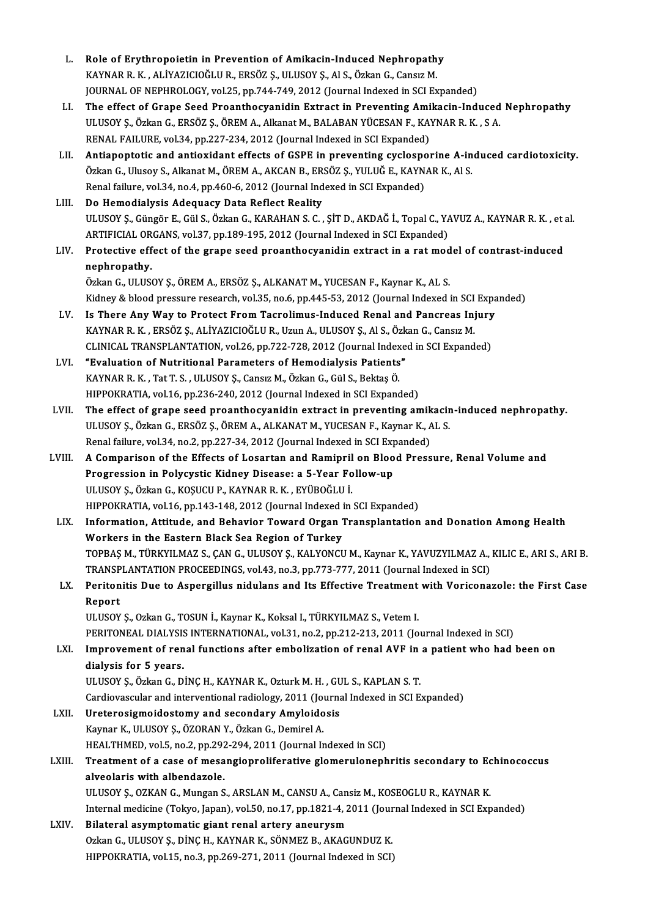| L.     | Role of Erythropoietin in Prevention of Amikacin-Induced Nephropathy                                              |
|--------|-------------------------------------------------------------------------------------------------------------------|
|        | KAYNAR R. K., ALİYAZICIOĞLU R., ERSÖZ Ş., ULUSOY Ş., Al S., Özkan G., Cansız M.                                   |
|        | JOURNAL OF NEPHROLOGY, vol.25, pp.744-749, 2012 (Journal Indexed in SCI Expanded)                                 |
| LI.    | The effect of Grape Seed Proanthocyanidin Extract in Preventing Amikacin-Induced Nephropathy                      |
|        | ULUSOY Ş., Özkan G., ERSÖZ Ş., ÖREM A., Alkanat M., BALABAN YÜCESAN F., KAYNAR R. K., S A.                        |
|        | RENAL FAILURE, vol.34, pp.227-234, 2012 (Journal Indexed in SCI Expanded)                                         |
| LII.   | Antiapoptotic and antioxidant effects of GSPE in preventing cyclosporine A-induced cardiotoxicity.                |
|        | Özkan G., Ulusoy S., Alkanat M., ÖREM A., AKCAN B., ERSÖZ Ş., YULUĞ E., KAYNAR K., Al S.                          |
|        | Renal failure, vol.34, no.4, pp.460-6, 2012 (Journal Indexed in SCI Expanded)                                     |
| LIII.  | Do Hemodialysis Adequacy Data Reflect Reality                                                                     |
|        | ULUSOY Ș., Güngör E., Gül S., Özkan G., KARAHAN S. C., ȘİT D., AKDAĞ İ., Topal C., YAVUZ A., KAYNAR R. K., et al. |
|        | ARTIFICIAL ORGANS, vol.37, pp.189-195, 2012 (Journal Indexed in SCI Expanded)                                     |
| LIV.   | Protective effect of the grape seed proanthocyanidin extract in a rat model of contrast-induced                   |
|        | nephropathy.                                                                                                      |
|        | Özkan G., ULUSOY Ş., ÖREM A., ERSÖZ Ş., ALKANAT M., YUCESAN F., Kaynar K., AL S.                                  |
|        | Kidney & blood pressure research, vol.35, no.6, pp.445-53, 2012 (Journal Indexed in SCI Expanded)                 |
| LV.    | Is There Any Way to Protect From Tacrolimus-Induced Renal and Pancreas Injury                                     |
|        | KAYNAR R. K., ERSÖZ Ş., ALİYAZICIOĞLU R., Uzun A., ULUSOY Ş., Al S., Özkan G., Cansız M.                          |
|        | CLINICAL TRANSPLANTATION, vol.26, pp.722-728, 2012 (Journal Indexed in SCI Expanded)                              |
| LVI.   | "Evaluation of Nutritional Parameters of Hemodialysis Patients"                                                   |
|        | KAYNAR R. K., Tat T. S., ULUSOY Ş., Cansız M., Özkan G., Gül S., Bektaş Ö.                                        |
|        | HIPPOKRATIA, vol.16, pp.236-240, 2012 (Journal Indexed in SCI Expanded)                                           |
| LVII.  | The effect of grape seed proanthocyanidin extract in preventing amikacin-induced nephropathy.                     |
|        | ULUSOY Ş., Özkan G., ERSÖZ Ş., ÖREM A., ALKANAT M., YUCESAN F., Kaynar K., AL S.                                  |
|        | Renal failure, vol.34, no.2, pp.227-34, 2012 (Journal Indexed in SCI Expanded)                                    |
| LVIII. | A Comparison of the Effects of Losartan and Ramipril on Blood Pressure, Renal Volume and                          |
|        | Progression in Polycystic Kidney Disease: a 5-Year Follow-up                                                      |
|        | ULUSOY Ş., Özkan G., KOŞUCU P., KAYNAR R. K., EYÜBOĞLU İ.                                                         |
|        | HIPPOKRATIA, vol.16, pp.143-148, 2012 (Journal Indexed in SCI Expanded)                                           |
| LIX.   | Information, Attitude, and Behavior Toward Organ Transplantation and Donation Among Health                        |
|        | Workers in the Eastern Black Sea Region of Turkey                                                                 |
|        | TOPBAŞ M., TÜRKYILMAZ S., ÇAN G., ULUSOY Ş., KALYONCU M., Kaynar K., YAVUZYILMAZ A., KILIC E., ARI S., ARI B.     |
|        | TRANSPLANTATION PROCEEDINGS, vol.43, no.3, pp.773-777, 2011 (Journal Indexed in SCI)                              |
| LX.    | Peritonitis Due to Aspergillus nidulans and Its Effective Treatment with Voriconazole: the First Case             |
|        | Report                                                                                                            |
|        | ULUSOY Ș., Ozkan G., TOSUN İ., Kaynar K., Koksal I., TÜRKYILMAZ S., Vetem I.                                      |
|        | PERITONEAL DIALYSIS INTERNATIONAL, vol.31, no.2, pp.212-213, 2011 (Journal Indexed in SCI)                        |
| LXI.   | Improvement of renal functions after embolization of renal AVF in a patient who had been on                       |
|        | dialysis for 5 years.                                                                                             |
|        | ULUSOY Ş., Özkan G., DİNÇ H., KAYNAR K., Ozturk M. H., GUL S., KAPLAN S. T.                                       |
|        | Cardiovascular and interventional radiology, 2011 (Journal Indexed in SCI Expanded)                               |
| LXII.  | Ureterosigmoidostomy and secondary Amyloidosis                                                                    |
|        | Kaynar K., ULUSOY Ş., ÖZORAN Y., Özkan G., Demirel A.                                                             |
|        | HEALTHMED, vol.5, no.2, pp.292-294, 2011 (Journal Indexed in SCI)                                                 |
| LXIII. | Treatment of a case of mesangioproliferative glomerulonephritis secondary to Echinococcus                         |
|        | alveolaris with albendazole.                                                                                      |
|        | ULUSOY S., OZKAN G., Mungan S., ARSLAN M., CANSU A., Cansiz M., KOSEOGLU R., KAYNAR K.                            |
|        | Internal medicine (Tokyo, Japan), vol.50, no.17, pp.1821-4, 2011 (Journal Indexed in SCI Expanded)                |
| LXIV.  | Bilateral asymptomatic giant renal artery aneurysm                                                                |
|        | Ozkan G., ULUSOY Ş., DİNÇ H., KAYNAR K., SÖNMEZ B., AKAGUNDUZ K.                                                  |
|        | HIPPOKRATIA, vol.15, no.3, pp.269-271, 2011 (Journal Indexed in SCI)                                              |
|        |                                                                                                                   |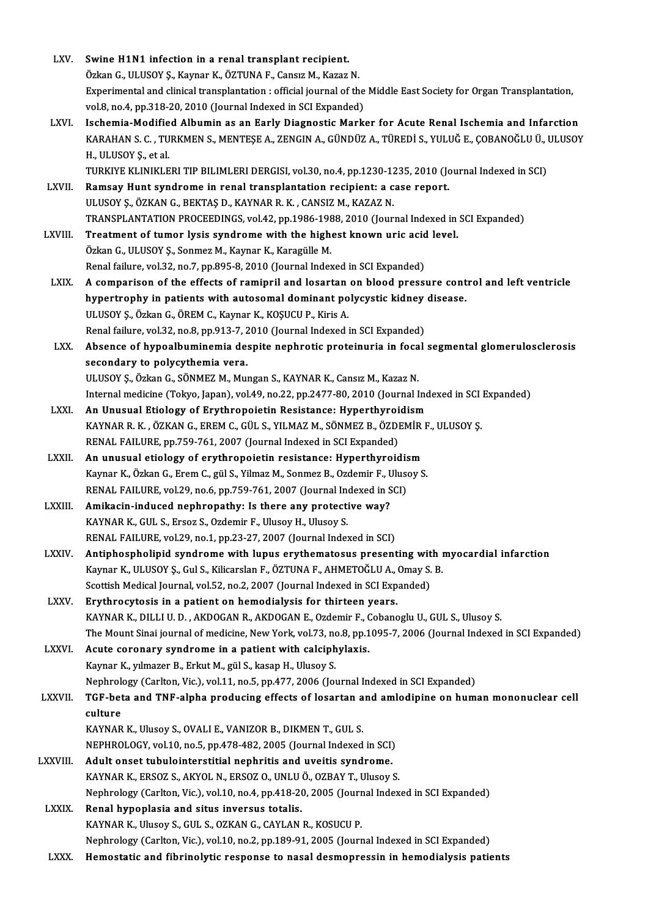| LXV.           | Swine H1N1 infection in a renal transplant recipient.                                                                                                                                |
|----------------|--------------------------------------------------------------------------------------------------------------------------------------------------------------------------------------|
|                | Özkan G., ULUSOY Ş., Kaynar K., ÖZTUNA F., Cansız M., Kazaz N.<br>Experimental and clinical transplantation : official journal of the Middle East Society for Organ Transplantation, |
|                | vol.8, no.4, pp.318-20, 2010 (Journal Indexed in SCI Expanded)                                                                                                                       |
| LXVI.          | Ischemia-Modified Albumin as an Early Diagnostic Marker for Acute Renal Ischemia and Infarction                                                                                      |
|                | KARAHAN S. C. , TURKMEN S., MENTEŞE A., ZENGIN A., GÜNDÜZ A., TÜREDİ S., YULUĞ E., ÇOBANOĞLU Ü., ULUSOY                                                                              |
|                | H, ULUSOY Ş, et al.                                                                                                                                                                  |
|                | TURKIYE KLINIKLERI TIP BILIMLERI DERGISI, vol.30, no.4, pp.1230-1235, 2010 (Journal Indexed in SCI)                                                                                  |
| LXVII.         | Ramsay Hunt syndrome in renal transplantation recipient: a case report.                                                                                                              |
|                | ULUSOY Ş., ÖZKAN G., BEKTAŞ D., KAYNAR R. K., CANSIZ M., KAZAZ N.                                                                                                                    |
|                | TRANSPLANTATION PROCEEDINGS, vol.42, pp.1986-1988, 2010 (Journal Indexed in SCI Expanded)                                                                                            |
| LXVIII.        | Treatment of tumor lysis syndrome with the highest known uric acid level.                                                                                                            |
|                | Özkan G., ULUSOY Ş., Sonmez M., Kaynar K., Karagülle M.                                                                                                                              |
|                | Renal failure, vol.32, no.7, pp.895-8, 2010 (Journal Indexed in SCI Expanded)                                                                                                        |
| LXIX.          | A comparison of the effects of ramipril and losartan on blood pressure control and left ventricle                                                                                    |
|                | hypertrophy in patients with autosomal dominant polycystic kidney disease.                                                                                                           |
|                | ULUSOY Ș., Özkan G., ÖREM C., Kaynar K., KOŞUCU P., Kiris A.                                                                                                                         |
|                | Renal failure, vol.32, no.8, pp.913-7, 2010 (Journal Indexed in SCI Expanded)                                                                                                        |
| LXX.           | Absence of hypoalbuminemia despite nephrotic proteinuria in focal segmental glomerulosclerosis                                                                                       |
|                | secondary to polycythemia vera.                                                                                                                                                      |
|                | ULUSOY Ş., Özkan G., SÖNMEZ M., Mungan S., KAYNAR K., Cansız M., Kazaz N.                                                                                                            |
|                | Internal medicine (Tokyo, Japan), vol.49, no.22, pp.2477-80, 2010 (Journal Indexed in SCI Expanded)                                                                                  |
| LXXI.          | An Unusual Etiology of Erythropoietin Resistance: Hyperthyroidism                                                                                                                    |
|                | KAYNAR R. K., ÖZKAN G., EREM C., GÜL S., YILMAZ M., SÖNMEZ B., ÖZDEMİR F., ULUSOY Ş.                                                                                                 |
|                | RENAL FAILURE, pp.759-761, 2007 (Journal Indexed in SCI Expanded)                                                                                                                    |
| LXXII.         | An unusual etiology of erythropoietin resistance: Hyperthyroidism                                                                                                                    |
|                | Kaynar K., Özkan G., Erem C., gül S., Yilmaz M., Sonmez B., Ozdemir F., Ulusoy S.                                                                                                    |
|                | RENAL FAILURE, vol.29, no.6, pp.759-761, 2007 (Journal Indexed in SCI)                                                                                                               |
| <b>LXXIII.</b> | Amikacin-induced nephropathy: Is there any protective way?                                                                                                                           |
|                | KAYNAR K., GUL S., Ersoz S., Ozdemir F., Ulusoy H., Ulusoy S.                                                                                                                        |
|                | RENAL FAILURE, vol.29, no.1, pp.23-27, 2007 (Journal Indexed in SCI)                                                                                                                 |
| LXXIV.         | Antiphospholipid syndrome with lupus erythematosus presenting with myocardial infarction                                                                                             |
|                | Kaynar K., ULUSOY Ş., Gul S., Kilicarslan F., ÖZTUNA F., AHMETOĞLU A., Omay S. B.                                                                                                    |
|                | Scottish Medical Journal, vol.52, no.2, 2007 (Journal Indexed in SCI Expanded)                                                                                                       |
| LXXV.          | Erythrocytosis in a patient on hemodialysis for thirteen years.                                                                                                                      |
|                | KAYNAR K., DILLI U. D., AKDOGAN R., AKDOGAN E., Ozdemir F., Cobanoglu U., GUL S., Ulusoy S.                                                                                          |
|                | The Mount Sinai journal of medicine, New York, vol.73, no.8, pp.1095-7, 2006 (Journal Indexed in SCI Expanded)                                                                       |
| <b>LXXVI</b>   | Acute coronary syndrome in a patient with calciphylaxis.                                                                                                                             |
|                | Kaynar K., yılmazer B., Erkut M., gül S., kasap H., Ulusoy S.                                                                                                                        |
|                | Nephrology (Carlton, Vic.), vol.11, no.5, pp.477, 2006 (Journal Indexed in SCI Expanded)                                                                                             |
| <b>LXXVII</b>  | TGF-beta and TNF-alpha producing effects of losartan and amlodipine on human mononuclear cell                                                                                        |
|                | culture<br>KAYNAR K., Ulusoy S., OVALI E., VANIZOR B., DIKMEN T., GUL S.                                                                                                             |
|                | NEPHROLOGY, vol.10, no.5, pp.478-482, 2005 (Journal Indexed in SCI)                                                                                                                  |
| LXXVIII.       | Adult onset tubulointerstitial nephritis and uveitis syndrome.                                                                                                                       |
|                | KAYNAR K., ERSOZ S., AKYOL N., ERSOZ O., UNLU Ö., OZBAY T., Ulusoy S.                                                                                                                |
|                | Nephrology (Carlton, Vic.), vol.10, no.4, pp.418-20, 2005 (Journal Indexed in SCI Expanded)                                                                                          |
| <b>LXXIX</b>   | Renal hypoplasia and situs inversus totalis.                                                                                                                                         |
|                | KAYNAR K., Ulusoy S., GUL S., OZKAN G., CAYLAN R., KOSUCU P.                                                                                                                         |
|                | Nephrology (Carlton, Vic.), vol.10, no.2, pp.189-91, 2005 (Journal Indexed in SCI Expanded)                                                                                          |
| <b>LXXX</b>    | Hemostatic and fibrinolytic response to nasal desmopressin in hemodialysis patients                                                                                                  |
|                |                                                                                                                                                                                      |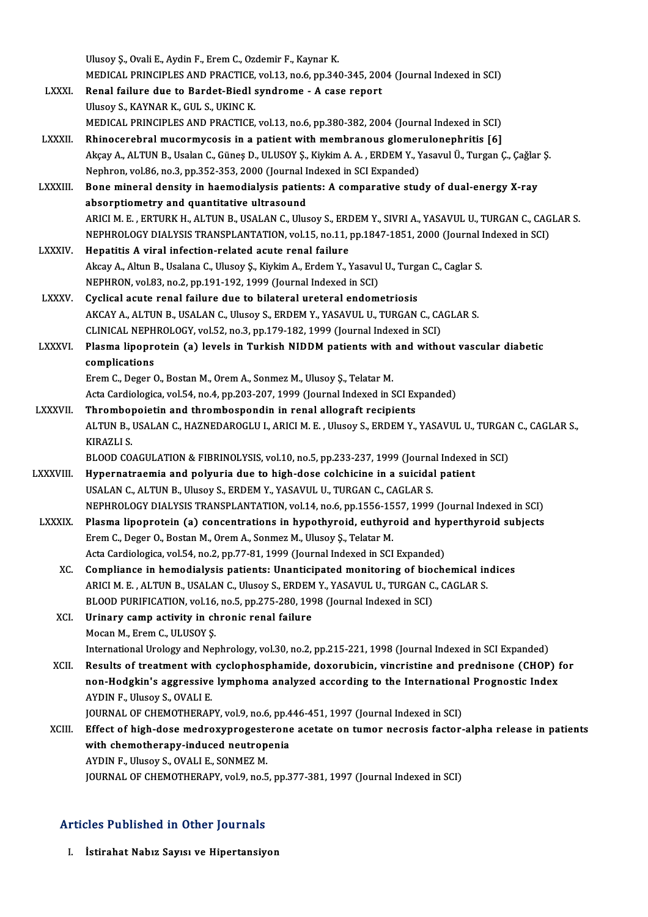|                                             | Ulusoy Ş., Ovali E., Aydin F., Erem C., Ozdemir F., Kaynar K.                                                |
|---------------------------------------------|--------------------------------------------------------------------------------------------------------------|
|                                             | MEDICAL PRINCIPLES AND PRACTICE, vol.13, no.6, pp.340-345, 2004 (Journal Indexed in SCI)                     |
| <b>LXXXI</b>                                | Renal failure due to Bardet-Biedl syndrome - A case report                                                   |
|                                             | Ulusoy S., KAYNAR K., GUL S., UKINC K.                                                                       |
|                                             | MEDICAL PRINCIPLES AND PRACTICE, vol.13, no.6, pp.380-382, 2004 (Journal Indexed in SCI)                     |
| <b>LXXXII.</b>                              | Rhinocerebral mucormycosis in a patient with membranous glomerulonephritis [6]                               |
|                                             | Akçay A., ALTUN B., Usalan C., Güneş D., ULUSOY Ş., Kiykim A. A., ERDEM Y., Yasavul Ü., Turgan Ç., Çağlar Ş. |
|                                             | Nephron, vol.86, no.3, pp.352-353, 2000 (Journal Indexed in SCI Expanded)                                    |
| <b>LXXXIII.</b>                             | Bone mineral density in haemodialysis patients: A comparative study of dual-energy X-ray                     |
|                                             | absorptiometry and quantitative ultrasound                                                                   |
|                                             | ARICI M. E., ERTURK H., ALTUN B., USALAN C., Ulusoy S., ERDEM Y., SIVRI A., YASAVUL U., TURGAN C., CAGLAR S. |
|                                             | NEPHROLOGY DIALYSIS TRANSPLANTATION, vol.15, no.11, pp.1847-1851, 2000 (Journal Indexed in SCI)              |
| <b>LXXXIV</b>                               | Hepatitis A viral infection-related acute renal failure                                                      |
|                                             | Akcay A., Altun B., Usalana C., Ulusoy Ş., Kiykim A., Erdem Y., Yasavul U., Turgan C., Caglar S.             |
|                                             | NEPHRON, vol.83, no.2, pp.191-192, 1999 (Journal Indexed in SCI)                                             |
| <b>LXXXV.</b>                               | Cyclical acute renal failure due to bilateral ureteral endometriosis                                         |
|                                             | AKCAY A., ALTUN B., USALAN C., Ulusoy S., ERDEM Y., YASAVUL U., TURGAN C., CAGLAR S.                         |
|                                             | CLINICAL NEPHROLOGY, vol.52, no.3, pp.179-182, 1999 (Journal Indexed in SCI)                                 |
| <b>LXXXVI.</b>                              | Plasma lipoprotein (a) levels in Turkish NIDDM patients with and without vascular diabetic<br>complications  |
|                                             | Erem C., Deger O., Bostan M., Orem A., Sonmez M., Ulusoy Ş., Telatar M.                                      |
|                                             | Acta Cardiologica, vol.54, no.4, pp.203-207, 1999 (Journal Indexed in SCI Expanded)                          |
| <b>LXXXVII.</b>                             | Thrombopoietin and thrombospondin in renal allograft recipients                                              |
|                                             | ALTUN B., USALAN C., HAZNEDAROGLU I., ARICI M. E., Ulusoy S., ERDEM Y., YASAVUL U., TURGAN C., CAGLAR S.,    |
|                                             | <b>KIRAZLI S</b>                                                                                             |
|                                             | BLOOD COAGULATION & FIBRINOLYSIS, vol.10, no.5, pp.233-237, 1999 (Journal Indexed in SCI)                    |
| <b>LXXXVIII</b>                             | Hypernatraemia and polyuria due to high-dose colchicine in a suicidal patient                                |
|                                             | USALAN C., ALTUN B., Ulusoy S., ERDEM Y., YASAVUL U., TURGAN C., CAGLAR S.                                   |
|                                             | NEPHROLOGY DIALYSIS TRANSPLANTATION, vol.14, no.6, pp.1556-1557, 1999 (Journal Indexed in SCI)               |
| LXXXIX.                                     | Plasma lipoprotein (a) concentrations in hypothyroid, euthyroid and hyperthyroid subjects                    |
|                                             | Erem C., Deger O., Bostan M., Orem A., Sonmez M., Ulusoy Ş., Telatar M.                                      |
|                                             | Acta Cardiologica, vol.54, no.2, pp.77-81, 1999 (Journal Indexed in SCI Expanded)                            |
| XC.                                         | Compliance in hemodialysis patients: Unanticipated monitoring of biochemical indices                         |
|                                             | ARICI M. E., ALTUN B., USALAN C., Ulusoy S., ERDEM Y., YASAVUL U., TURGAN C., CAGLAR S.                      |
|                                             | BLOOD PURIFICATION, vol.16, no.5, pp.275-280, 1998 (Journal Indexed in SCI)                                  |
| XCI.                                        | Urinary camp activity in chronic renal failure                                                               |
|                                             | Mocan M., Erem C., ULUSOY Ş.                                                                                 |
|                                             | International Urology and Nephrology, vol.30, no.2, pp.215-221, 1998 (Journal Indexed in SCI Expanded)       |
| XCII.                                       | Results of treatment with cyclophosphamide, doxorubicin, vincristine and prednisone (CHOP) for               |
|                                             | non-Hodgkin's aggressive lymphoma analyzed according to the International Prognostic Index                   |
|                                             | AYDIN F., Ulusoy S., OVALI E.                                                                                |
|                                             | JOURNAL OF CHEMOTHERAPY, vol.9, no.6, pp.446-451, 1997 (Journal Indexed in SCI)                              |
| XCIII.                                      | Effect of high-dose medroxyprogesterone acetate on tumor necrosis factor-alpha release in patients           |
|                                             | with chemotherapy-induced neutropenia                                                                        |
|                                             | AYDIN F., Ulusoy S., OVALI E., SONMEZ M.                                                                     |
|                                             | JOURNAL OF CHEMOTHERAPY, vol.9, no.5, pp.377-381, 1997 (Journal Indexed in SCI)                              |
|                                             |                                                                                                              |
|                                             |                                                                                                              |
| <b>Articles Published in Other Journals</b> |                                                                                                              |

## rticles Published in Other Journals<br><sub>I. İstirahat Nabız Sayısı ve Hipertansiyon</sub>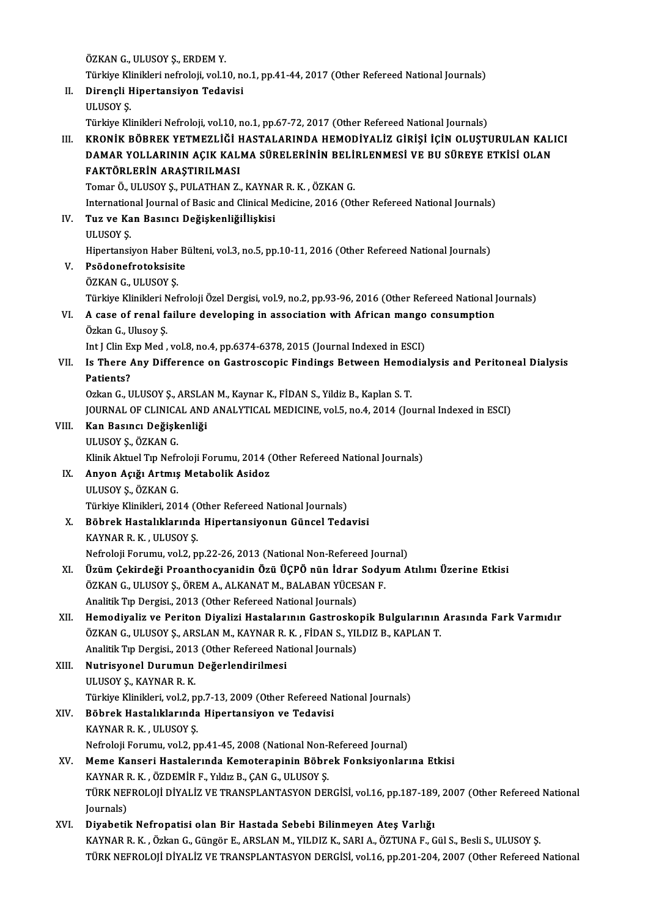ÖZKAN G., ULUSOY Ş., ERDEM Y. Türkiye Klinikleri nefroloji, vol.10, no.1, pp.41-44, 2017 (Other Refereed National Journals) II. Dirençli Hipertansiyon Tedavisi ULUSOY<sub>S.</sub> Türkiye Klinikleri Nefroloji, vol.10, no.1, pp.67-72, 2017 (Other Refereed National Journals) ULUSOY Ş.<br>Türkiye Klinikleri Nefroloji, vol.10, no.1, pp.67-72, 2017 (Other Refereed National Journals)<br>III. KRONİK BÖBREK YETMEZLİĞİ HASTALARINDA HEMODİYALİZ GİRİŞİ İÇİN OLUŞTURULAN KALICI<br>DAMAR YOLLARININ ACIK KALMA Türkiye Klinikleri Nefroloji, vol.10, no.1, pp.67-72, 2017 (Other Refereed National Journals)<br>KRONİK BÖBREK YETMEZLİĞİ HASTALARINDA HEMODİYALİZ GİRİŞİ İÇİN OLUŞTURULAN KALI<br>DAMAR YOLLARININ AÇIK KALMA SÜRELERİNİN BELİRLENM KRONİK BÖBREK YETMEZLİĞİ F<br>DAMAR YOLLARININ AÇIK KAL<br>FAKTÖRLERİN ARAŞTIRILMASI<br>Temar Ö, ULUSOV S, BULATHAN Z DAMAR YOLLARININ AÇIK KALMA SÜRELERİNİN BELİRLENMESİ VE BU SÜREYE ETKİSİ OLAN FAKTÖRLERİN ARAŞTIRILMASI<br>FAKTÖRLERİN ARAŞTIRILMASI<br>Tomar Ö., ULUSOY S., PULATHAN Z., KAYNAR R. K. , ÖZKAN G. FAKTÖRLERİN ARAŞTIRILMASI<br>Tomar Ö., ULUSOY Ş., PULATHAN Z., KAYNAR R. K. , ÖZKAN G.<br>International Journal of Basic and Clinical Medicine, 2016 (Other Refereed National Journals)<br>Tug ve Kan Basınsı Değiskanliğillişkisi IV. Tuz ve Kan Basıncı Değişkenliğiİlişkisi Internation<br>Tuz ve Ka<br>ULUSOY Ş.<br>Hinortansi Tuz ve Kan Basıncı Değişkenliğiİlişkisi<br>ULUSOY Ş.<br>Hipertansiyon Haber Bülteni, vol.3, no.5, pp.10-11, 2016 (Other Refereed National Journals)<br>Reğdenefreteksisite V. Psödonefrotoksisite Hipertansiyon Haber<br>Psödonefrotoksisit<br>ÖZKAN G., ULUSOY Ş.<br>Türkiye Klinikleri Nef Türkiye Klinikleri Nefroloji Özel Dergisi, vol.9, no.2, pp.93-96, 2016 (Other Refereed National Journals) ÖZKAN G., ULUSOY Ş.<br>Türkiye Klinikleri Nefroloji Özel Dergisi, vol.9, no.2, pp.93-96, 2016 (Other Refereed National J<br>VI. A case of renal failure developing in association with African mango consumption<br>Örken G. Ulysey Türkiye Klinikleri N<br><mark>A case of renal f</mark><br>Özkan G., Ulusoy Ş.<br>Int I Clin Eun Med A case of renal failure developing in association with African mango<br>Özkan G., Ulusoy Ş.<br>Int J Clin Exp Med , vol.8, no.4, pp.6374-6378, 2015 (Journal Indexed in ESCI)<br>Is There Any Difference on Gestrossonis Eindings Betwe Özkan G., Ulusoy Ș.<br>Int J Clin Exp Med , vol.8, no.4, pp.6374-6378, 2015 (Journal Indexed in ESCI)<br>VII. Is There Any Difference on Gastroscopic Findings Between Hemodialysis and Peritoneal Dialysis<br>Retiente? Int J Clin Export<br>Is There<br>Patients?<br>Ozkan C - U Is There Any Difference on Gastroscopic Findings Between Hemo.<br>Patients?<br>Ozkan G., ULUSOY Ş., ARSLAN M., Kaynar K., FİDAN S., Yildiz B., Kaplan S. T.<br>JOUPMAL OF CLINICAL AND ANALYTICAL MEDICINE YOLE PO 4, 2014 (Jo) Patients?<br>Ozkan G., ULUSOY Ş., ARSLAN M., Kaynar K., FİDAN S., Yildiz B., Kaplan S. T.<br>JOURNAL OF CLINICAL AND ANALYTICAL MEDICINE, vol.5, no.4, 2014 (Journal Indexed in ESCI) Ozkan G., ULUSOY Ş., ARSLA<br>JOURNAL OF CLINICAL AND<br>VIII. Kan Basıncı Değişkenliği<br>III IISOV S. ÖZKAN C JOURNAL OF CLINICA<br>Kan Basıncı Değişk<br>ULUSOY Ş., ÖZKAN G.<br>Klinik Altuel Tın Nefr ULUSOY Ș., ÖZKAN G.<br>Klinik Aktuel Tıp Nefroloji Forumu, 2014 (Other Refereed National Journals) IX. Anyon Açığı Artmış Metabolik Asidoz ULUSOYŞ.,ÖZKANG. Anyon Açığı Artmış Metabolik Asidoz<br>ULUSOY Ş., ÖZKAN G.<br>Türkiye Klinikleri, 2014 (Other Refereed National Journals)<br>Böhnek Hestalıklerunde Hinertansiyenun Günsel Tede X. Böbrek Hastalıklarında Hipertansiyonun Güncel Tedavisi Türkiye Klinikleri, 2014 (<mark>(</mark><br>Böbrek Hastalıklarında<br>KAYNAR R. K. , ULUSOY Ş.<br>Nefralaji Farumu, 1121 n Böbrek Hastalıklarında Hipertansiyonun Güncel Tedavisi<br>KAYNAR R. K. , ULUSOY Ş.<br>Nefroloji Forumu, vol.2, pp.22-26, 2013 (National Non-Refereed Journal)<br>Ürüm Celtindeği Preanthesyanidin Örü ÜCPÖ nün İdrar Sadyum A KAYNAR R. K. , ULUSOY Ş.<br>Nefroloji Forumu, vol.2, pp.22-26, 2013 (National Non-Refereed Journal)<br>XI. Üzüm Çekirdeği Proanthocyanidin Özü ÜÇPÖ nün İdrar Sodyum Atılımı Üzerine Etkisi<br>ÖZKAN C. ULUSOY S. ÖDEM A. ALKANAT M Nefroloji Forumu, vol.2, pp.22-26, 2013 (National Non-Refereed Journal)<br>Üzüm Çekirdeği Proanthocyanidin Özü ÜÇPÖ nün İdrar Sody<br>ÖZKAN G., ULUSOY Ş., ÖREM A., ALKANAT M., BALABAN YÜCESAN F.<br>Analitik Tın Dergisi, 2012 (Othar Üzüm Çekirdeği Proanthocyanidin Özü ÜÇPÖ nün İdrar<br>ÖZKAN G., ULUSOY Ş., ÖREM A., ALKANAT M., BALABAN YÜCES<br>Analitik Tıp Dergisi., 2013 (Other Refereed National Journals)<br>Hamadiyaliz ve Baritan Diyalizi Hastalarının Gastras ÖZKAN G., ULUSOY Ş., ÖREM A., ALKANAT M., BALABAN YÜCESAN F.<br>Analitik Tıp Dergisi., 2013 (Other Refereed National Journals)<br>XII. Hemodiyaliz ve Periton Diyalizi Hastalarının Gastroskopik Bulgularının Arasında Fark Varm Analitik Tıp Dergisi., 2013 (Other Refereed National Journals)<br>Hemodiyaliz ve Periton Diyalizi Hastalarının Gastroskopik Bulgularının<br>ÖZKAN G., ULUSOY Ş., ARSLAN M., KAYNAR R. K. , FİDAN S., YILDIZ B., KAPLAN T.<br>Analitik T Hemodiyaliz ve Periton Diyalizi Hastalarının Gastrosko<br>ÖZKAN G., ULUSOY Ş., ARSLAN M., KAYNAR R. K. , FİDAN S., YII<br>Analitik Tıp Dergisi., 2013 (Other Refereed National Journals)<br>Nutrisyonal Durumun Değerlendirilmesi ÖZKAN G., ULUSOY Ş., ARSLAN M., KAYNAR R.<br>Analitik Tıp Dergisi., 2013 (Other Refereed Na<br>XIII. Nutrisyonel Durumun Değerlendirilmesi<br>III IISOV S. KAYNAR R. K Analitik Tıp Dergisi., 2013<br><mark>Nutrisyonel Durumun</mark><br>ULUSOY Ş., KAYNAR R. K.<br>Türkiye Klinikleri, yol 2. n Nutrisyonel Durumun Değerlendirilmesi<br>ULUSOY Ş., KAYNAR R. K.<br>Türkiye Klinikleri, vol.2, pp.7-13, 2009 (Other Refereed National Journals)<br>Böhnek Hastalıklarında Hinertansiyen ve Tedevisi ULUSOY Ş., KAYNAR R. K.<br>Türkiye Klinikleri, vol.2, pp.7-13, 2009 (Other Refereed N<br>XIV. Böbrek Hastalıklarında Hipertansiyon ve Tedavisi<br>KAYNAR R. K. , ULUSOY Ş. Türkiye Klinikleri, vol.2, p<sub>l</sub><br>Böbrek Hastalıklarında<br>KAYNAR R. K. , ULUSOY Ş.<br>Nefreleji Ferumu, yol.2, p Böbrek Hastalıklarında Hipertansiyon ve Tedavisi<br>KAYNAR R. K. , ULUSOY Ş.<br>Nefroloji Forumu, vol.2, pp.41-45, 2008 (National Non-Refereed Journal)<br>Meme Kanseri Hestelerunda Kemetereninin Böhrek Fenksivenlerı XV. Meme Kanseri Hastalerında Kemoterapinin Böbrek Fonksiyonlarına Etkisi Nefroloji Forumu, vol.2, pp.41-45, 2008 (National Non-l<br>Meme Kanseri Hastalerında Kemoterapinin Böbro<br>KAYNAR R. K. , ÖZDEMİR F., Yıldız B., ÇAN G., ULUSOY Ş.<br>TÜRK NEEROLOJİ DİYALİZ VE TRANSPLANTASYON DEL Meme Kanseri Hastalerında Kemoterapinin Böbrek Fonksiyonlarına Etkisi<br>KAYNAR R. K. , ÖZDEMİR F., Yıldız B., ÇAN G., ULUSOY Ş.<br>TÜRK NEFROLOJİ DİYALİZ VE TRANSPLANTASYON DERGİSİ, vol.16, pp.187-189, 2007 (Other Refereed Nati KAYNAR I<br>TÜRK NEI<br>Journals)<br>Divebetil TÜRK NEFROLOJİ DİYALİZ VE TRANSPLANTASYON DERGİSİ, vol.16, pp.187-189<br>Journals)<br>XVI. Diyabetik Nefropatisi olan Bir Hastada Sebebi Bilinmeyen Ateş Varlığı Journals)<br>KVI. Diyabetik Nefropatisi olan Bir Hastada Sebebi Bilinmeyen Ateş Varlığı<br>KAYNAR R. K. , Özkan G., Güngör E., ARSLAN M., YILDIZ K., SARI A., ÖZTUNA F., Gül S., Besli S., ULUSOY Ş. TÜRK NEFROLOJİ DİYALİZ VE TRANSPLANTASYON DERGİSİ, vol.16, pp.201-204, 2007 (Other Refereed National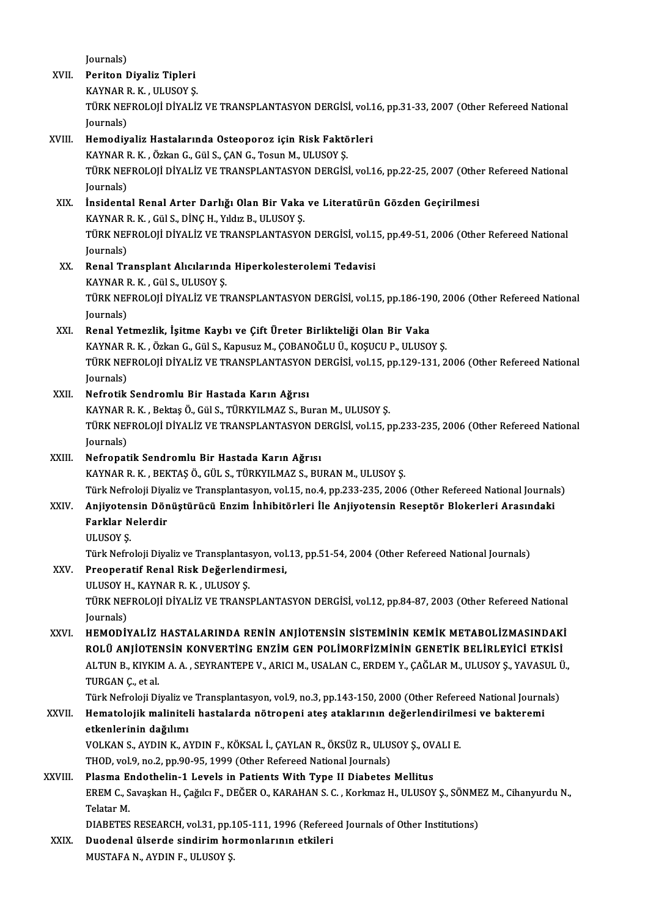Journals)<br>Periton I

|         | Journals)                                                                                                                                                                            |
|---------|--------------------------------------------------------------------------------------------------------------------------------------------------------------------------------------|
| XVII.   | Periton Diyaliz Tipleri                                                                                                                                                              |
|         | KAYNAR R. K., ULUSOY Ş.<br>TÜRK NEFROLOJİ DİYALİZ VE TRANSPLANTASYON DERGİSİ, vol.16, pp.31-33, 2007 (Other Refereed National                                                        |
|         |                                                                                                                                                                                      |
|         | Journals)                                                                                                                                                                            |
| XVIII.  | Hemodiyaliz Hastalarında Osteoporoz için Risk Faktörleri                                                                                                                             |
|         | KAYNAR R. K., Özkan G., Gül S., ÇAN G., Tosun M., ULUSOY Ş.                                                                                                                          |
|         | TÜRK NEFROLOJİ DİYALİZ VE TRANSPLANTASYON DERGİSİ, vol.16, pp.22-25, 2007 (Other Refereed National                                                                                   |
|         | Journals)                                                                                                                                                                            |
| XIX.    | İnsidental Renal Arter Darlığı Olan Bir Vaka ve Literatürün Gözden Geçirilmesi                                                                                                       |
|         | KAYNAR R. K., Gül S., DİNÇ H., Yıldız B., ULUSOY Ş.                                                                                                                                  |
|         | TÜRK NEFROLOJİ DİYALİZ VE TRANSPLANTASYON DERGİSİ, vol.15, pp.49-51, 2006 (Other Refereed National                                                                                   |
|         | Journals)                                                                                                                                                                            |
| XX.     | Renal Transplant Alıcılarında Hiperkolesterolemi Tedavisi                                                                                                                            |
|         | KAYNAR R. K., Gül S., ULUSOY S.                                                                                                                                                      |
|         | TÜRK NEFROLOJİ DİYALİZ VE TRANSPLANTASYON DERGİSİ, vol.15, pp.186-190, 2006 (Other Refereed National                                                                                 |
|         | Journals)                                                                                                                                                                            |
| XXI.    | Renal Yetmezlik, İşitme Kaybı ve Çift Üreter Birlikteliği Olan Bir Vaka                                                                                                              |
|         | KAYNAR R. K., Özkan G., Gül S., Kapusuz M., ÇOBANOĞLU Ü., KOŞUCU P., ULUSOY Ş.                                                                                                       |
|         | TÜRK NEFROLOJİ DİYALİZ VE TRANSPLANTASYON DERGİSİ, vol.15, pp.129-131, 2006 (Other Refereed National                                                                                 |
|         | Journals)                                                                                                                                                                            |
| XXII.   | Nefrotik Sendromlu Bir Hastada Karın Ağrısı                                                                                                                                          |
|         | KAYNAR R. K., Bektaş Ö., Gül S., TÜRKYILMAZ S., Buran M., ULUSOY Ş.                                                                                                                  |
|         | TÜRK NEFROLOJİ DİYALİZ VE TRANSPLANTASYON DERGİSİ, vol.15, pp.233-235, 2006 (Other Refereed National                                                                                 |
|         | Journals)                                                                                                                                                                            |
| XXIII.  | Nefropatik Sendromlu Bir Hastada Karın Ağrısı                                                                                                                                        |
|         | KAYNAR R. K., BEKTAŞ Ö., GÜL S., TÜRKYILMAZ S., BURAN M., ULUSOY Ş.                                                                                                                  |
|         | Türk Nefroloji Diyaliz ve Transplantasyon, vol.15, no.4, pp.233-235, 2006 (Other Refereed National Journals)                                                                         |
| XXIV    | Anjiyotensin Dönüştürücü Enzim İnhibitörleri İle Anjiyotensin Reseptör Blokerleri Arasındaki                                                                                         |
|         | Farklar Nelerdir                                                                                                                                                                     |
|         | <b>ULUSOY S</b>                                                                                                                                                                      |
|         | Türk Nefroloji Diyaliz ve Transplantasyon, vol.13, pp.51-54, 2004 (Other Refereed National Journals)                                                                                 |
| XXV.    | Preoperatif Renal Risk Değerlendirmesi,                                                                                                                                              |
|         | ULUSOY H., KAYNAR R. K., ULUSOY Ş.                                                                                                                                                   |
|         | TÜRK NEFROLOJİ DİYALİZ VE TRANSPLANTASYON DERGİSİ, vol.12, pp.84-87, 2003 (Other Refereed National                                                                                   |
|         | Journals)                                                                                                                                                                            |
| XXVI.   | HEMODIYALIZ HASTALARINDA RENIN ANJIOTENSIN SISTEMININ KEMIK METABOLIZMASINDAKI<br>ROLÜ ANJİOTENSIN KONVERTING ENZIM GEN POLIMORFIZMININ GENETIK BELIRLEYICI ETKISI                   |
|         | ALTUN B., KIYKIM A. A., SEYRANTEPE V., ARICI M., USALAN C., ERDEM Y., ÇAĞLAR M., ULUSOY Ş., YAVASUL Ü.,                                                                              |
|         |                                                                                                                                                                                      |
|         | TURGAN Ç, et al.<br>Türk Nefroloji Diyaliz ve Transplantasyon, vol.9, no.3, pp.143-150, 2000 (Other Refereed National Journals)                                                      |
| XXVII.  |                                                                                                                                                                                      |
|         | Hematolojik maliniteli hastalarda nötropeni ateş ataklarının değerlendirilmesi ve bakteremi<br>etkenlerinin dağılımı                                                                 |
|         | VOLKAN S., AYDIN K., AYDIN F., KÖKSAL İ., ÇAYLAN R., ÖKSÜZ R., ULUSOY Ş., OVALI E.                                                                                                   |
|         |                                                                                                                                                                                      |
|         | THOD, vol.9, no.2, pp.90-95, 1999 (Other Refereed National Journals)                                                                                                                 |
| XXVIII. | Plasma Endothelin-1 Levels in Patients With Type II Diabetes Mellitus<br>EREM C., Savaşkan H., Çağılcı F., DEĞER O., KARAHAN S. C., Korkmaz H., ULUSOY Ş., SÖNMEZ M., Cihanyurdu N., |
|         | Telatar M                                                                                                                                                                            |
|         | DIABETES RESEARCH, vol.31, pp.105-111, 1996 (Refereed Journals of Other Institutions)                                                                                                |
| XXIX.   | Duodenal ülserde sindirim hormonlarının etkileri                                                                                                                                     |
|         | MUSTAFA N., AYDIN F., ULUSOY Ş.                                                                                                                                                      |
|         |                                                                                                                                                                                      |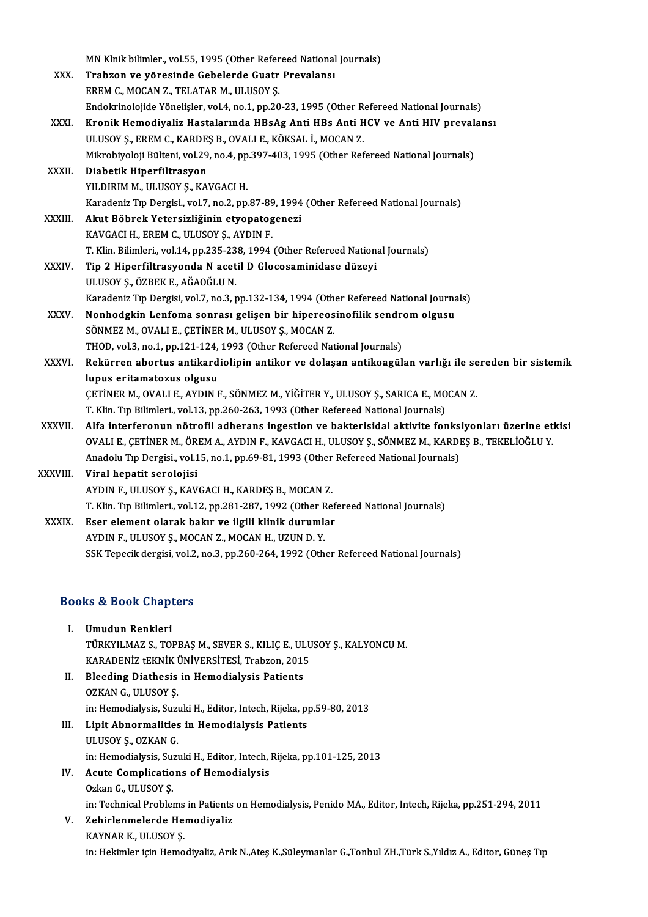|                                  | MN Klnik bilimler., vol.55, 1995 (Other Refereed National Journals)                                 |
|----------------------------------|-----------------------------------------------------------------------------------------------------|
| XXX.                             | Trabzon ve yöresinde Gebelerde Guatr Prevalansı                                                     |
|                                  | EREM C., MOCAN Z., TELATAR M., ULUSOY Ş.                                                            |
|                                  | Endokrinolojide Yönelişler, vol.4, no.1, pp.20-23, 1995 (Other Refereed National Journals)          |
| XXXI.                            | Kronik Hemodiyaliz Hastalarında HBsAg Anti HBs Anti HCV ve Anti HIV prevalansı                      |
|                                  | ULUSOY Ș., EREM C., KARDEȘ B., OVALI E., KÖKSAL İ., MOCAN Z.                                        |
|                                  | Mikrobiyoloji Bülteni, vol.29, no.4, pp.397-403, 1995 (Other Refereed National Journals)            |
| XXXII.                           | Diabetik Hiperfiltrasyon                                                                            |
|                                  | YILDIRIM M., ULUSOY Ş., KAVGACI H.                                                                  |
|                                  | Karadeniz Tıp Dergisi, vol.7, no.2, pp.87-89, 1994 (Other Refereed National Journals)               |
| XXXIII.                          | Akut Böbrek Yetersizliğinin etyopatogenezi                                                          |
|                                  | KAVGACI H., EREM C., ULUSOY Ş., AYDIN F.                                                            |
|                                  | T. Klin. Bilimleri., vol.14, pp.235-238, 1994 (Other Refereed National Journals)                    |
| <b>XXXIV</b>                     | Tip 2 Hiperfiltrasyonda N acetil D Glocosaminidase düzeyi                                           |
|                                  | ULUSOY Ş., ÖZBEK E., AĞAOĞLU N.                                                                     |
|                                  | Karadeniz Tıp Dergisi, vol.7, no.3, pp.132-134, 1994 (Other Refereed National Journals)             |
| XXXV.                            | Nonhodgkin Lenfoma sonrası gelişen bir hipereosinofilik sendrom olgusu                              |
|                                  | SÖNMEZ M., OVALI E., ÇETİNER M., ULUSOY Ş., MOCAN Z.                                                |
|                                  | THOD, vol.3, no.1, pp.121-124, 1993 (Other Refereed National Journals)                              |
| XXXVI.                           | Rekürren abortus antikardiolipin antikor ve dolaşan antikoagülan varlığı ile sereden bir sistemik   |
|                                  | lupus eritamatozus olgusu                                                                           |
|                                  | ÇETİNER M., OVALI E., AYDIN F., SÖNMEZ M., YİĞİTER Y., ULUSOY Ş., SARICA E., MOCAN Z.               |
|                                  | T. Klin. Tıp Bilimleri., vol.13, pp.260-263, 1993 (Other Refereed National Journals)                |
| <b>XXXVII</b>                    | Alfa interferonun nötrofil adherans ingestion ve bakterisidal aktivite fonksiyonları üzerine etkisi |
|                                  | OVALI E., ÇETİNER M., ÖREM A., AYDIN F., KAVGACI H., ULUSOY Ş., SÖNMEZ M., KARDEŞ B., TEKELİOĞLU Y. |
|                                  | Anadolu Tıp Dergisi., vol.15, no.1, pp.69-81, 1993 (Other Refereed National Journals)               |
| XXXVIII.                         | Viral hepatit serolojisi                                                                            |
|                                  | AYDIN F., ULUSOY Ş., KAVGACI H., KARDEŞ B., MOCAN Z.                                                |
|                                  | T. Klin. Tip Bilimleri., vol.12, pp.281-287, 1992 (Other Refereed National Journals)                |
| <b>XXXIX</b>                     | Eser element olarak bakır ve ilgili klinik durumlar                                                 |
|                                  | AYDIN F., ULUSOY Ş., MOCAN Z., MOCAN H., UZUN D. Y.                                                 |
|                                  | SSK Tepecik dergisi, vol.2, no.3, pp.260-264, 1992 (Other Refereed National Journals)               |
|                                  |                                                                                                     |
| <b>Books &amp; Book Chapters</b> |                                                                                                     |

| <b>Books &amp; Book Chapters</b> |                                                                      |
|----------------------------------|----------------------------------------------------------------------|
| Ъ.                               | Umudun Renkleri                                                      |
|                                  | TÜRKYILMAZ S., TOPBAŞ M., SEVER S., KILIÇ E., ULUSOY Ş., KALYONCU M. |
|                                  | KARADENİZ tEKNİK ÜNİVERSİTESİ, Trabzon, 2015                         |
| Н.                               | <b>Bleeding Diathesis in Hemodialysis Patients</b>                   |
|                                  | 0717 ANI CITITICOV C                                                 |

- KARADENİZ tEKNİK İ<br>Bleeding Diathesis<br>OZKAN G., ULUSOY Ş.<br>in: Hemedialysis Susı 0ZKAN G., ULUSOY Ș.<br>in: Hemodialysis, Suzuki H., Editor, Intech, Rijeka, pp.59-80, 2013 OZKAN G., ULUSOY Ş.<br>in: Hemodialysis, Suzuki H., Editor, Intech, Rijeka, p<br>III. Lipit Abnormalities in Hemodialysis Patients<br>III. IISOV S. OZKAN C.
- in: Hemodialysis, Suz<mark>ı</mark><br>Lipit Abnormalities<br>ULUSOY Ş., OZKAN G.<br>in: Hemodialysis, Suru ULUSOY Ș., OZKAN G.<br>in: Hemodialysis, Suzuki H., Editor, Intech, Rijeka, pp.101-125, 2013 ULUSOY Ş., OZKAN G.<br>in: Hemodialysis, Suzuki H., Editor, Intech, I<br>IV. Acute Complications of Hemodialysis<br>Orkan G. H. HSOV S.

## in: Hemodialysis, Su:<br>Acute Complicatio<br>Ozkan G., ULUSOY Ş.<br>in: Technical Problet Acute Complications of Hemodialysis<br>Ozkan G., ULUSOY Ș.<br>in: Technical Problems in Patients on Hemodialysis, Penido MA., Editor, Intech, Rijeka, pp.251-294, 2011<br>Zehirlanmalarda Hamodiyalir.

### Ozkan G., ULUSOY Ş.<br>in: Technical Problems in Patients<br>V. Zehirlenmelerde Hemodiyaliz<br>KAYNAR K., ULUSOY Ş. in: Technical Problems<br>Zehirlenmelerde He<br>KAYNAR K., ULUSOY Ş.<br>in: Heltimler isin Heme in: Hekimler için Hemodiyaliz, Arık N.,Ateş K.,Süleymanlar G.,Tonbul ZH.,Türk S.,Yıldız A., Editor, Güneş Tıp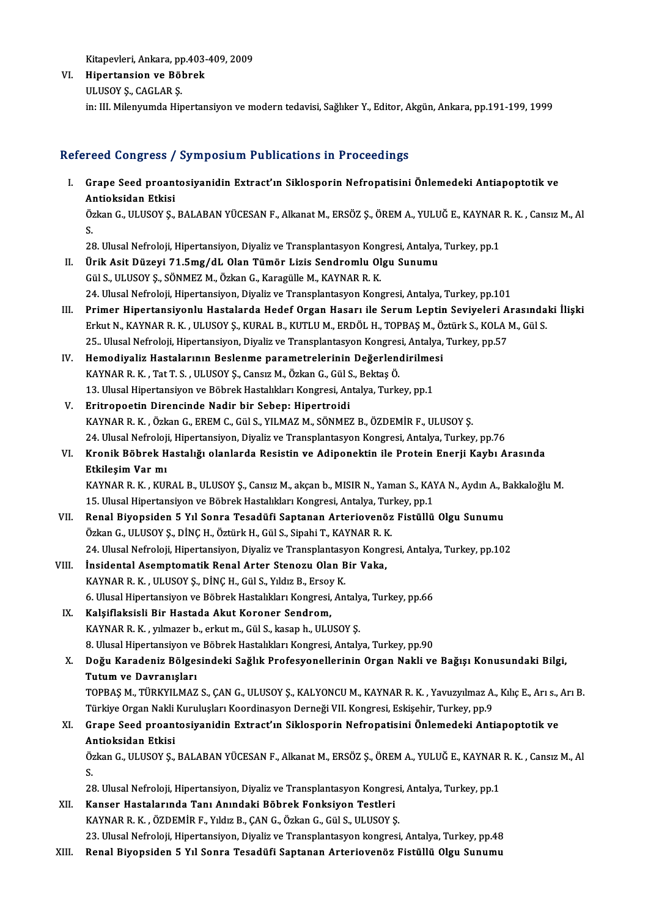Kitapevleri, Ankara, pp.403-409, 2009

VI. Hipertansion ve Böbrek ULUSOY S., CAGLAR S. in: III. Milenyumda Hipertansiyon ve modern tedavisi, Sağlıker Y., Editor, Akgün, Ankara, pp.191-199, 1999

### Refereed Congress / Symposium Publications in Proceedings

efereed Congress / Symposium Publications in Proceedings<br>I. Grape Seed proantosiyanidin Extract'ın Siklosporin Nefropatisini Önlemedeki Antiapoptotik ve<br>Antiaksidan Etkisi Antioksidan Etkisi<br>Antioksidan Etkisi<br>Özkən C. UU USOV S Grape Seed proantosiyanidin Extract'ın Siklosporin Nefropatisini Önlemedeki Antiapoptotik ve<br>Antioksidan Etkisi<br>Özkan G., ULUSOY Ş., BALABAN YÜCESAN F., Alkanat M., ERSÖZ Ş., ÖREM A., YULUĞ E., KAYNAR R. K. , Cansız M., Al

 $\frac{\text{A}}{\text{O}}$ <br>S. Özkan G., ULUSOY Ş., BALABAN YÜCESAN F., Alkanat M., ERSÖZ Ş., ÖREM A., YULUĞ E., KAYNAR<br>S.<br>28. Ulusal Nefroloji, Hipertansiyon, Diyaliz ve Transplantasyon Kongresi, Antalya, Turkey, pp.1<br>Ürik Asit Dürevi 71 Eme (d.L. Olan

- S.<br>28. Ulusal Nefroloji, Hipertansiyon, Diyaliz ve Transplantasyon Kongresi, Antalya,<br>II. Ürik Asit Düzeyi 71.5mg/dL Olan Tümör Lizis Sendromlu Olgu Sunumu<br>Cül S. III USOV S. SÖNMEZ M. Özkən G. Karagülle M. KAYNAR R. K 28. Ulusal Nefroloji, Hipertansiyon, Diyaliz ve Transplantasyon Kong<br>Ürik Asit Düzeyi 71.5mg/dL Olan Tümör Lizis Sendromlu Ol<br>Gül S., ULUSOY Ş., SÖNMEZ M., Özkan G., Karagülle M., KAYNAR R. K.<br>24. Ulusal Nefroloji, Hiperta 32. Gül S., ULUSOY Ş., SÖNMEZ M., Özkan G., Karagülle M., KAYNAR R. K.<br>24. Ulusal Nefroloji, Hipertansiyon, Diyaliz ve Transplantasyon Kongresi, Antalya, Turkey, pp.101
- III. Primer Hipertansiyonlu Hastalarda Hedef Organ Hasarı ile Serum Leptin Seviyeleri Arasındaki İlişki 24. Ulusal Nefroloji, Hipertansiyon, Diyaliz ve Transplantasyon Kongresi, Antalya, Turkey, pp.101<br>Primer Hipertansiyonlu Hastalarda Hedef Organ Hasarı ile Serum Leptin Seviyeleri Arasında<br>Erkut N., KAYNAR R. K. , ULUSOY Ş. Primer Hipertansiyonlu Hastalarda Hedef Organ Hasarı ile Serum Leptin Seviyeleri A<br>Erkut N., KAYNAR R. K. , ULUSOY Ş., KURAL B., KUTLU M., ERDÖL H., TOPBAŞ M., Öztürk S., KOLA I<br>25.. Ulusal Nefroloji, Hipertansiyon, Diyali Erkut N., KAYNAR R. K. , ULUSOY Ş., KURAL B., KUTLU M., ERDÖL H., TOPBAŞ M., Ö.<br>25.. Ulusal Nefroloji, Hipertansiyon, Diyaliz ve Transplantasyon Kongresi, Antalya,<br>IV. Hemodiyaliz Hastalarının Beslenme parametrelerinin Değ
- 25.. Ulusal Nefroloji, Hipertansiyon, Diyaliz ve Transplantasyon Kongres<br>Hemodiyaliz Hastalarının Beslenme parametrelerinin Değerlen<br>KAYNAR R. K. , Tat T. S. , ULUSOY Ş., Cansız M., Özkan G., Gül S., Bektaş Ö.<br>13. Ulusal H Hemodiyaliz Hastalarının Beslenme parametrelerinin Değerlendirilme:<br>KAYNAR R. K. , Tat T. S. , ULUSOY Ş., Cansız M., Özkan G., Gül S., Bektaş Ö.<br>13. Ulusal Hipertansiyon ve Böbrek Hastalıkları Kongresi, Antalya, Turkey, pp KAYNAR R. K. , Tat T. S. , ULUSOY Ş., Cansız M., Özkan G., Gül S., Bektaş Ö.<br>13. Ulusal Hipertansiyon ve Böbrek Hastalıkları Kongresi, Antalya, Turkey, pp.1<br>V. Eritropoetin Direncinde Nadir bir Sebep: Hipertroidi
- KAYNARR.K. ,ÖzkanG.,EREMC.,GülS.,YILMAZM.,SÖNMEZB.,ÖZDEMİRF.,ULUSOYŞ. 24. Ulusal Nefroloji, Hipertansiyon, Diyaliz ve Transplantasyon Kongresi, Antalya, Turkey, pp.76 KAYNAR R. K. , Özkan G., EREM C., Gül S., YILMAZ M., SÖNMEZ B., ÖZDEMİR F., ULUSOY Ş.<br>24. Ulusal Nefroloji, Hipertansiyon, Diyaliz ve Transplantasyon Kongresi, Antalya, Turkey, pp.76<br>VI. Kronik Böbrek Hastalığı olanlar

## 24. Ulusal Nefroloj<br><mark>Kronik Böbrek H</mark><br>Etkileşim Var mı<br>KAYNAR R K. KUL Kronik Böbrek Hastalığı olanlarda Resistin ve Adiponektin ile Protein Enerji Kaybı Arasında<br>Etkileşim Var mı<br>KAYNAR R. K. , KURAL B., ULUSOY Ş., Cansız M., akçan b., MISIR N., Yaman S., KAYA N., Aydın A., Bakkaloğlu M.<br>15

**Etkileşim Var mı**<br>KAYNAR R. K. , KURAL B., ULUSOY Ş., Cansız M., akçan b., MISIR N., Yaman S., KAYA N., Aydın A., Bakkaloğlu M.<br>15. Ulusal Hipertansiyon ve Böbrek Hastalıkları Kongresi, Antalya, Turkey, pp.1 KAYNAR R. K. , KURAL B., ULUSOY Ş., Cansız M., akçan b., MISIR N., Yaman S., KAYA N., Aydın A., E<br>15. Ulusal Hipertansiyon ve Böbrek Hastalıkları Kongresi, Antalya, Turkey, pp.1<br>VII. Renal Biyopsiden 5 Yıl Sonra Tesadüfi S

- 15. Ulusal Hipertansiyon ve Böbrek Hastalıkları Kongresi, Antalya, Tur<br>Renal Biyopsiden 5 Yıl Sonra Tesadüfi Saptanan Arteriovenöz<br>Özkan G., ULUSOY Ş., DİNÇ H., Öztürk H., Gül S., Sipahi T., KAYNAR R. K.<br>24 Ulusal Nefraləj Renal Biyopsiden 5 Yıl Sonra Tesadüfi Saptanan Arteriovenöz Fistüllü Olgu Sunumu<br>Özkan G., ULUSOY Ş., DİNÇ H., Öztürk H., Gül S., Sipahi T., KAYNAR R. K.<br>24. Ulusal Nefroloji, Hipertansiyon, Diyaliz ve Transplantasyon Kong Özkan G., ULUSOY Ş., DİNÇ H., Öztürk H., Gül S., Sipahi T., KAYNAR R. K.<br>24. Ulusal Nefroloji, Hipertansiyon, Diyaliz ve Transplantasyon Kongre<br>VIII. İnsidental Asemptomatik Renal Arter Stenozu Olan Bir Vaka,<br>KAYNAR R. K. 24. Ulusal Nefroloji, Hipertansiyon, Diyaliz ve Transplantasyon Kongresi, Antalya, Turkey, pp.102
- İnsidental Asemptomatik Renal Arter Stenozu Olan Bir Vaka,<br>KAYNAR R. K. , ULUSOY Ş., DİNÇ H., Gül S., Yıldız B., Ersoy K.<br>6. Ulusal Hipertansiyon ve Böbrek Hastalıkları Kongresi, Antalya, Turkey, pp.66<br>Kalaiflaksiali Bir H
- IX. Kalşiflaksisli Bir Hastada Akut Koroner Sendrom,<br>KAYNAR R. K., yılmazer b., erkut m., Gül S., kasap h., ULUSOY Ş. 6. Ulusal Hipertansiyon ve Böbrek Hastalıkları Kongresi, Antaly<br>Kalşiflaksisli Bir Hastada Akut Koroner Sendrom,<br>KAYNAR R. K. , yılmazer b., erkut m., Gül S., kasap h., ULUSOY Ş.<br>8. Ulusal Hipertansiyon ve Böbrek Hastalıkl 8. Ulusal Hipertansiyon ve Böbrek Hastalıkları Kongresi, Antalya, Turkey, pp.90 KAYNAR R. K. , yılmazer b., erkut m., Gül S., kasap h., ULUSOY Ş.<br>8. Ulusal Hipertansiyon ve Böbrek Hastalıkları Kongresi, Antalya, Turkey, pp.90<br>X. Doğu Karadeniz Bölgesindeki Sağlık Profesyonellerinin Organ Nakli ve

8. Ulusal Hipertansiyon v<mark>e</mark><br>Doğu Karadeniz Bölge:<br>Tutum ve Davranışları<br>TOPPAS M. TÜRKVU MAZ Doğu Karadeniz Bölgesindeki Sağlık Profesyonellerinin Organ Nakli ve Bağışı Konusundaki Bilgi,<br>Tutum ve Davranışları<br>Türkiye Organ Nakli Kuruluslar Keordinasyon Derneği VII Kongresi Eskisebir Turkey nn 9.<br>Türkiye Organ Nak Tutum ve Davranışları<br>TOPBAŞ M., TÜRKYILMAZ S., ÇAN G., ULUSOY Ş., KALYONCU M., KAYNAR R. K. , Yavuzyılmaz A., Kılıç E., Arı s., Arı B

Türkiye Organ Nakli Kuruluşları Koordinasyon Derneği VII. Kongresi, Eskişehir, Turkey, pp.9

### XI. Grape Seed proantosiyanidin Extract'ın Siklosporin Nefropatisini Önlemedeki Antiapoptotik ve Grape Seed proantosiyanidin Extract'ın Siklosporin Nefropatisini Önlemedeki Antiapoptotik ve<br>Antioksidan Etkisi<br>Özkan G., ULUSOY Ş., BALABAN YÜCESAN F., Alkanat M., ERSÖZ Ş., ÖREM A., YULUĞ E., KAYNAR R. K. , Cansız M., Al

 $\frac{\mathbf{A}}{\mathbf{0}}$ <br>S. Özkan G., ULUSOY Ş., BALABAN YÜCESAN F., Alkanat M., ERSÖZ Ş., ÖREM A., YULUĞ E., KAYNAR<br>S.<br>28. Ulusal Nefroloji, Hipertansiyon, Diyaliz ve Transplantasyon Kongresi, Antalya, Turkey, pp.1<br>Kanser Hestalarında Tanı Anındaki

S.<br>28. Ulusal Nefroloji, Hipertansiyon, Diyaliz ve Transplantasyon Kongresi, Antalya, Turkey, pp.1<br>XII. Kanser Hastalarında Tanı Anındaki Böbrek Fonksiyon Testleri

- KAYNARR.K. ,ÖZDEMİRF.,YıldızB.,ÇANG.,ÖzkanG.,GülS.,ULUSOYŞ. 23. Ulusal Nefroloji, Hipertansiyon, Diyaliz ve Transplantasyon kongresi, Antalya, Turkey, pp.48
- XIII. Renal Biyopsiden 5 Yıl Sonra Tesadüfi Saptanan Arteriovenöz Fistüllü Olgu Sunumu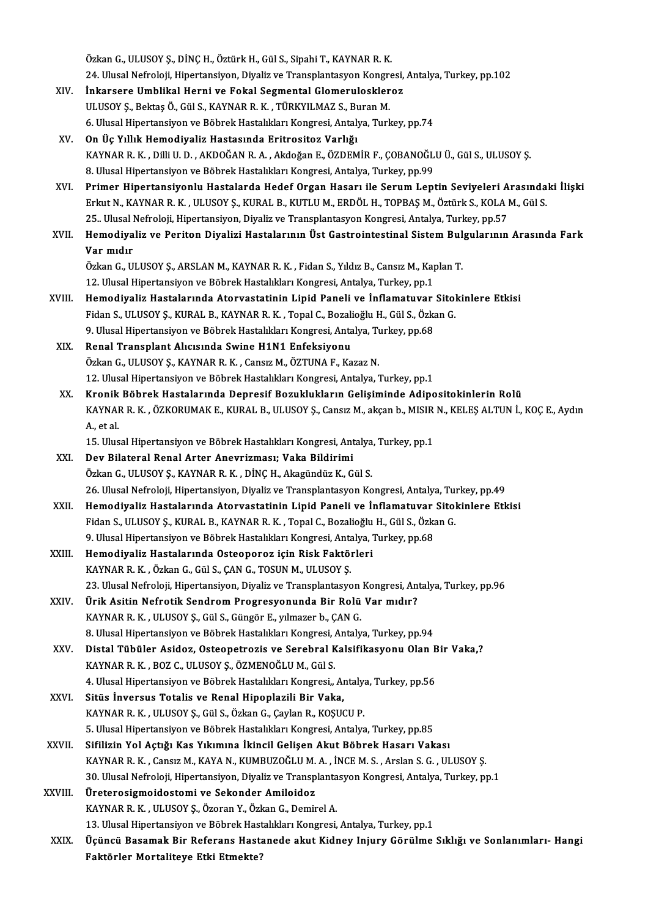Özkan G., ULUSOY Ş., DİNÇ H., Öztürk H., Gül S., Sipahi T., KAYNAR R. K. Özkan G., ULUSOY Ş., DİNÇ H., Öztürk H., Gül S., Sipahi T., KAYNAR R. K.<br>24. Ulusal Nefroloji, Hipertansiyon, Diyaliz ve Transplantasyon Kongresi, Antalya, Turkey, pp.102<br>İnkansana Umblikal Henni ve Fekal Sesmental Glamenu

- XIV. İnkarsere Umblikal Herni ve Fokal Segmental Glomeruloskleroz 24. Ulusal Nefroloji, Hipertansiyon, Diyaliz ve Transplantasyon Kongre<br>İnkarsere Umblikal Herni ve Fokal Segmental Glomeruloskler<br>ULUSOY Ş., Bektaş Ö., Gül S., KAYNAR R. K. , TÜRKYILMAZ S., Buran M.<br>6. Ulusal Hinertansiyan 6. Ulusal Hipertansiyon ve Böbrek Hastalıkları Kongresi, Antalya, Turkey, pp.74
- XV. On Üç Yıllık Hemodiyaliz Hastasında Eritrositoz Varlığı 6. Ulusal Hipertansiyon ve Böbrek Hastalıkları Kongresi, Antalya, Turkey, pp.74<br>On Üç Yıllık Hemodiyaliz Hastasında Eritrositoz Varlığı<br>KAYNAR R. K. , Dilli U. D. , AKDOĞAN R. A. , Akdoğan E., ÖZDEMİR F., ÇOBANOĞLU Ü., Gül 0n Üç Yıllık Hemodiyaliz Hastasında Eritrositoz Varlığı<br>KAYNAR R. K. , Dilli U. D. , AKDOĞAN R. A. , Akdoğan E., ÖZDEMİR F., ÇOBANOĞL<br>8. Ulusal Hipertansiyon ve Böbrek Hastalıkları Kongresi, Antalya, Turkey, pp.99<br>Primer H
- 8. Ulusal Hipertansiyon ve Böbrek Hastalıkları Kongresi, Antalya, Turkey, pp.99<br>XVI. Primer Hipertansiyonlu Hastalarda Hedef Organ Hasarı ile Serum Leptin Seviyeleri Arasındaki İlişki 8. Ulusal Hipertansiyon ve Böbrek Hastalıkları Kongresi, Antalya, Turkey, pp.99<br><mark>Primer Hipertansiyonlu Hastalarda Hedef Organ Hasarı ile Serum Leptin Seviyeleri Arasında</mark><br>Erkut N., KAYNAR R. K. , ULUSOY Ş., KURAL B., KUTL Primer Hipertansiyonlu Hastalarda Hedef Organ Hasarı ile Serum Leptin Seviyeleri A<br>Erkut N., KAYNAR R. K. , ULUSOY Ş., KURAL B., KUTLU M., ERDÖL H., TOPBAŞ M., Öztürk S., KOLA I<br>25.. Ulusal Nefroloji, Hipertansiyon, Diyali 25. Ulusal Nefroloji, Hipertansiyon, Diyaliz ve Transplantasyon Kongresi, Antalya, Turkey, pp.57
- XVII. Hemodiyaliz ve Periton Diyalizi Hastalarının Üst Gastrointestinal Sistem Bulgularının Arasında Fark<br>Var mıdır Hemodiyaliz ve Periton Diyalizi Hastalarının Üst Gastrointestinal Sistem Bul<br>Var mıdır<br>Özkan G., ULUSOY Ş., ARSLAN M., KAYNAR R. K. , Fidan S., Yıldız B., Cansız M., Kaplan T.<br>12. Ulusel Hinertansiyan ve Böhnek Hastalıklar

Var mıdır<br>Özkan G., ULUSOY Ş., ARSLAN M., KAYNAR R. K. , Fidan S., Yıldız B., Cansız M., Ka<sub>l</sub><br>12. Ulusal Hipertansiyon ve Böbrek Hastalıkları Kongresi, Antalya, Turkey, pp.1<br>Hamadiyalir Hastalarında Ataryastatinin Linid B

Özkan G., ULUSOY Ş., ARSLAN M., KAYNAR R. K. , Fidan S., Yıldız B., Cansız M., Kaplan T.<br>12. Ulusal Hipertansiyon ve Böbrek Hastalıkları Kongresi, Antalya, Turkey, pp.1<br>XVIII. Hemodiyaliz Hastalarında Atorvastatinin Li 12. Ulusal Hipertansiyon ve Böbrek Hastalıkları Kongresi, Antalya, Turkey, pp.1<br>Hemodiyaliz Hastalarında Atorvastatinin Lipid Paneli ve İnflamatuvar Sitol<br>Fidan S., ULUSOY Ş., KURAL B., KAYNAR R. K. , Topal C., Bozalioğlu Hemodiyaliz Hastalarında Atorvastatinin Lipid Paneli ve İnflamatuvar<br>Fidan S., ULUSOY Ş., KURAL B., KAYNAR R. K. , Topal C., Bozalioğlu H., Gül S., Özka<br>9. Ulusal Hipertansiyon ve Böbrek Hastalıkları Kongresi, Antalya, Tur 9. Ulusal Hipertansiyon ve Böbrek Hastalıkları Kongresi, Antalya, Turkey, pp.68<br>XIX. Renal Transplant Alıcısında Swine H1N1 Enfeksiyonu

Özkan G., ULUSOY Ş., KAYNAR R. K., Cansız M., ÖZTUNA F., Kazaz N. 12. Ulusal Hipertansiyon ve Böbrek Hastalıkları Kongresi, Antalya, Turkey, pp.1

XX. Kronik Böbrek Hastalarında Depresif Bozuklukların Gelişiminde Adipositokinlerin Rolü 12. Ulusal Hipertansiyon ve Böbrek Hastalıkları Kongresi, Antalya, Turkey, pp.1<br>Kronik Böbrek Hastalarında Depresif Bozuklukların Gelişiminde Adipositokinlerin Rolü<br>KAYNAR R. K. , ÖZKORUMAK E., KURAL B., ULUSOY Ş., Cansız Kronik<br>KAYNAI<br>A., et al.<br>15. Ulus KAYNAR R. K. , ÖZKORUMAK E., KURAL B., ULUSOY Ş., Cansız M., akçan b., MISIR<br>A., et al.<br>15. Ulusal Hipertansiyon ve Böbrek Hastalıkları Kongresi, Antalya, Turkey, pp.1<br>Dev Bilataral Banal Artar Anevrisması: Vaka Bildirimi A., et al.<br>15. Ulusal Hipertansiyon ve Böbrek Hastalıkları Kongresi, Antalya, Turkey, pp.1<br>XXI. Dev Bilateral Renal Arter Anevrizması; Vaka Bildirimi

- Özkan G., ULUSOY Ş., KAYNAR R. K., DİNÇ H., Akagündüz K., Gül S. 26. Ulusal Nefroloji, Hipertansiyon, Diyaliz ve Transplantasyon Kongresi, Antalya, Turkey, pp.49 Özkan G., ULUSOY Ş., KAYNAR R. K. , DİNÇ H., Akagündüz K., Gül S.<br>26. Ulusal Nefroloji, Hipertansiyon, Diyaliz ve Transplantasyon Kongresi, Antalya, Turkey, pp.49<br>XXII. Hemodiyaliz Hastalarında Atorvastatinin Lipid Pan
- 26. Ulusal Nefroloji, Hipertansiyon, Diyaliz ve Transplantasyon Kongresi, Antalya, Tu:<br>Hemodiyaliz Hastalarında Atorvastatinin Lipid Paneli ve İnflamatuvar Sitol<br>Fidan S., ULUSOY Ş., KURAL B., KAYNAR R. K. , Topal C., Boza Hemodiyaliz Hastalarında Atorvastatinin Lipid Paneli ve İnflamatuvar<br>Fidan S., ULUSOY Ş., KURAL B., KAYNAR R. K. , Topal C., Bozalioğlu H., Gül S., Özka<br>9. Ulusal Hipertansiyon ve Böbrek Hastalıkları Kongresi, Antalya, Tur Fidan S., ULUSOY Ş., KURAL B., KAYNAR R. K. , Topal C., Bozalioğlu<br>9. Ulusal Hipertansiyon ve Böbrek Hastalıkları Kongresi, Antalya, T.<br>XXIII. Hemodiyaliz Hastalarında Osteoporoz için Risk Faktörleri<br>7. KAYNAR R. K., Örken
- 9. Ulusal Hipertansiyon ve Böbrek Hastalıkları Kongresi, Anta<br>Hemodiyaliz Hastalarında Osteoporoz için Risk Faktöl<br>KAYNAR R. K. , Özkan G., Gül S., ÇAN G., TOSUN M., ULUSOY Ş.<br>22. Ulusal Nefralaji, Hinertansiyon, Divaliz v 23. Ulusal Nefroloji, Hipertansiyon, Diyaliz ve Transplantasyon Kongresi, Antalya, Turkey, pp.96<br>23. Ulusal Nefroloji, Hipertansiyon, Diyaliz ve Transplantasyon Kongresi, Antalya, Turkey, pp.96 KAYNAR R. K. , Özkan G., Gül S., ÇAN G., TOSUN M., ULUSOY Ş.<br>23. Ulusal Nefroloji, Hipertansiyon, Diyaliz ve Transplantasyon Kongresi, An<br>XXIV. Ürik Asitin Nefrotik Sendrom Progresyonunda Bir Rolü Var mıdır?<br>2000 RAYNA
- 23. Ulusal Nefroloji, Hipertansiyon, Diyaliz ve Transplantasyon<br>Ürik Asitin Nefrotik Sendrom Progresyonunda Bir Rolü<br>KAYNAR R. K. , ULUSOY Ş., Gül S., Güngör E., yılmazer b., ÇAN G.<br>8. Ulusal Hipertansiyon ve Böhnek Hestal Ürik Asitin Nefrotik Sendrom Progresyonunda Bir Rolü Var mıdır?<br>KAYNAR R. K. , ULUSOY Ş., Gül S., Güngör E., yılmazer b., ÇAN G.<br>8. Ulusal Hipertansiyon ve Böbrek Hastalıkları Kongresi, Antalya, Turkey, pp.94<br>Distal Tübüle KAYNAR R. K. , ULUSOY Ş., Gül S., Güngör E., yılmazer b., ÇAN G.<br>8. Ulusal Hipertansiyon ve Böbrek Hastalıkları Kongresi, Antalya, Turkey, pp.94<br>XXV. Distal Tübüler Asidoz, Osteopetrozis ve Serebral Kalsifikasyonu Olan Bir
- 8. Ulusal Hipertansiyon ve Böbrek Hastalıkları Kongresi, .<br>Distal Tübüler Asidoz, Osteopetrozis ve Serebral K<br>KAYNAR R. K. , BOZ C., ULUSOY Ş., ÖZMENOĞLU M., Gül S.<br>4. Ulusal Hipertansiyan ve Böbrek Hastalıkları Kongresi Distal Tübüler Asidoz, Osteopetrozis ve Serebral Kalsifikasyonu Olan B<br>KAYNAR R. K. , BOZ C., ULUSOY Ş., ÖZMENOĞLU M., Gül S.<br>4. Ulusal Hipertansiyon ve Böbrek Hastalıkları Kongresi,, Antalya, Turkey, pp.56<br>Sitüs İnversus KAYNAR R. K., BOZ C., ULUSOY Ş., ÖZMENOĞLU M., Gül S.<br>4. Ulusal Hipertansiyon ve Böbrek Hastalıkları Kongresi,, Al<br>XXVI. Sitüs İnversus Totalis ve Renal Hipoplazili Bir Vaka,<br>KAYNAR R. K. ULUSOY S. Gül S. Özkan C. Gaylan R
- 4. Ulusal Hipertansiyon ve Böbrek Hastalıkları Kongresi,, Antalya, Turkey, pp.56<br>Sitüs İnversus Totalis ve Renal Hipoplazili Bir Vaka,<br>KAYNAR R. K. , ULUSOY Ş., Gül S., Özkan G., Çaylan R., KOŞUCU P. 5. Ulusal Hipertansiyon ve Böbrek Hastalıkları Kongresi, Antalya, Turkey, pp.85
- XXVII. Sifilizin Yol Açtığı Kas Yıkımına İkincil Gelişen Akut Böbrek Hasarı Vakası KAYNAR R.K. , Cansız M., KAYA N., KUMBUZOĞLU M.A., İNCE M.S., Arslan S.G., ULUSOY Ş. 30. Ulusal Nefroloji, Hipertansiyon, Diyaliz ve Transplantasyon Kongresi, Antalya, Turkey, pp.1 KAYNAR R. K. , Cansız M., KAYA N., KUMBUZOĞLU M.<br>30. Ulusal Nefroloji, Hipertansiyon, Diyaliz ve Transp<br>XXVIII. Üreterosigmoidostomi ve Sekonder Amiloidoz
- 30. Ulusal Nefroloji, Hipertansiyon, Diyaliz ve Transplanta<br>Üreterosigmoidostomi ve Sekonder Amiloidoz<br>KAYNAR R. K. , ULUSOY Ş., Özoran Y., Özkan G., Demirel A.<br>13. Ulusal Hipertansiyon ve Böhnak Hastalıkları Kansresi. KAYNAR R. K. , ULUSOY Ş., Özoran Y., Özkan G., Demirel A.<br>13. Ulusal Hipertansiyon ve Böbrek Hastalıkları Kongresi, Antalya, Turkey, pp.1
- KAYNAR R. K. , ULUSOY Ş., Özoran Y., Özkan G., Demirel A.<br>13. Ulusal Hipertansiyon ve Böbrek Hastalıkları Kongresi, Antalya, Turkey, pp.1<br>XXIX. Üçüncü Basamak Bir Referans Hastanede akut Kidney Injury Görülme Sıklığı v 13. Ulusal Hipertansiyon ve Böbrek Hast<br>Üçüncü Basamak Bir Referans Hast:<br>Faktörler Mortaliteye Etki Etmekte?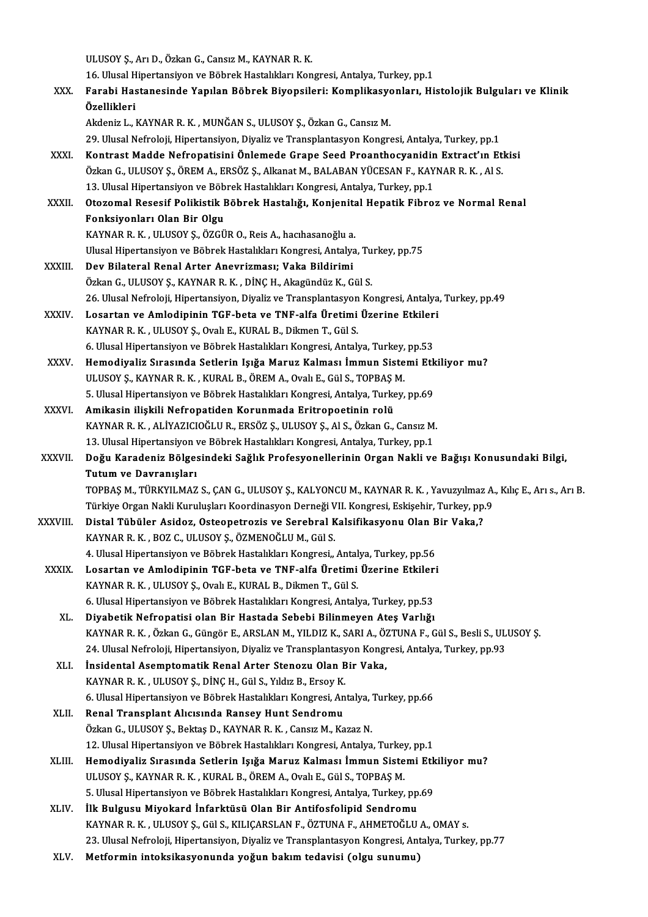ULUSOY Ş., Arı D., Özkan G., Cansız M., KAYNAR R. K.

ULUSOY Ş., Arı D., Özkan G., Cansız M., KAYNAR R. K.<br>16. Ulusal Hipertansiyon ve Böbrek Hastalıkları Kongresi, Antalya, Turkey, pp.1<br>Fanabi Hastanssinde Yanılan Böhnek Biyansileri: Komplikasyonları, Hi XXX. Farabi Hastanesinde Yapılan Böbrek Biyopsileri: Komplikasyonları, Histolojik Bulguları ve Klinik 16. Ulusal H<br>Farabi Has<br>Özellikleri<br>Akdapir L Akdeniz L., KAYNAR R. K., MUNĞAN S., ULUSOY Ş., Özkan G., Cansız M. 29. Ulusal Nefroloji, Hipertansiyon, Diyaliz ve Transplantasyon Kongresi, Antalya, Turkey, pp.1 Akdeniz L., KAYNAR R. K. , MUNĞAN S., ULUSOY Ş., Özkan G., Cansız M.<br>29. Ulusal Nefroloji, Hipertansiyon, Diyaliz ve Transplantasyon Kongresi, Antalya, Turkey, pp.1<br>XXXI. Kontrast Madde Nefropatisini Önlemede Grape See 29. Ulusal Nefroloji, Hipertansiyon, Diyaliz ve Transplantasyon Kongresi, Antalya, Turkey, pp.1<br>Kontrast Madde Nefropatisini Önlemede Grape Seed Proanthocyanidin Extract'ın Et<br>Özkan G., ULUSOY Ş., ÖREM A., ERSÖZ Ş., Alkana Kontrast Madde Nefropatisini Önlemede Grape Seed Proanthocyanidin<br>Özkan G., ULUSOY Ş., ÖREM A., ERSÖZ Ş., Alkanat M., BALABAN YÜCESAN F., KAY<br>13. Ulusal Hipertansiyon ve Böbrek Hastalıkları Kongresi, Antalya, Turkey, pp.1<br> Özkan G., ULUSOY Ş., ÖREM A., ERSÖZ Ş., Alkanat M., BALABAN YÜCESAN F., KAYNAR R. K. , Al S.<br>13. Ulusal Hipertansiyon ve Böbrek Hastalıkları Kongresi, Antalya, Turkey, pp.1<br>XXXII. Otozomal Resesif Polikistik Böbrek Has 13. Ulusal Hipertansiyon ve Böbrek Hastalıkları Kongresi, Antalya, Turkey, pp.1<br>Otozomal Resesif Polikistik Böbrek Hastalığı, Konjenital Hepatik Fibro<br>Fonksiyonları Olan Bir Olgu<br>KAYNAR R. K. , ULUSOY S., ÖZGÜR O., Reis A. Otozomal Resesif Polikistik Böbrek Hastalığı, Konjenita<br>Fonksiyonları Olan Bir Olgu<br>KAYNAR R. K. , ULUSOY Ş., ÖZGÜR O., Reis A., hacıhasanoğlu a.<br>Ulusel Hinertansiyon ve Böhrek Hestalıkları Konsresi, Antalya Ulusal Hipertansiyon ve Böbrek Hastalıkları Kongresi, Antalya, Turkey, pp.75 XXXIII. Dev Bilateral Renal Arter Anevrizması; Vaka Bildirimi Özkan G., ULUSOY Ş., KAYNAR R. K., DİNÇ H., Akagündüz K., Gül S. Dev Bilateral Renal Arter Anevrizması; Vaka Bildirimi<br>Özkan G., ULUSOY Ş., KAYNAR R. K. , DİNÇ H., Akagündüz K., Gül S.<br>26. Ulusal Nefroloji, Hipertansiyon, Diyaliz ve Transplantasyon Kongresi, Antalya, Turkey, pp.49<br>Losan Özkan G., ULUSOY Ş., KAYNAR R. K. , DİNÇ H., Akagündüz K., Gül S.<br>26. Ulusal Nefroloji, Hipertansiyon, Diyaliz ve Transplantasyon Kongresi, Antalya<br>XXXIV. Losartan ve Amlodipinin TGF-beta ve TNF-alfa Üretimi Üzerine Et 26. Ulusal Nefroloji, Hipertansiyon, Diyaliz ve Transplantasyon<br>Losartan ve Amlodipinin TGF-beta ve TNF-alfa Üretimi<br>KAYNAR R. K. , ULUSOY Ş., Ovalı E., KURAL B., Dikmen T., Gül S.<br>6. Ulusal Hipertansiyon ve Böhrek Hestalı Losartan ve Amlodipinin TGF-beta ve TNF-alfa Üretimi Üzerine Etkiler<br>KAYNAR R. K. , ULUSOY Ş., Ovalı E., KURAL B., Dikmen T., Gül S.<br>6. Ulusal Hipertansiyon ve Böbrek Hastalıkları Kongresi, Antalya, Turkey, pp.53<br>Hamadiyal KAYNAR R. K. , ULUSOY Ş., Ovalı E., KURAL B., Dikmen T., Gül S.<br>6. Ulusal Hipertansiyon ve Böbrek Hastalıkları Kongresi, Antalya, Turkey, pp.53<br>XXXV. Hemodiyaliz Sırasında Setlerin Işığa Maruz Kalması İmmun Sistemi Etk 6. Ulusal Hipertansiyon ve Böbrek Hastalıkları Kongresi, Antalya, Turkey,<br>Hemodiyaliz Sırasında Setlerin Işığa Maruz Kalması İmmun Siste<br>ULUSOY Ş., KAYNAR R. K. , KURAL B., ÖREM A., Ovalı E., Gül S., TOPBAŞ M.<br>5. Ulusal Hi Hemodiyaliz Sırasında Setlerin Işığa Maruz Kalması İmmun Sistemi Etk<br>ULUSOY Ş., KAYNAR R. K. , KURAL B., ÖREM A., Ovalı E., Gül S., TOPBAŞ M.<br>5. Ulusal Hipertansiyon ve Böbrek Hastalıkları Kongresi, Antalya, Turkey, pp.69<br> ULUSOY Ş., KAYNAR R. K. , KURAL B., ÖREM A., Ovalı E., Gül S., TOPBAŞ M.<br>5. Ulusal Hipertansiyon ve Böbrek Hastalıkları Kongresi, Antalya, Turkey, pp.69<br>XXXVI. Amikasin ilişkili Nefropatiden Korunmada Eritropoetinin ro 5. Ulusal Hipertansiyon ve Böbrek Hastalıkları Kongresi, Antalya, Turkey, pp.69<br><mark>Amikasin ilişkili Nefropatiden Korunmada Eritropoetinin rolü</mark><br>KAYNAR R. K. , ALİYAZICIOĞLU R., ERSÖZ Ş., ULUSOY Ş., Al S., Özkan G., Cansız M Amikasin ilişkili Nefropatiden Korunmada Eritropoetinin rolü<br>KAYNAR R. K. , ALİYAZICIOĞLU R., ERSÖZ Ş., ULUSOY Ş., Al S., Özkan G., Cansız M.<br>13. Ulusal Hipertansiyon ve Böbrek Hastalıkları Kongresi, Antalya, Turkey, pp.1<br> KAYNAR R. K. , ALİYAZICIOĞLU R., ERSÖZ Ş., ULUSOY Ş., Al S., Özkan G., Cansız M.<br>13. Ulusal Hipertansiyon ve Böbrek Hastalıkları Kongresi, Antalya, Turkey, pp.1<br>XXXVII. Doğu Karadeniz Bölgesindeki Sağlık Profesyoneller 13. Ulusal Hipertansiyon<br>Do<mark>ğu Karadeniz Bölge:</mark><br>Tutum ve Davranışları<br>TOPPAS M. TÜRKYU MAZ Doğu Karadeniz Bölgesindeki Sağlık Profesyonellerinin Organ Nakli ve Bağışı Konusundaki Bilgi,<br>Tutum ve Davranışları<br>Türkiye Organ Nakli Kuruluslar Keordinasyon Derneği VII Kongresi Eskisebir Turkey nn 9.<br>Türkiye Organ Nak <mark>Tutum ve Davranışları</mark><br>TOPBAŞ M., TÜRKYILMAZ S., ÇAN G., ULUSOY Ş., KALYONCU M., KAYNAR R. K. , Yavuzyılmaz A.<br>Türkiye Organ Nakli Kuruluşları Koordinasyon Derneği VII. Kongresi, Eskişehir, Turkey, pp.9<br>Distel Tübüler Asi TOPBAŞ M., TÜRKYILMAZ S., ÇAN G., ULUSOY Ş., KALYONCU M., KAYNAR R. K. , Yavuzyılmaz<br>Türkiye Organ Nakli Kuruluşları Koordinasyon Derneği VII. Kongresi, Eskişehir, Turkey, pp.<br>XXXVIII. Distal Tübüler Asidoz, Osteopetrozis Türkiye Organ Nakli Kuruluşları Koordinasyon Derneği V<br>Distal Tübüler Asidoz, Osteopetrozis ve Serebral K<br>KAYNAR R. K. , BOZ C., ULUSOY Ş., ÖZMENOĞLU M., Gül S.<br>4. Ulusel Hinertansiyan ve Böhrek Hestalıkları Konsresi Distal Tübüler Asidoz, Osteopetrozis ve Serebral Kalsifikasyonu Olan B<br>KAYNAR R. K. , BOZ C., ULUSOY Ş., ÖZMENOĞLU M., Gül S.<br>4. Ulusal Hipertansiyon ve Böbrek Hastalıkları Kongresi,, Antalya, Turkey, pp.56<br>Lesentan ve Aml KAYNAR R. K. , BOZ C., ULUSOY Ş., ÖZMENOĞLU M., Gül S.<br>4. Ulusal Hipertansiyon ve Böbrek Hastalıkları Kongresi,, Antalya, Turkey, pp.56<br>XXXIX. Losartan ve Amlodipinin TGF-beta ve TNF-alfa Üretimi Üzerine Etkileri 4. Ulusal Hipertansiyon ve Böbrek Hastalıkları Kongresi,, Antal<br>Losartan ve Amlodipinin TGF-beta ve TNF-alfa Üretimi<br>KAYNAR R. K. , ULUSOY Ş., Ovalı E., KURAL B., Dikmen T., Gül S.<br>6. Ulusal Hinertansiyan ve Böhrek Hastalı Losartan ve Amlodipinin TGF-beta ve TNF-alfa Üretimi Üzerine Etkiler<br>KAYNAR R. K. , ULUSOY Ş., Ovalı E., KURAL B., Dikmen T., Gül S.<br>6. Ulusal Hipertansiyon ve Böbrek Hastalıkları Kongresi, Antalya, Turkey, pp.53<br>Divebetik KAYNAR R. K. , ULUSOY Ş., Ovalı E., KURAL B., Dikmen T., Gül S.<br>6. Ulusal Hipertansiyon ve Böbrek Hastalıkları Kongresi, Antalya, Turkey, pp.53<br>XL. Diyabetik Nefropatisi olan Bir Hastada Sebebi Bilinmeyen Ateş Varlığı Diyabetik Nefropatisi olan Bir Hastada Sebebi Bilinmeyen Ateş Varlığı<br>KAYNAR R. K. , Özkan G., Güngör E., ARSLAN M., YILDIZ K., SARI A., ÖZTUNA F., Gül S., Besli S., ULUSOY Ş. Diyabetik Nefropatisi olan Bir Hastada Sebebi Bilinmeyen Ateş Varlığı<br>KAYNAR R. K. , Özkan G., Güngör E., ARSLAN M., YILDIZ K., SARI A., ÖZTUNA F., Gül S., Besli S., UL<br>24. Ulusal Nefroloji, Hipertansiyon, Diyaliz ve Trans KAYNAR R. K. , Özkan G., Güngör E., ARSLAN M., YILDIZ K., SARI A., Ö.<br>24. Ulusal Nefroloji, Hipertansiyon, Diyaliz ve Transplantasyon Kongi<br>XLI. İnsidental Asemptomatik Renal Arter Stenozu Olan Bir Vaka,<br>KAYNAR R. K. U 24. Ulusal Nefroloji, Hipertansiyon, Diyaliz ve Transplantasy<br>İnsidental Asemptomatik Renal Arter Stenozu Olan B<br>KAYNAR R. K. , ULUSOY Ş., DİNÇ H., Gül S., Yıldız B., Ersoy K.<br>6. Ulusal Hipertansiyon ve Böhrek Hastalıkları İnsidental Asemptomatik Renal Arter Stenozu Olan Bir Vaka,<br>KAYNAR R. K. , ULUSOY Ş., DİNÇ H., Gül S., Yıldız B., Ersoy K.<br>6. Ulusal Hipertansiyon ve Böbrek Hastalıkları Kongresi, Antalya, Turkey, pp.66<br>Penal Transplant Ali KAYNAR R. K. , ULUSOY Ş., DİNÇ H., Gül S., Yıldız B., Ersoy K.<br>6. Ulusal Hipertansiyon ve Böbrek Hastalıkları Kongresi, An<br>XLII. Renal Transplant Alıcısında Ransey Hunt Sendromu<br>Özkan C. III IISOV S. Bektes D. KAYNAR B. K. 6. Ulusal Hipertansiyon ve Böbrek Hastalıkları Kongresi, Antalya,<br>Renal Transplant Alıcısında Ransey Hunt Sendromu<br>Özkan G., ULUSOY Ş., Bektaş D., KAYNAR R. K. , Cansız M., Kazaz N.<br>12. Ulusal Hipertansiyan ve Böhrek Hasta Renal Transplant Alıcısında Ransey Hunt Sendromu<br>Özkan G., ULUSOY Ş., Bektaş D., KAYNAR R. K. , Cansız M., Kazaz N.<br>12. Ulusal Hipertansiyon ve Böbrek Hastalıkları Kongresi, Antalya, Turkey, pp.1<br>Hamadiyaliz Sırasında Satl Özkan G., ULUSOY Ş., Bektaş D., KAYNAR R. K. , Cansız M., Kazaz N.<br>12. Ulusal Hipertansiyon ve Böbrek Hastalıkları Kongresi, Antalya, Turkey, pp.1<br>XLIII. Hemodiyaliz Sırasında Setlerin Işığa Maruz Kalması İmmun Sistemi 12. Ulusal Hipertansiyon ve Böbrek Hastalıkları Kongresi, Antalya, Turkey<br>Hemodiyaliz Sırasında Setlerin Işığa Maruz Kalması İmmun Siste<br>ULUSOY Ş., KAYNAR R. K. , KURAL B., ÖREM A., Ovalı E., Gül S., TOPBAŞ M.<br>E. Ulusal Hi 5. Ulusal Hipertansiyon ve Böbrek Hastalıkları Kongresi, Antalya, Turkey, pp.69 ULUSOY Ş., KAYNAR R. K. , KURAL B., ÖREM A., Ovalı E., Gül S., TOPBAŞ M.<br>5. Ulusal Hipertansiyon ve Böbrek Hastalıkları Kongresi, Antalya, Turkey, pp<br>XLIV. İlk Bulgusu Miyokard İnfarktüsü Olan Bir Antifosfolipid Sendromu<br>X 5. Ulusal Hipertansiyon ve Böbrek Hastalıkları Kongresi, Antalya, Turkey, pp.69<br>İlk Bulgusu Miyokard İnfarktüsü Olan Bir Antifosfolipid Sendromu<br>KAYNAR R. K. , ULUSOY Ş., Gül S., KILIÇARSLAN F., ÖZTUNA F., AHMETOĞLU A., OM 23. KAYNAR R. K. , ULUSOY Ş., Gül S., KILIÇARSLAN F., ÖZTUNA F., AHMETOĞLU A., OMAY s.<br>23. Ulusal Nefroloji, Hipertansiyon, Diyaliz ve Transplantasyon Kongresi, Antalya, Turkey, pp.77 XLV. Metformin intoksikasyonunda yoğun bakımtedavisi (olgu sunumu)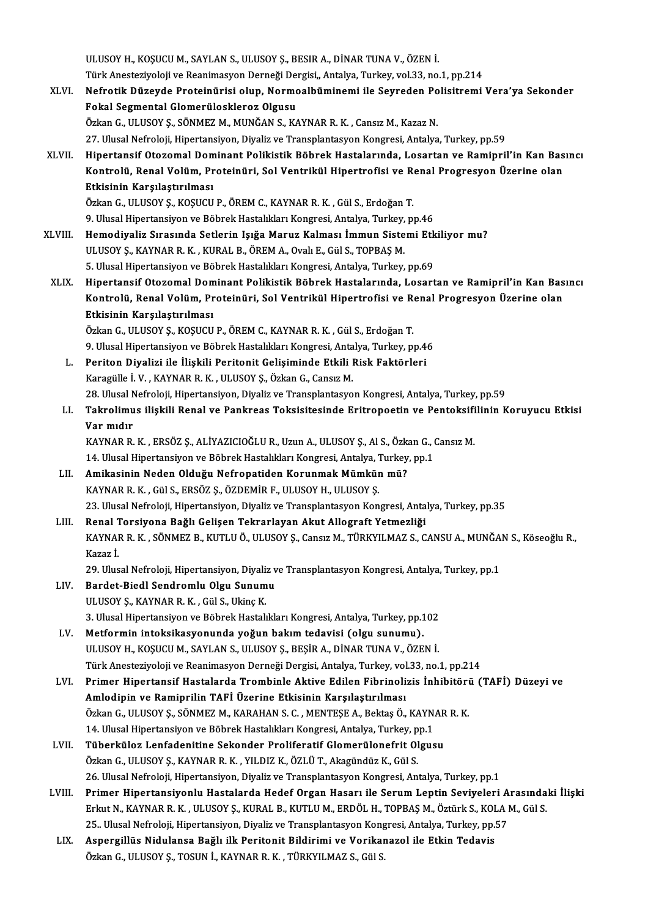ULUSOY H., KOŞUCU M., SAYLAN S., ULUSOY Ş., BESIR A., DİNAR TUNA V., ÖZEN İ. ULUSOY H., KOŞUCU M., SAYLAN S., ULUSOY Ş., BESIR A., DİNAR TUNA V., ÖZEN İ.<br>Türk Anesteziyoloji ve Reanimasyon Derneği Dergisi,, Antalya, Turkey, vol.33, no.1, pp.214<br>Nefnetik Düreyde Breteinürisi olun. Nermeslbüminemi il

ULUSOY H., KOŞUCU M., SAYLAN S., ULUSOY Ş., BESIR A., DİNAR TUNA V., ÖZEN İ.<br>Türk Anesteziyoloji ve Reanimasyon Derneği Dergisi,, Antalya, Turkey, vol.33, no.1, pp.214<br>XLVI. Nefrotik Düzeyde Proteinürisi olup, Normoalb Türk Anesteziyoloji ve Reanimasyon Derneği Dei<br>Nefrotik Düzeyde Proteinürisi olup, Normo<br>Fokal Segmental Glomerüloskleroz Olgusu<br>Özkan G. Hi HSOV S. SÖNMEZ M. MINĞAN S. KA Nefrotik Düzeyde Proteinürisi olup, Normoalbüminemi ile Seyreden Po<br>Fokal Segmental Glomerüloskleroz Olgusu<br>Özkan G., ULUSOY Ş., SÖNMEZ M., MUNĞAN S., KAYNAR R. K. , Cansız M., Kazaz N.<br>27 Ulusal Nefreloji Hipertansiyan Di Fokal Segmental Glomerüloskleroz Olgusu<br>Özkan G., ULUSOY Ş., SÖNMEZ M., MUNĞAN S., KAYNAR R. K. , Cansız M., Kazaz N.<br>27. Ulusal Nefroloji, Hipertansiyon, Diyaliz ve Transplantasyon Kongresi, Antalya, Turkey, pp.59 Özkan G., ULUSOY Ş., SÖNMEZ M., MUNĞAN S., KAYNAR R. K. , Cansız M., Kazaz N.<br>27. Ulusal Nefroloji, Hipertansiyon, Diyaliz ve Transplantasyon Kongresi, Antalya, Turkey, pp.59<br>XLVII. Hipertansif Otozomal Dominant Poliki 27. Ulusal Nefroloji, Hipertansiyon, Diyaliz ve Transplantasyon Kongresi, Antalya, Turkey, pp.59<br>Hipertansif Otozomal Dominant Polikistik Böbrek Hastalarında, Losartan ve Ramipril'in Kan Bas<br>Kontrolü, Renal Volüm, Proteinü Hipertansif Otozomal Dom<br>Kontrolü, Renal Volüm, Pr<br>Etkisinin Karşılaştırılması<br>Örkən C. ULUSOV S. KOSUCU Kontrolü, Renal Volüm, Proteinüri, Sol Ventrikül Hipertrofisi ve R<br>Etkisinin Karşılaştırılması<br>Özkan G., ULUSOY Ş., KOŞUCU P., ÖREM C., KAYNAR R. K. , Gül S., Erdoğan T.<br>9. Ulusel Hipertansiyan ve Böhrek Hastalıkları Kongr <mark>Etkisinin Karşılaştırılması</mark><br>Özkan G., ULUSOY Ş., KOŞUCU P., ÖREM C., KAYNAR R. K. , Gül S., Erdoğan T.<br>9. Ulusal Hipertansiyon ve Böbrek Hastalıkları Kongresi, Antalya, Turkey, pp.46<br>Hamadiyaliz Sırasında Satlarin Jaiža 9. Ulusal Hipertansiyon ve Böbrek Hastalıkları Kongresi, Antalya, Turkey, pp.46<br>XLVIII. Hemodiyaliz Sırasında Setlerin Işığa Maruz Kalması İmmun Sistemi Etkiliyor mu? ULUSOYŞ.,KAYNARR.K. ,KURALB.,ÖREMA.,OvalıE.,GülS.,TOPBAŞM. 5. Ulusal Hipertansiyon ve Böbrek Hastalıkları Kongresi, Antalya, Turkey, pp.69 ULUSOY Ş., KAYNAR R. K. , KURAL B., ÖREM A., Ovalı E., Gül S., TOPBAŞ M.<br>5. Ulusal Hipertansiyon ve Böbrek Hastalıkları Kongresi, Antalya, Turkey, pp.69<br>XLIX. Hipertansif Otozomal Dominant Polikistik Böbrek Hastalarınd 5. Ulusal Hipertansiyon ve Böbrek Hastalıkları Kongresi, Antalya, Turkey, pp.69<br>Hipertansif Otozomal Dominant Polikistik Böbrek Hastalarında, Losartan ve Ramipril'in Kan Bas<br>Kontrolü, Renal Volüm, Proteinüri, Sol Ventrikül Hipertansif Otozomal Dom<br>Kontrolü, Renal Volüm, Pr<br>Etkisinin Karşılaştırılması<br>Örkən C. ULUSOV S. KOSUCU Kontrolü, Renal Volüm, Proteinüri, Sol Ventrikül Hipertrofisi ve Renal Progresyon Üzerine olan<br>Etkisinin Karşılaştırılması<br>Özkan G., ULUSOY S., KOSUCU P., ÖREM C., KAYNAR R. K. , Gül S., Erdoğan T. 9. Ulusal Hipertansiyon ve Böbrek Hastalıkları Kongresi, Antalya, Turkey, pp.46 Özkan G., ULUSOY Ş., KOŞUCU P., ÖREM C., KAYNAR R. K. , Gül S., Erdoğan T.<br>9. Ulusal Hipertansiyon ve Böbrek Hastalıkları Kongresi, Antalya, Turkey, pp.4<br>L. Periton Diyalizi ile İlişkili Peritonit Gelişiminde Etkili Risk F 9. Ulusal Hipertansiyon ve Böbrek Hastalıkları Kongresi, Anta<br>Periton Diyalizi ile İlişkili Peritonit Gelişiminde Etkili I<br>Karagülle İ. V. , KAYNAR R. K. , ULUSOY Ş., Özkan G., Cansız M.<br>28. Ulusal Nefreleji, Hinertansiyon Karagülle İ. V. , KAYNAR R. K. , ULUSOY Ş., Özkan G., Cansız M.<br>28. Ulusal Nefroloji, Hipertansiyon, Diyaliz ve Transplantasyon Kongresi, Antalya, Turkey, pp.59 LI. Takrolimus ilişkili Renal ve Pankreas Toksisitesinde Eritropoetin ve Pentoksifilinin Koruyucu Etkisi 28. Ulusal N<br><mark>Takrolimu</mark><br>Var mıdır<br>KAVNAR R Takrolimus ilişkili Renal ve Pankreas Toksisitesinde Eritropoetin ve Pentoksifi<br>Var mıdır<br>KAYNAR R. K. , ERSÖZ Ş., ALİYAZICIOĞLU R., Uzun A., ULUSOY Ş., Al S., Özkan G., Cansız M.<br>14 Hlusel Hinertansiyan ve Böhnek Hastalık Var mıdır<br>KAYNAR R. K. , ERSÖZ Ş., ALİYAZICIOĞLU R., Uzun A., ULUSOY Ş., Al S., Özkan G., (<br>14. Ulusal Hipertansiyon ve Böbrek Hastalıkları Kongresi, Antalya, Turkey, pp.1<br>Amikasinin Nadan Olduğu Nafranatidan Konunmak Mümk KAYNAR R. K. , ERSÖZ Ş., ALİYAZICIOĞLU R., Uzun A., ULUSOY Ş., Al S., Özk:<br>14. Ulusal Hipertansiyon ve Böbrek Hastalıkları Kongresi, Antalya, Turkey<br>LII. Amikasinin Neden Olduğu Nefropatiden Korunmak Mümkün mü?<br>5. 14. Ulusal Hipertansiyon ve Böbrek Hastalıkları Kongresi, Antalya, Turkey, pp.1<br>LII. Amikasinin Neden Olduğu Nefropatiden Korunmak Mümkün mü?<br>KAYNAR R. K. , Gül S., ERSÖZ Ş., ÖZDEMİR F., ULUSOY H., ULUSOY Ş. Amikasinin Neden Olduğu Nefropatiden Korunmak Mümkün mü?<br>KAYNAR R. K. , Gül S., ERSÖZ Ş., ÖZDEMİR F., ULUSOY H., ULUSOY Ş.<br>23. Ulusal Nefroloji, Hipertansiyon, Diyaliz ve Transplantasyon Kongresi, Antalya, Turkey, pp.35<br>Be KAYNAR R. K. , Gül S., ERSÖZ Ş., ÖZDEMİR F., ULUSOY H., ULUSOY Ş.<br>23. Ulusal Nefroloji, Hipertansiyon, Diyaliz ve Transplantasyon Kongresi, Anta<br>19. LIII. Renal Torsiyona Bağlı Gelişen Tekrarlayan Akut Allograft Yetmezliği KAYNAR R. K. , SÖNMEZ B., KUTLU Ö., ULUSOY Ş., Cansız M., TÜRKYILMAZ S., CANSU A., MUNĞAN S., Köseoğlu R.,<br>Kazaz İ. Renal Torsiyona Bağlı Gelişen Tekrarlayan Akut Allograft Yetmezliği KAYNAR R. K. , SÖNMEZ B., KUTLU Ö., ULUSOY Ş., Cansız M., TÜRKYILMAZ S., CANSU A., MUNĞA.<br>Kazaz İ.<br>29. Ulusal Nefroloji, Hipertansiyon, Diyaliz ve Transplantasyon Kongresi, Antalya, Turkey, pp.1<br>Bardat Biadl Sandramlu Olay Kazaz İ.<br>29. Ulusal Nefroloji, Hipertansiyon, Diyaliz v<br>LIV. Bardet-Biedl Sendromlu Olgu Sunumu<br>III USOV S. KAYNAR B. K. Göl S. Uline K. 29. Ulusal Nefroloji, Hipertansiyon, Diyali:<br>Bardet-Biedl Sendromlu Olgu Sunum<br>ULUSOY Ş., KAYNAR R. K. , Gül S., Ukinç K.<br>2. Ulusal Hinertansiyan ve Böhnel: Hastalı Bardet-Biedl Sendromlu Olgu Sunumu<br>ULUSOY Ş., KAYNAR R. K. , Gül S., Ukinç K.<br>3. Ulusal Hipertansiyon ve Böbrek Hastalıkları Kongresi, Antalya, Turkey, pp.102 LV. Metformin intoksikasyonunda yoğun bakım tedavisi (olgu sunumu). 3. Ulusal Hipertansiyon ve Böbrek Hastalıkları Kongresi, Antalya, Turkey, pp.102<br>Metformin intoksikasyonunda yoğun bakım tedavisi (olgu sunumu).<br>ULUSOY H., KOŞUCU M., SAYLAN S., ULUSOY Ş., BEŞİR A., DİNAR TUNA V., ÖZEN İ.<br> Metformin intoksikasyonunda yoğun bakım tedavisi (olgu sunumu).<br>ULUSOY H., KOŞUCU M., SAYLAN S., ULUSOY Ş., BEŞİR A., DİNAR TUNA V., ÖZEN İ.<br>Türk Anesteziyoloji ve Reanimasyon Derneği Dergisi, Antalya, Turkey, vol.33, no.1 LVI. Primer Hipertansif Hastalarda Trombinle Aktive Edilen Fibrinolizis İnhibitörü (TAFİ) Düzeyi ve Amlodipin ve Ramiprilin TAFİ Üzerine Etkisinin Karşılaştırılması Primer Hipertansif Hastalarda Trombinle Aktive Edilen Fibrinolizis İnhibitöri<br>Amlodipin ve Ramiprilin TAFİ Üzerine Etkisinin Karşılaştırılması<br>Özkan G., ULUSOY Ş., SÖNMEZ M., KARAHAN S. C. , MENTEŞE A., Bektaş Ö., KAYNAR R Amlodipin ve Ramiprilin TAFİ Üzerine Etkisinin Karşılaştırılması<br>Özkan G., ULUSOY Ş., SÖNMEZ M., KARAHAN S. C. , MENTEŞE A., Bektaş Ö., KAYN.<br>14. Ulusal Hipertansiyon ve Böbrek Hastalıkları Kongresi, Antalya, Turkey, pp.1<br> Özkan G., ULUSOY Ş., SÖNMEZ M., KARAHAN S. C. , MENTEŞE A., Bektaş Ö., KAYNAR<br>14. Ulusal Hipertansiyon ve Böbrek Hastalıkları Kongresi, Antalya, Turkey, pp.1<br>LVII. Tüberküloz Lenfadenitine Sekonder Proliferatif Glomerülone 14. Ulusal Hipertansiyon ve Böbrek Hastalıkları Kongresi, Antalya, Turkey, pp.1<br>Tüberküloz Lenfadenitine Sekonder Proliferatif Glomerülonefrit Olgusu<br>Özkan G., ULUSOY Ş., KAYNAR R. K. , YILDIZ K., ÖZLÜT., Akagündüz K., Gül 26. Ulusal Nefroloji, Hipertansiyon, Diyaliz ve Transplantasyon Kongresi, Antalya, Turkey, pp.1 Özkan G., ULUSOY Ş., KAYNAR R. K. , YILDIZ K., ÖZLÜ T., Akagündüz K., Gül S.<br>26. Ulusal Nefroloji, Hipertansiyon, Diyaliz ve Transplantasyon Kongresi, Antalya, Turkey, pp.1<br>LVIII. Primer Hipertansiyonlu Hastalarda Hedef Or 26. Ulusal Nefroloji, Hipertansiyon, Diyaliz ve Transplantasyon Kongresi, Antalya, Turkey, pp.1<br>Primer Hipertansiyonlu Hastalarda Hedef Organ Hasarı ile Serum Leptin Seviyeleri Arasında<br>Erkut N., KAYNAR R. K. , ULUSOY Ş., Primer Hipertansiyonlu Hastalarda Hedef Organ Hasarı ile Serum Leptin Seviyeleri A<br>Erkut N., KAYNAR R. K. , ULUSOY Ş., KURAL B., KUTLU M., ERDÖL H., TOPBAŞ M., Öztürk S., KOLA I<br>25.. Ulusal Nefroloji, Hipertansiyon, Diyali Erkut N., KAYNAR R. K. , ULUSOY Ş., KURAL B., KUTLU M., ERDÖL H., TOPBAŞ M., Öztürk S., KOLA M., Gül S.<br>25.. Ulusal Nefroloji, Hipertansiyon, Diyaliz ve Transplantasyon Kongresi, Antalya, Turkey, pp.57<br>LIX. Aspergillüs Aspergillüs Nidulansa Bağlı ilk Peritonit Bildirimi ve Vorikanazol ile Etkin Tedavis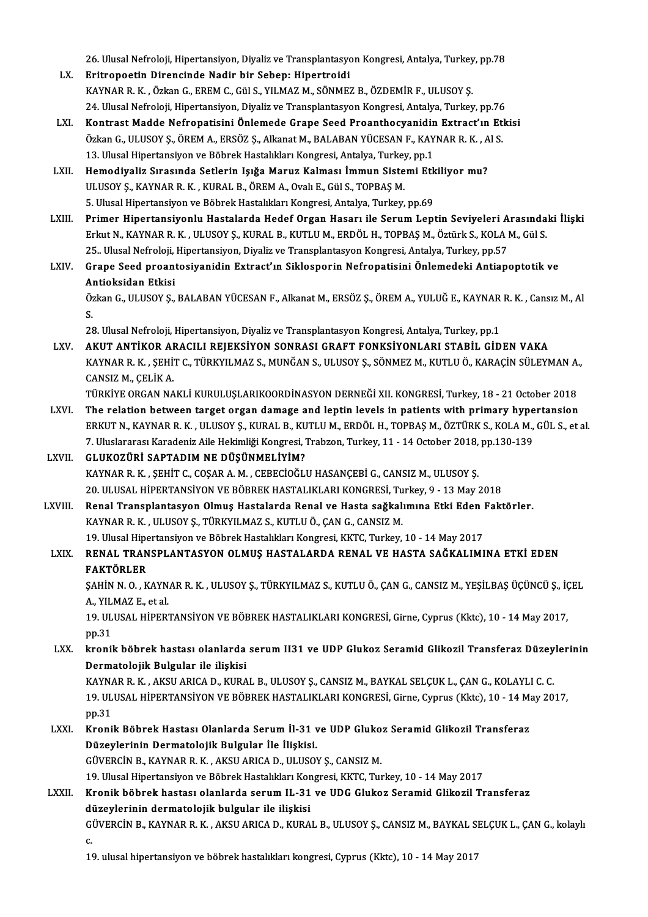26. Ulusal Nefroloji, Hipertansiyon, Diyaliz ve Transplantasyon Kongresi, Antalya, Turkey, pp.78<br>Enitranastin Dinansinda Nadin bin Saban: Hinartraidi

- LX. Eritropoetin Direncinde Nadir bir Sebep: Hipertroidi 26. Ulusal Nefroloji, Hipertansiyon, Diyaliz ve Transplantasyon Kongresi, Antalya, Turkey<br>Eritropoetin Direncinde Nadir bir Sebep: Hipertroidi<br>KAYNAR R. K. , Özkan G., EREM C., Gül S., YILMAZ M., SÖNMEZ B., ÖZDEMİR F., ULU Eritropoetin Direncinde Nadir bir Sebep: Hipertroidi<br>KAYNAR R. K. , Özkan G., EREM C., Gül S., YILMAZ M., SÖNMEZ B., ÖZDEMİR F., ULUSOY Ş.<br>24. Ulusal Nefroloji, Hipertansiyon, Diyaliz ve Transplantasyon Kongresi, Antalya, KAYNAR R. K. , Özkan G., EREM C., Gül S., YILMAZ M., SÖNMEZ B., ÖZDEMİR F., ULUSOY Ş.<br>24. Ulusal Nefroloji, Hipertansiyon, Diyaliz ve Transplantasyon Kongresi, Antalya, Turkey, pp.76<br>28. Kontrast Madde Nefropatisini Önleme
- 24. Ulusal Nefroloji, Hipertansiyon, Diyaliz ve Transplantasyon Kongresi, Antalya, Turkey, pp.76<br>Kontrast Madde Nefropatisini Önlemede Grape Seed Proanthocyanidin Extract'ın Et<br>Özkan G., ULUSOY Ş., ÖREM A., ERSÖZ Ş., Alkan Kontrast Madde Nefropatisini Önlemede Grape Seed Proanthocyanidin<br>Özkan G., ULUSOY Ş., ÖREM A., ERSÖZ Ş., Alkanat M., BALABAN YÜCESAN F., KAY<br>13. Ulusal Hipertansiyon ve Böbrek Hastalıkları Kongresi, Antalya, Turkey, pp.1<br> Özkan G., ULUSOY Ş., ÖREM A., ERSÖZ Ş., Alkanat M., BALABAN YÜCESAN F., KAYNAR R. K. , Al S.<br>13. Ulusal Hipertansiyon ve Böbrek Hastalıkları Kongresi, Antalya, Turkey, pp.1<br>LXII. Hemodiyaliz Sırasında Setlerin Işığa Ma 13. Ulusal Hipertansiyon ve Böbrek Hastalıkları Kongresi, Antalya, Turkey, pp.1
- 5. Ulusal Hipertansiyon ve Böbrek Hastalıkları Kongresi, Antalya, Turkey, pp.69 ULUSOY Ş., KAYNAR R. K. , KURAL B., ÖREM A., Ovalı E., Gül S., TOPBAŞ M.<br>5. Ulusal Hipertansiyon ve Böbrek Hastalıkları Kongresi, Antalya, Turkey, pp.69<br>2. Erlot N. KAYNAR R. K., HI HSOV S. KURAL R. KUTH H.M. ERDÖL H. TORR
- 5. Ulusal Hipertansiyon ve Böbrek Hastalıkları Kongresi, Antalya, Turkey, pp.69<br>Primer Hipertansiyonlu Hastalarda Hedef Organ Hasarı ile Serum Leptin Seviyeleri Arasında<br>Erkut N., KAYNAR R. K. , ULUSOY Ş., KURAL B., KUTLU Primer Hipertansiyonlu Hastalarda Hedef Organ Hasarı ile Serum Leptin Seviyeleri A<br>Erkut N., KAYNAR R. K. , ULUSOY Ş., KURAL B., KUTLU M., ERDÖL H., TOPBAŞ M., Öztürk S., KOLA I<br>25.. Ulusal Nefroloji, Hipertansiyon, Diyali Erkut N., KAYNAR R. K. , ULUSOY Ş., KURAL B., KUTLU M., ERDÖL H., TOPBAŞ M., Öztürk S., KOLA M., Gül S.<br>25.. Ulusal Nefroloji, Hipertansiyon, Diyaliz ve Transplantasyon Kongresi, Antalya, Turkey, pp.57<br>28. KIV. Grape S
- 25. Ulusal Nefroloji,<br>Grape Seed proant<br>Antioksidan Etkisi<br>Özkon C. ULUSOV S Grape Seed proantosiyanidin Extract'ın Siklosporin Nefropatisini Önlemedeki Antiapoptotik ve<br>Antioksidan Etkisi<br>Özkan G., ULUSOY Ş., BALABAN YÜCESAN F., Alkanat M., ERSÖZ Ş., ÖREM A., YULUĞ E., KAYNAR R. K. , Cansız M., Al

 $\frac{\mathbf{A}}{\mathbf{0}}$ <br>S. Özkan G., ULUSOY Ş., BALABAN YÜCESAN F., Alkanat M., ERSÖZ Ş., ÖREM A., YULUĞ E., KAYNAR R. K. , Cansız M., Al<br>S.<br>28. Ulusal Nefroloji, Hipertansiyon, Diyaliz ve Transplantasyon Kongresi, Antalya, Turkey, pp.1

LXV. AKUT ANTİKOR ARACILI REJEKSİYON SONRASI GRAFT FONKSİYONLARI STABİL GİDEN VAKA 28. Ulusal Nefroloji, Hipertansiyon, Diyaliz ve Transplantasyon Kongresi, Antalya, Turkey, pp.1<br>AKUT ANTİKOR ARACILI REJEKSİYON SONRASI GRAFT FONKSİYONLARI STABİL GİDEN VAKA<br>KAYNAR R. K. , ŞEHİT C., TÜRKYILMAZ S., MUNĞAN S **AKUT ANTİKOR AL<br>KAYNAR R. K. , ŞEHİ'<br>CANSIZ M., ÇELİK A.<br>TÜRKİVE ORCAN NA** KAYNAR R. K. , ŞEHİT C., TÜRKYILMAZ S., MUNĞAN S., ULUSOY Ş., SÖNMEZ M., KUTLU Ö., KARAÇİN SÜLEYMAN A.<br>CANSIZ M., ÇELİK A.<br>TÜRKİYE ORGAN NAKLİ KURULUŞLARIKOORDİNASYON DERNEĞİ XII. KONGRESİ, Turkey, 18 - 21 October 2018<br>The

- CANSIZ M., ÇELİK A.<br>TÜRKİYE ORGAN NAKLİ KURULUŞLARIKOORDİNASYON DERNEĞİ XII. KONGRESİ, Turkey, 18 21 October 2018<br>LXVI. The relation between target organ damage and leptin levels in patients with primary hypertansion<br>ERK TÜRKİYE ORGAN NAKLİ KURULUŞLARIKOORDİNASYON DERNEĞİ XII. KONGRESİ, Turkey, 18 - 21 October 2018<br>The relation between target organ damage and leptin levels in patients with primary hypertansion<br>ERKUT N., KAYNAR R. K. , ULUS The relation between target organ damage and leptin levels in patients with primary hype<br>ERKUT N., KAYNAR R. K. , ULUSOY Ş., KURAL B., KUTLU M., ERDÖL H., TOPBAŞ M., ÖZTÜRK S., KOLA M.,<br>7. Uluslararası Karadeniz Aile Hekim 7. Uluslararası Karadeniz Aile Hekimliği Kongresi, Trabzon, Turkey, 11 - 14 October 2018, pp.130-139
- LXVII. GLUKOZÜRİ SAPTADIM NE DÜŞÜNMELİYİM?<br>KAYNAR R. K. , SEHİT C., COSAR A. M. , CEBECİOĞLU HASANÇEBİ G., CANSIZ M., ULUSOY S. GLUKOZÜRİ SAPTADIM NE DÜŞÜNMELİYİM?<br>KAYNAR R. K. , ŞEHİT C., COŞAR A. M. , CEBECİOĞLU HASANÇEBİ G., CANSIZ M., ULUSOY Ş.<br>20. ULUSAL HİPERTANSİYON VE BÖBREK HASTALIKLARI KONGRESİ, Turkey, 9 - 13 May 2018<br>Banal Transplantasy KAYNAR R. K. , ŞEHİT C., COŞAR A. M. , CEBECİOĞLU HASANÇEBİ G., CANSIZ M., ULUSOY Ş.<br>20. ULUSAL HİPERTANSİYON VE BÖBREK HASTALIKLARI KONGRESİ, Turkey, 9 - 13 May 2018<br>20. ULUSAL HİPERTANSİYON VE BÖBREK HASTALIKLARI KONGRES
- 20. ULUSAL HİPERTANSİYON VE BÖBREK HASTALIKLARI KONGRESİ, Tu<br>Renal Transplantasyon Olmuş Hastalarda Renal ve Hasta sağkalı<br>KAYNAR R. K. , ULUSOY Ş., TÜRKYILMAZ S., KUTLU Ö., ÇAN G., CANSIZ M.<br>19. Ulusal Hinertansiyon ve Bö Renal Transplantasyon Olmuş Hastalarda Renal ve Hasta sağkalımına Etki Eden |<br>KAYNAR R. K. , ULUSOY Ş., TÜRKYILMAZ S., KUTLU Ö., ÇAN G., CANSIZ M.<br>19. Ulusal Hipertansiyon ve Böbrek Hastalıkları Kongresi, KKTC, Turkey, 10 KAYNAR R. K. , ULUSOY Ş., TÜRKYILMAZ S., KUTLU Ö., ÇAN G., CANSIZ M.<br>19. Ulusal Hipertansiyon ve Böbrek Hastalıkları Kongresi, KKTC, Turkey, 10 - 14 May 2017<br>LXIX. RENAL TRANSPLANTASYON OLMUŞ HASTALARDA RENAL VE HASTA
- 19. Ulusal Hipe<br>RENAL TRAN<br>FAKTÖRLER<br>SAHIN N.O. K RENAL TRANSPLANTASYON OLMUŞ HASTALARDA RENAL VE HASTA SAĞKALIMINA ETKİ EDEN<br>FAKTÖRLER<br>ŞAHİN N. O. , KAYNAR R. K. , ULUSOY Ş., TÜRKYILMAZ S., KUTLU Ö., ÇAN G., CANSIZ M., YEŞİLBAŞ ÜÇÜNCÜ Ş., İÇEL<br>A. XII MAZ E. etel

FAKTÖRLER<br>ŞAHİN N. O. , KAYN<br>A., YILMAZ E., et al.<br>10. III USAL HİPEP. ŞAHİN N. O. , KAYNAR R. K. , ULUSOY Ş., TÜRKYILMAZ S., KUTLU Ö., ÇAN G., CANSIZ M., YEŞİLBAŞ ÜÇÜNCÜ Ş., İÇ<br>A., YILMAZ E., et al.<br>19. ULUSAL HİPERTANSİYON VE BÖBREK HASTALIKLARI KONGRESİ, Girne, Cyprus (Kktc), 10 - 14 May 2

A., YILMAZ E., et al.<br>19. ULUSAL HİPERTANSİYON VE BÖBREK HASTALIKLARI KONGRESİ, Girne, Cyprus (Kktc), 10 - 14 May 2017,<br>pp.31 19. ULUSAL HİPERTANSİYON VE BÖBREK HASTALIKLARI KONGRESİ, Girne, Cyprus (Kktc), 10 - 14 May 2017,<br>pp.31<br>LXX. kronik böbrek hastası olanlarda serum II31 ve UDP Glukoz Seramid Glikozil Transferaz Düzeylerinin

pp.31<br>kronik böbrek hastası olanlarda<br>Dermatolojik Bulgular ile ilişkisi<br>KAVNAR R K. AKSUARICA D. KURA kronik böbrek hastası olanlarda serum II31 ve UDP Glukoz Seramid Glikozil Transferaz Düzey<br>Dermatolojik Bulgular ile ilişkisi<br>KAYNAR R. K. , AKSU ARICA D., KURAL B., ULUSOY Ş., CANSIZ M., BAYKAL SELÇUK L., ÇAN G., KOLAYLI

Dermatolojik Bulgular ile ilişkisi<br>KAYNAR R. K. , AKSU ARICA D., KURAL B., ULUSOY Ş., CANSIZ M., BAYKAL SELÇUK L., ÇAN G., KOLAYLI C. C.<br>19. ULUSAL HİPERTANSİYON VE BÖBREK HASTALIKLARI KONGRESİ, Girne, Cyprus (Kktc), 10 - KAYNA<br>19. UL<br>pp.31<br>Kroni 19. ULUSAL HİPERTANSİYON VE BÖBREK HASTALIKLARI KONGRESİ, Girne, Cyprus (Kktc), 10 - 14 M;<br>pp.31<br>LXXI. Kronik Böbrek Hastası Olanlarda Serum İl-31 ve UDP Glukoz Seramid Glikozil Transferaz<br>Düzeylerinin Dermateleijk Bulgula

pp.31<br>Kronik Böbrek Hastası Olanlarda Serum İl-31 v<br>Düzeylerinin Dermatolojik Bulgular İle İlişkisi.<br>Cüvepçin B. KAYNAR B. K., AKSU ARICA D. ULUSOV Kronik Böbrek Hastası Olanlarda Serum İl-31 ve UDP Gluko<br>Düzeylerinin Dermatolojik Bulgular İle İlişkisi.<br>GÜVERCİN B., KAYNAR R. K. , AKSU ARICA D., ULUSOY Ş., CANSIZ M.<br>19 Ulusel Hinertansiyan ve Böhrek Hastalıkları Konsu Düzeylerinin Dermatolojik Bulgular İle İlişkisi.<br>GÜVERCİN B., KAYNAR R. K. , AKSU ARICA D., ULUSOY Ş., CANSIZ M.<br>19. Ulusal Hipertansiyon ve Böbrek Hastalıkları Kongresi, KKTC, Turkey, 10 - 14 May 2017

GÜVERCİN B., KAYNAR R. K. , AKSU ARICA D., ULUSOY Ş., CANSIZ M.<br>19. Ulusal Hipertansiyon ve Böbrek Hastalıkları Kongresi, KKTC, Turkey, 10 - 14 May 2017<br>LXXII. Kronik böbrek hastası olanlarda serum IL-31 ve UDG Glukoz Sera 19. Ulusal Hipertansiyon ve Böbrek Hastalıkları Kor<br>Kronik böbrek hastası olanlarda serum IL-31<br>düzeylerinin dermatolojik bulgular ile ilişkisi<br>Güyepçin B. KAYNAR R. K. AKSU ARIGA D. KURA düzeylerinin dermatolojik bulgular ile ilişkisi<br>GÜVERCİN B., KAYNAR R. K. , AKSU ARICA D., KURAL B., ULUSOY Ş., CANSIZ M., BAYKAL SELÇUK L., ÇAN G., kolaylı<br>c. di<br>Gl<br>16

19. ulusal hipertansiyon ve böbrek hastalıkları kongresi, Cyprus (Kktc), 10 - 14 May 2017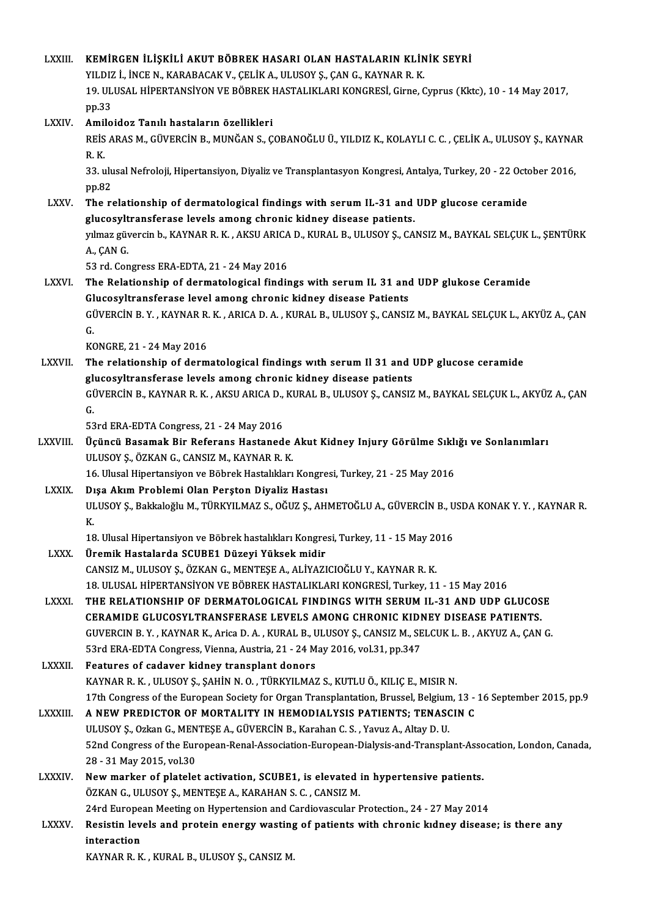| <b>LXXIII</b>   | KEMIRGEN İLIŞKILI AKUT BÖBREK HASARI OLAN HASTALARIN KLINIK SEYRI                                                                                           |
|-----------------|-------------------------------------------------------------------------------------------------------------------------------------------------------------|
|                 | YILDIZ İ., İNCE N., KARABACAK V., ÇELİK A., ULUSOY Ş., ÇAN G., KAYNAR R. K.                                                                                 |
|                 | 19. ULUSAL HİPERTANSİYON VE BÖBREK HASTALIKLARI KONGRESİ, Girne, Cyprus (Kktc), 10 - 14 May 2017,                                                           |
|                 | pp.33                                                                                                                                                       |
| LXXIV.          | Amiloidoz Tanılı hastaların özellikleri                                                                                                                     |
|                 | REİS ARAS M., GÜVERCİN B., MUNĞAN S., ÇOBANOĞLU Ü., YILDIZ K., KOLAYLI C. C. , ÇELİK A., ULUSOY Ş., KAYNAR<br>$R$ . $K$                                     |
|                 | 33. ulusal Nefroloji, Hipertansiyon, Diyaliz ve Transplantasyon Kongresi, Antalya, Turkey, 20 - 22 October 2016,                                            |
|                 | pp 82                                                                                                                                                       |
| <b>LXXV</b>     | The relationship of dermatological findings with serum IL-31 and UDP glucose ceramide                                                                       |
|                 | glucosyltransferase levels among chronic kidney disease patients.                                                                                           |
|                 | yılmaz güvercin b., KAYNAR R. K. , AKSU ARICA D., KURAL B., ULUSOY Ş., CANSIZ M., BAYKAL SELÇUK L., ŞENTÜRK                                                 |
|                 | A, ÇAN G.                                                                                                                                                   |
|                 | 53 rd. Congress ERA-EDTA, 21 - 24 May 2016                                                                                                                  |
| <b>LXXVI</b>    | The Relationship of dermatological findings with serum IL 31 and UDP glukose Ceramide                                                                       |
|                 | Glucosyltransferase level among chronic kidney disease Patients                                                                                             |
|                 | GÜVERCİN B.Y., KAYNAR R.K., ARICA D. A., KURAL B., ULUSOY Ş., CANSIZ M., BAYKAL SELÇUK L., AKYÜZ A., ÇAN                                                    |
|                 | G.                                                                                                                                                          |
|                 | KONGRE, 21 - 24 May 2016                                                                                                                                    |
| <b>LXXVII</b> . | The relationship of dermatological findings with serum Il 31 and UDP glucose ceramide                                                                       |
|                 | glucosyltransferase levels among chronic kidney disease patients                                                                                            |
|                 | GÜVERCİN B., KAYNAR R. K. , AKSU ARICA D., KURAL B., ULUSOY Ş., CANSIZ M., BAYKAL SELÇUK L., AKYÜZ A., ÇAN                                                  |
|                 | G.                                                                                                                                                          |
|                 | 53rd ERA-EDTA Congress, 21 - 24 May 2016                                                                                                                    |
| <b>LXXVIII</b>  | Üçüncü Basamak Bir Referans Hastanede Akut Kidney Injury Görülme Sıklığı ve Sonlanımları                                                                    |
|                 | ULUSOY Ş., ÖZKAN G., CANSIZ M., KAYNAR R. K.                                                                                                                |
|                 | 16. Ulusal Hipertansiyon ve Böbrek Hastalıkları Kongresi, Turkey, 21 - 25 May 2016                                                                          |
| <b>LXXIX</b>    | Dışa Akım Problemi Olan Perşton Diyaliz Hastası<br>ULUSOY Ș., Bakkaloğlu M., TÜRKYILMAZ S., OĞUZ Ş., AHMETOĞLU A., GÜVERCİN B., USDA KONAK Y. Y., KAYNAR R. |
|                 | К.                                                                                                                                                          |
|                 | 18. Ulusal Hipertansiyon ve Böbrek hastalıkları Kongresi, Turkey, 11 - 15 May 2016                                                                          |
| <b>LXXX</b>     | Üremik Hastalarda SCUBE1 Düzeyi Yüksek midir                                                                                                                |
|                 | CANSIZ M., ULUSOY Ş., ÖZKAN G., MENTEŞE A., ALİYAZICIOĞLU Y., KAYNAR R. K.                                                                                  |
|                 | 18. ULUSAL HİPERTANSİYON VE BÖBREK HASTALIKLARI KONGRESİ, Turkey, 11 - 15 May 2016                                                                          |
| LXXXI.          | THE RELATIONSHIP OF DERMATOLOGICAL FINDINGS WITH SERUM IL-31 AND UDP GLUCOSE                                                                                |
|                 | CERAMIDE GLUCOSYLTRANSFERASE LEVELS AMONG CHRONIC KIDNEY DISEASE PATIENTS.                                                                                  |
|                 | GUVERCIN B.Y., KAYNAR K., Arica D. A., KURAL B., ULUSOY Ş., CANSIZ M., SELCUK L. B., AKYUZ A., ÇAN G.                                                       |
|                 | 53rd ERA-EDTA Congress, Vienna, Austria, 21 - 24 May 2016, vol.31, pp.347                                                                                   |
| LXXXII.         | Features of cadaver kidney transplant donors                                                                                                                |
|                 | KAYNAR R. K., ULUSOY Ş., ŞAHİN N. O., TÜRKYILMAZ S., KUTLU Ö., KILIÇ E., MISIR N.                                                                           |
|                 | 17th Congress of the European Society for Organ Transplantation, Brussel, Belgium, 13 - 16 September 2015, pp.9                                             |
| <b>LXXXIII</b>  | A NEW PREDICTOR OF MORTALITY IN HEMODIALYSIS PATIENTS; TENASCIN C                                                                                           |
|                 | ULUSOY Ș., Ozkan G., MENTEȘE A., GÜVERCİN B., Karahan C. S., Yavuz A., Altay D. U.                                                                          |
|                 | 52nd Congress of the European-Renal-Association-European-Dialysis-and-Transplant-Assocation, London, Canada,                                                |
|                 | 28 - 31 May 2015, vol 30                                                                                                                                    |
| <b>LXXXIV</b>   | New marker of platelet activation, SCUBE1, is elevated in hypertensive patients.                                                                            |
|                 | ÖZKAN G., ULUSOY Ş., MENTEŞE A., KARAHAN S. C., CANSIZ M.                                                                                                   |
|                 | 24rd European Meeting on Hypertension and Cardiovascular Protection., 24 - 27 May 2014                                                                      |
| <b>LXXXV.</b>   | Resistin levels and protein energy wasting of patients with chronic kidney disease; is there any                                                            |
|                 | interaction                                                                                                                                                 |
|                 | KAYNAR R. K., KURAL B., ULUSOY Ş., CANSIZ M.                                                                                                                |
|                 |                                                                                                                                                             |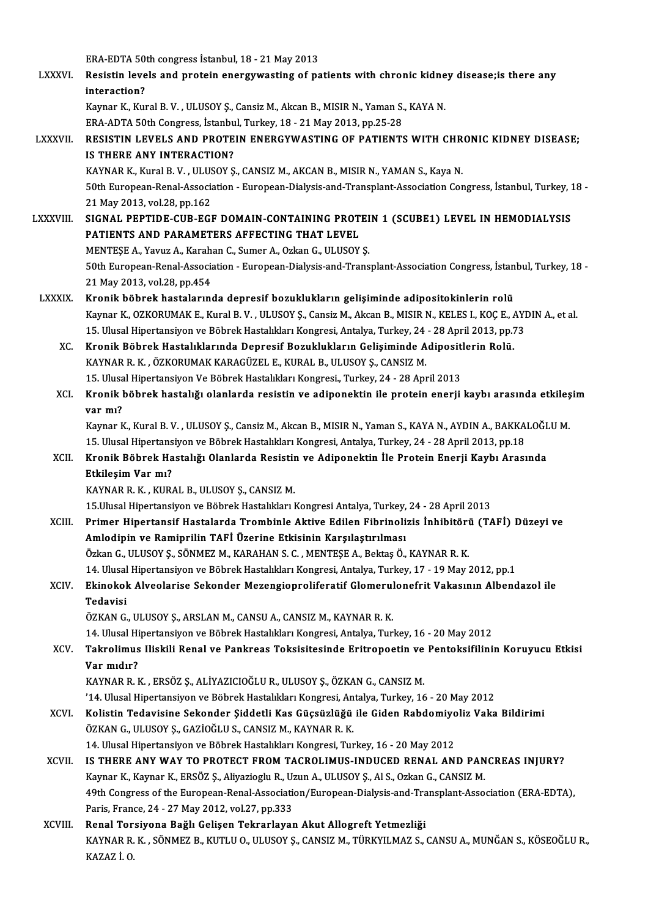era<br>ERA-EDTA 50th congress İstanbul, 18 - 21 May 2013<br>Registin Javala and pratein energywesting of na LXXXVI. Resistin levels and protein energywasting of patients with chronic kidney disease;is there any ERA-EDTA 50<br>Resistin leve<br>interaction?<br>Kamar K. Kur Resistin levels and protein energywasting of patients with chronic kidne<br>interaction?<br>Kaynar K., Kural B. V. , ULUSOY Ş., Cansiz M., Akcan B., MISIR N., Yaman S., KAYA N.<br>EPA ADTA E9th Congress, Istanbul Turkey, 19, 21 May interaction?<br>Kaynar K., Kural B. V. , ULUSOY Ş., Cansiz M., Akcan B., MISIR N., Yaman S.<br>ERA-ADTA 50th Congress, İstanbul, Turkey, 18 - 21 May 2013, pp.25-28<br>RESISTIN I EVELS AND RROTEIN ENERCYWASTINC OF RATIENTS Kaynar K., Kural B. V. , ULUSOY Ş., Cansiz M., Akcan B., MISIR N., Yaman S., KAYA N.<br>ERA-ADTA 50th Congress, İstanbul, Turkey, 18 - 21 May 2013, pp.25-28<br>LXXXVII. RESISTIN LEVELS AND PROTEIN ENERGYWASTING OF PATIENTS WITH ERA-ADTA 50th Congress, İstanbul, Turkey, 18 - 21 May 2013, pp.25-28<br>RESISTIN LEVELS AND PROTEIN ENERGYWASTING OF PATIENTS WITH CHR<br>IS THERE ANY INTERACTION?<br>KAYNAR K., Kural B. V. , ULUSOY S., CANSIZ M., AKCAN B., MISIR N RESISTIN LEVELS AND PROTEIN ENERGYWASTING OF PATIENTS WITH CHR<br>IS THERE ANY INTERACTION?<br>KAYNAR K., Kural B. V. , ULUSOY Ş., CANSIZ M., AKCAN B., MISIR N., YAMAN S., Kaya N.<br>50th European Panal Association . European Dialy 50th European-Renal-Association - European-Dialysis-and-Transplant-Association Congress, İstanbul, Turkey, 18 -21May2013,vol.28,pp.162 50th European-Renal-Association - European-Dialysis-and-Transplant-Association Congress, İstanbul, Turkey, 1<br>21 May 2013, vol.28, pp.162<br>LXXXVIII. SIGNAL PEPTIDE-CUB-EGF DOMAIN-CONTAINING PROTEIN 1 (SCUBE1) LEVEL IN HEMODI 21 May 2013, vol.28, pp.162<br>SIGNAL PEPTIDE-CUB-EGF DOMAIN-CONTAINING PROT<br>PATIENTS AND PARAMETERS AFFECTING THAT LEVEL<br>MENTESE A Varuz A. Karaban G. Sumar A. Ozkan G. HI HSOV SIGNAL PEPTIDE-CUB-EGF DOMAIN-CONTAINING PROTEI<br>PATIENTS AND PARAMETERS AFFECTING THAT LEVEL<br>MENTEŞE A., Yavuz A., Karahan C., Sumer A., Ozkan G., ULUSOY Ş.<br>E<sup>0th European Bonal Association - European Dialysis and Trans</sup> PATIENTS AND PARAMETERS AFFECTING THAT LEVEL<br>MENTEŞE A., Yavuz A., Karahan C., Sumer A., Ozkan G., ULUSOY Ş.<br>50th European-Renal-Association - European-Dialysis-and-Transplant-Association Congress, İstanbul, Turkey, 18 -<br>2 MENTEŞE A., Yavuz A., Karah<br>50th European-Renal-Associa<br>21 May 2013, vol.28, pp.454<br>Knonik böhnek bestaların 50th European-Renal-Association - European-Dialysis-and-Transplant-Association Congress, İstan<br>21 May 2013, vol.28, pp.454<br>LXXXIX. Kronik böbrek hastalarında depresif bozuklukların gelişiminde adipositokinlerin rolü 21 May 2013, vol.28, pp.454<br><mark>Kronik böbrek hastalarında depresif bozuklukların gelişiminde adipositokinlerin rolü</mark><br>Kaynar K., OZKORUMAK E., Kural B. V. , ULUSOY Ş., Cansiz M., Akcan B., MISIR N., KELES I., KOÇ E., AYDIN A. Kronik böbrek hastalarında depresif bozuklukların gelişiminde adipositokinlerin rolü<br>Kaynar K., OZKORUMAK E., Kural B. V. , ULUSOY Ş., Cansiz M., Akcan B., MISIR N., KELES I., KOÇ E., AYI<br>15. Ulusal Hipertansiyon ve Böbrek Kaynar K., OZKORUMAK E., Kural B. V. , ULUSOY Ş., Cansiz M., Akcan B., MISIR N., KELES I., KOÇ E., *A*<br>15. Ulusal Hipertansiyon ve Böbrek Hastalıkları Kongresi, Antalya, Turkey, 24 - 28 April 2013, pp.;<br>XC. Kronik Böbrek H 15. Ulusal Hipertansiyon ve Böbrek Hastalıkları Kongresi, Antalya, Turkey, 24 - 28 April 2013, pp.73<br>Kronik Böbrek Hastalıklarında Depresif Bozuklukların Gelişiminde Adipositlerin Rolü.<br>KAYNAR R. K. , ÖZKORUMAK KARAGÜZEL E Kronik Böbrek Hastalıklarında Depresif Bozuklukların Gelişiminde Adipositl<br>KAYNAR R. K. , ÖZKORUMAK KARAGÜZEL E., KURAL B., ULUSOY Ş., CANSIZ M.<br>15. Ulusal Hipertansiyon Ve Böbrek Hastalıkları Kongresi., Turkey, 24 - 28 Ap XCI. Kronik böbrek hastalığı olanlarda resistin ve adiponektin ile protein enerji kaybı arasında etkileşim 15. Ulusal Hipertansiyon Ve Böbrek Hastalıkları Kongresi., Turkey, 24 - 28 April 2013 Kronik böbrek hastalığı olanlarda resistin ve adiponektin ile protein enerji kaybı arasında etkileş<br>var mı?<br>Kaynar K., Kural B. V. , ULUSOY Ş., Cansiz M., Akcan B., MISIR N., Yaman S., KAYA N., AYDIN A., BAKKALOĞLU M.<br>15. <mark>var mı?</mark><br>Kaynar K., Kural B. V. , ULUSOY Ş., Cansiz M., Akcan B., MISIR N., Yaman S., KAYA N., AYDIN A., BAKKA<br>15. Ulusal Hipertansiyon ve Böbrek Hastalıkları Kongresi, Antalya, Turkey, 24 - 28 April 2013, pp.18<br>Knonik Bö Kaynar K., Kural B. V., ULUSOY Ş., Cansiz M., Akcan B., MISIR N., Yaman S., KAYA N., AYDIN A., BAKKALOĞL<br>15. Ulusal Hipertansiyon ve Böbrek Hastalıkları Kongresi, Antalya, Turkey, 24 - 28 April 2013, pp.18<br>XCII. Kronik 15. Ulusal Hipertansiyon ve Böbrek Hastalıkları Kongresi, Antalya, Turkey, 24 - 28 April 2013, pp.18<br>Kronik Böbrek Hastalığı Olanlarda Resistin ve Adiponektin İle Protein Enerji Kaybı Aras<br>Etkileşim Var mı?<br>KAYNAR R. K. , Kronik Böbrek Hastalığı Olanlarda Resistir<br>Etkileşim Var mı?<br>KAYNAR R. K. , KURAL B., ULUSOY Ş., CANSIZ M.<br>15 Illusel Hinertansiyan ve Böhnek Hastalıkları I Etkileşim Var mı?<br>KAYNAR R. K. , KURAL B., ULUSOY Ş., CANSIZ M.<br>15.Ulusal Hipertansiyon ve Böbrek Hastalıkları Kongresi Antalya, Turkey, 24 - 28 April 2013<br>Primer Hipertansif Hastalarda Trambinle Aktive Edilen Eihrineligis XCIII. Primer Hipertansif Hastalarda Trombinle Aktive Edilen Fibrinolizis İnhibitörü (TAFİ) Düzeyi ve<br>Amlodipin ve Ramiprilin TAFİ Üzerine Etkisinin Karsılaştırılması 15.Ulusal Hipertansiyon ve Böbrek Hastalıkları Kongresi Antalya, Turkey,<br>Primer Hipertansif Hastalarda Trombinle Aktive Edilen Fibrinoli<br>Amlodipin ve Ramiprilin TAFİ Üzerine Etkisinin Karşılaştırılması<br>Özkən G. III USOV S. Primer Hipertansif Hastalarda Trombinle Aktive Edilen Fibrinolizis İnhibitöri<br>Amlodipin ve Ramiprilin TAFİ Üzerine Etkisinin Karşılaştırılması<br>Özkan G., ULUSOY Ş., SÖNMEZ M., KARAHAN S. C. , MENTEŞE A., Bektaş Ö., KAYNAR R Amlodipin ve Ramiprilin TAFİ Üzerine Etkisinin Karşılaştırılması<br>Özkan G., ULUSOY Ş., SÖNMEZ M., KARAHAN S. C. , MENTEŞE A., Bektaş Ö., KAYNAR R. K.<br>14. Ulusal Hipertansiyon ve Böbrek Hastalıkları Kongresi, Antalya, Turkey Özkan G., ULUSOY Ş., SÖNMEZ M., KARAHAN S. C. , MENTEŞE A., Bektaş Ö., KAYNAR R. K.<br>14. Ulusal Hipertansiyon ve Böbrek Hastalıkları Kongresi, Antalya, Turkey, 17 - 19 May 2012, pp.1<br>XCIV. Ekinokok Alveolarise Sekonder 14. Ulusal Hipertansiyon ve Böbrek Hastalıkları Kongresi, Antalya, Turkey, 17 - 19 May 2012, pp.1<br>Ekinokok Alveolarise Sekonder Mezengioproliferatif Glomerulonefrit Vakasının Albend<br>Tedavisi<br>ÖZKAN G., ULUSOY Ş., ARSLAN M., Ekinokok Alveolarise Sekonder Mezengioproliferatif Glomerul<br>Tedavisi<br>ÖZKAN G., ULUSOY Ş., ARSLAN M., CANSU A., CANSIZ M., KAYNAR R. K.<br>14. Ulusel Hinertansiyan ve Böhnel: Hastalıkları Kansussi, Antalya Tur 14. Ulusal Hipertansiyon ve Böbrek Hastalıkları Kongresi, Antalya, Turkey, 16 - 20 May 2012 ÖZKAN G., ULUSOY Ş., ARSLAN M., CANSU A., CANSIZ M., KAYNAR R. K.<br>14. Ulusal Hipertansiyon ve Böbrek Hastalıkları Kongresi, Antalya, Turkey, 16 - 20 May 2012<br>XCV. Takrolimus Iliskili Renal ve Pankreas Toksisitesinde Er 14. Ulusal Hi<br><mark>Takrolimus</mark><br>Var mıdır?<br><sup>KAVNAD D. I</sup> Takrolimus Iliskili Renal ve Pankreas Toksisitesinde Eritropoetin ve<br>Var mıdır?<br>KAYNAR R. K. , ERSÖZ Ş., ALİYAZICIOĞLU R., ULUSOY Ş., ÖZKAN G., CANSIZ M.<br>'14. Ulusal Hinertansiyan ve Böhrek Hastalıkları Kongresi, Antalya T Var mıdır?<br>KAYNAR R. K. , ERSÖZ Ş., ALİYAZICIOĞLU R., ULUSOY Ş., ÖZKAN G., CANSIZ M.<br>'14. Ulusal Hipertansiyon ve Böbrek Hastalıkları Kongresi, Antalya, Turkey, 16 - 20 May 2012<br>Kolistin Tedavisine Sekander Siddetli Kas Gü KAYNAR R. K. , ERSÖZ Ş., ALİYAZICIOĞLU R., ULUSOY Ş., ÖZKAN G., CANSIZ M.<br>14. Ulusal Hipertansiyon ve Böbrek Hastalıkları Kongresi, Antalya, Turkey, 16 - 20 May 2012'<br>XCVI. Kolistin Tedavisine Sekonder Şiddetli Kas Güç '14. Ulusal Hipertansiyon ve Böbrek Hastalıkları Kongresi, An<br>Kolistin Tedavisine Sekonder Şiddetli Kas Güçsüzlüğü<br>ÖZKAN G., ULUSOY Ş., GAZİOĞLU S., CANSIZ M., KAYNAR R. K.<br>14. Ulusal Hinertansiyon ve Böhrek Hastalıkları K Kolistin Tedavisine Sekonder Şiddetli Kas Güçsüzlüğü ile Giden Rabdomiyo<br>ÖZKAN G., ULUSOY Ş., GAZİOĞLU S., CANSIZ M., KAYNAR R. K.<br>14. Ulusal Hipertansiyon ve Böbrek Hastalıkları Kongresi, Turkey, 16 - 20 May 2012<br>15 TUERE ÖZKAN G., ULUSOY Ş., GAZİOĞLU S., CANSIZ M., KAYNAR R. K.<br>14. Ulusal Hipertansiyon ve Böbrek Hastalıkları Kongresi, Turkey, 16 - 20 May 2012<br>20 XCVII. IS THERE ANY WAY TO PROTECT FROM TACROLIMUS-INDUCED RENAL AND PANC 14. Ulusal Hipertansiyon ve Böbrek Hastalıkları Kongresi, Turkey, 16 - 20 May 2012<br>IS THERE ANY WAY TO PROTECT FROM TACROLIMUS-INDUCED RENAL AND PAN<br>Kaynar K., Kaynar K., ERSÖZ Ş., Aliyazioglu R., Uzun A., ULUSOY Ş., Al S. IS THERE ANY WAY TO PROTECT FROM TACROLIMUS-INDUCED RENAL AND PANCREAS INJURY?<br>Kaynar K., Kaynar K., ERSÖZ Ş., Aliyazioglu R., Uzun A., ULUSOY Ş., Al S., Ozkan G., CANSIZ M.<br>49th Congress of the European-Renal-Association/ Kaynar K., Kaynar K., ERSÖZ Ş., Aliyazioglu R., Uz<br>49th Congress of the European-Renal-Association<br>Paris, France, 24 - 27 May 2012, vol.27, pp.333<br>Panal Tersiyana Bažlı Gelisen Teknarlayar 49th Congress of the European-Renal-Association/European-Dialysis-and-Tra<br>Paris, France, 24 - 27 May 2012, vol.27, pp.333<br>XCVIII. Renal Torsiyona Bağlı Gelişen Tekrarlayan Akut Allogreft Yetmezliği Paris, France, 24 - 27 May 2012, vol.27, pp.333<br>Renal Torsiyona Bağlı Gelişen Tekrarlayan Akut Allogreft Yetmezliği<br>KAYNAR R. K. , SÖNMEZ B., KUTLU O., ULUSOY Ş., CANSIZ M., TÜRKYILMAZ S., CANSU A., MUNĞAN S., KÖSEOĞLU R., Renal <mark>Tor</mark><br>KAYNAR R.<br>KAZAZ İ. O.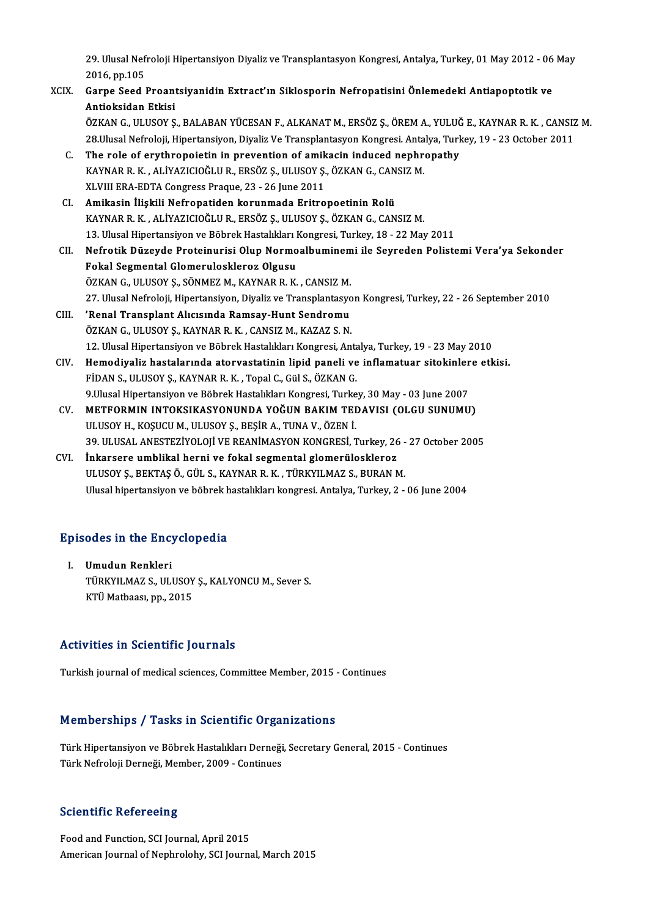29. Ulusal Nefroloji Hipertansiyon Diyaliz ve Transplantasyon Kongresi, Antalya, Turkey, 01 May 2012 - 06 May<br>2016.pp 105 29. Ulusal Nef<br>2016, pp.105<br>Canne Seed J 29. Ulusal Nefroloji Hipertansiyon Diyaliz ve Transplantasyon Kongresi, Antalya, Turkey, 01 May 2012 - 06<br>2016, pp.105<br>XCIX. Garpe Seed Proantsiyanidin Extract'ın Siklosporin Nefropatisini Önlemedeki Antiapoptotik ve<br>Antia

- 2016, pp.105<br>Garpe Seed Proant<br>Antioksidan Etkisi<br>ÖZKAN C. HI HSOV S Garpe Seed Proantsiyanidin Extract'ın Siklosporin Nefropatisini Önlemedeki Antiapoptotik ve<br>Antioksidan Etkisi<br>ÖZKAN G., ULUSOY Ş., BALABAN YÜCESAN F., ALKANAT M., ERSÖZ Ş., ÖREM A., YULUĞ E., KAYNAR R. K. , CANSIZ M.<br>28 U Antioksidan Etkisi<br>ÖZKAN G., ULUSOY Ş., BALABAN YÜCESAN F., ALKANAT M., ERSÖZ Ş., ÖREM A., YULUĞ E., KAYNAR R. K. , CANSIZ<br>28.Ulusal Nefroloji, Hipertansiyon, Diyaliz Ve Transplantasyon Kongresi. Antalya, Turkey, 19 - 23 O ÖZKAN G., ULUSOY Ş., BALABAN YÜCESAN F., ALKANAT M., ERSÖZ Ş., ÖREM A., YULUČ<br>28.Ulusal Nefroloji, Hipertansiyon, Diyaliz Ve Transplantasyon Kongresi. Antalya, Turk<br>C. The role of erythropoietin in prevention of amikacin i 28.Ulusal Nefroloji, Hipertansiyon, Diyaliz Ve Transplantasyon Kongresi. Anta<br>The role of erythropoietin in prevention of amikacin induced nephre<br>KAYNAR R. K. , ALİYAZICIOĞLU R., ERSÖZ Ş., ULUSOY Ş., ÖZKAN G., CANSIZ M.<br>YL The role of erythropoietin in prevention of amik<br>KAYNAR R. K. , ALİYAZICIOĞLU R., ERSÖZ Ş., ULUSOY Ş.<br>XLVIII ERA-EDTA Congress Praque, 23 - 26 June 2011<br>Amikasin İliakili Nafranatidan karunmada Eritra KAYNAR R. K. , ALİYAZICIOĞLU R., ERSÖZ Ş., ULUSOY Ş., ÖZKAN G., CANSIZ M.<br>XLVIII ERA-EDTA Congress Praque, 23 - 26 June 2011<br>CI. Amikasin İlişkili Nefropatiden korunmada Eritropoetinin Rolü KAYNARR.K. ,ALİYAZICIOĞLUR.,ERSÖZ Ş.,ULUSOYŞ.,ÖZKANG.,CANSIZM. 13. Ulusal Hipertansiyon ve Böbrek Hastalıkları Kongresi, Turkey, 18 - 22 May 2011 CII. Nefrotik Düzeyde Proteinurisi Olup Normoalbuminemi ile Seyreden Polistemi Vera'ya Sekonder Fokal Segmental Glomeruloskleroz Olgusu ÖZKAN G., ULUSOY Ş., SÖNMEZ M., KAYNAR R. K., CANSIZ M. Fokal Segmental Glomeruloskleroz Olgusu<br>ÖZKAN G., ULUSOY Ş., SÖNMEZ M., KAYNAR R. K. , CANSIZ M.<br>27. Ulusal Nefroloji, Hipertansiyon, Diyaliz ve Transplantasyon Kongresi, Turkey, 22 - 26 September 2010<br>'Penel Transplant Al CIII. 'Renal Transplant Alıcısında Ramsay-Hunt Sendromu<br>ÖZKAN G., ULUSOY S., KAYNAR R. K. , CANSIZ M., KAZAZ S. N. 27. Ulusal Nefroloji, Hipertansiyon, Diyaliz ve Transplantasyo<br>'Renal Transplant Alıcısında Ramsay-Hunt Sendromu<br>ÖZKAN G., ULUSOY Ş., KAYNAR R. K. , CANSIZ M., KAZAZ S. N.<br>12. Ulusal Hipertansiyon ve Böhnek Hastalıları Kon 'Renal Transplant Alıcısında Ramsay-Hunt Sendromu<br>ÖZKAN G., ULUSOY Ş., KAYNAR R. K. , CANSIZ M., KAZAZ S. N.<br>12. Ulusal Hipertansiyon ve Böbrek Hastalıkları Kongresi, Antalya, Turkey, 19 - 23 May 2010<br>Hamadiyalir hastaları
	- ÖZKAN G., ULUSOY Ş., KAYNAR R. K. , CANSIZ M., KAZAZ S. N.<br>12. Ulusal Hipertansiyon ve Böbrek Hastalıkları Kongresi, Antalya, Turkey, 19 23 May 2010<br>CIV. Hemodiyaliz hastalarında atorvastatinin lipid paneli ve inflamatua 12. Ulusal Hipertansiyon ve Böbrek Hastalıkları Kongresi, Anta<br>Hemodiyaliz hastalarında atorvastatinin lipid paneli ve<br>FİDAN S., ULUSOY Ş., KAYNAR R. K. , Topal C., Gül S., ÖZKAN G.<br>9 Ulusal Hipertansiyon ve Böhrek Hastalı Hemodiyaliz hastalarında atorvastatinin lipid paneli ve inflamatuar sitokinler<br>FİDAN S., ULUSOY Ş., KAYNAR R. K. , Topal C., Gül S., ÖZKAN G.<br>9.Ulusal Hipertansiyon ve Böbrek Hastalıkları Kongresi, Turkey, 30 May - 03 June FİDAN S., ULUSOY Ş., KAYNAR R. K. , Topal C., Gül S., ÖZKAN G.<br>9.Ulusal Hipertansiyon ve Böbrek Hastalıkları Kongresi, Turkey, 30 May - 03 June 2007<br>CV. METFORMIN INTOKSIKASYONUNDA YOĞUN BAKIM TEDAVISI (OLGU SUNUMU)<br>II
	- 9.Ulusal Hipertansiyon ve Böbrek Hastalıkları Kongresi, Turke<br>METFORMIN INTOKSIKASYONUNDA YOĞUN BAKIM TEI<br>ULUSOY H., KOŞUCU M., ULUSOY Ş., BEŞİR A., TUNA V., ÖZEN İ.<br>20. ULUSAL ANESTEZİYOLOJİ VE PEANİMASYON KONCRESİ. 1 METFORMIN INTOKSIKASYONUNDA YOĞUN BAKIM TEDAVISI (OLGU SUNUMU)<br>ULUSOY H., KOŞUCU M., ULUSOY Ş., BEŞİR A., TUNA V., ÖZEN İ.<br>39. ULUSAL ANESTEZİYOLOJİ VE REANİMASYON KONGRESİ, Turkey, 26 - 27 October 2005<br>İnkarsora umblikal ULUSOY H., KOŞUCU M., ULUSOY Ş., BEŞİR A., TUNA V., ÖZEN İ.<br>39. ULUSAL ANESTEZİYOLOJİ VE REANİMASYON KONGRESİ, Turkey, 26<br>CVI. Inkarsere umblikal herni ve fokal segmental glomerüloskleroz<br>III USOV S. BEKTASÖ CÜL S. KAYNAB
	- 39. ULUSAL ANESTEZİYOLOJİ VE REANİMASYON KONGRESİ, Turkey, 26 -<br>İnkarsere umblikal herni ve fokal segmental glomerüloskleroz<br>ULUSOY Ş., BEKTAŞ Ö., GÜL S., KAYNAR R. K. , TÜRKYILMAZ S., BURAN M.<br>Ulusel binertansiyon ve böhr ULUSOY Ş., BEKTAŞ Ö., GÜL S., KAYNAR R. K. , TÜRKYILMAZ S., BURAN M.<br>Ulusal hipertansiyon ve böbrek hastalıkları kongresi. Antalya, Turkey, 2 - 06 June 2004

# olusal hipertansiyon ve bobrek h $\bf Ep$ isodes in the Encyclopedia

pisodes in the Ency<br>I. Umudun Renkleri<br>T<sup>rinkvu</sup> M47.5 UU UMUD III THE EHEY EFPETHT<br>Umudun Renkleri<br>TÜRKYILMAZ S., ULUSOY Ş., KALYONCU M., Sever S. Umudun Renkleri<br>TÜRKYILMAZ S., ULUSOY<br>KTÜ Matbaası, pp., 2015

# KTÜ Matbaası, pp., 2015<br>Activities in Scientific Journals

Turkish journal of medical sciences, Committee Member, 2015 - Continues

### Memberships / Tasks in Scientific Organizations

Memberships / Tasks in Scientific Organizations<br>Türk Hipertansiyon ve Böbrek Hastalıkları Derneği, Secretary General, 2015 - Continues<br>Türk Nefrelaji Derneği Member 2009, Centinues Türk Hipertansiyon ve Böbrek Hastalıkları Derneği,<br>Türk Hipertansiyon ve Böbrek Hastalıkları Derneği<br>Türk Nefroloji Derneği, Member, 2009 - Continues Türk Nefroloji Derneği, Member, 2009 - Continues<br>Scientific Refereeing

Food and Function, SCI Journal, April 2015 American Journal of Nephrolohy, SCI Journal, March 2015